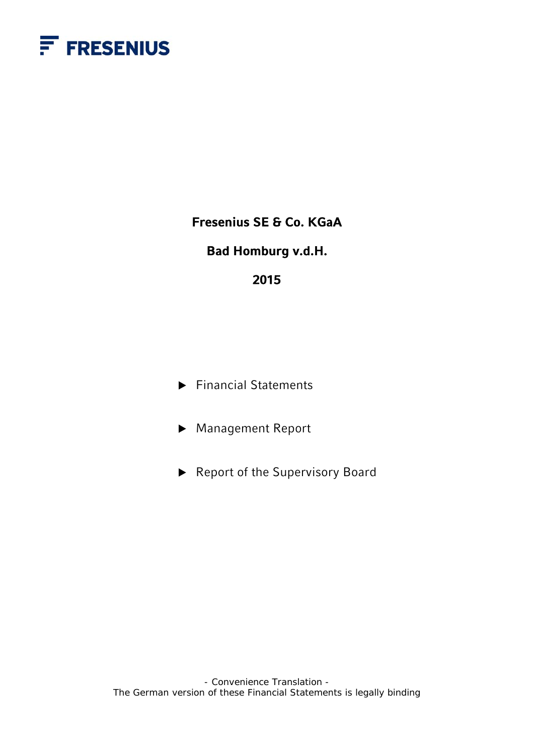

**Fresenius SE & Co. KGaA** 

## **Bad Homburg v.d.H.**

## **2015**

▶ Financial Statements

▶ Management Report

▶ Report of the Supervisory Board

- Convenience Translation - The German version of these Financial Statements is legally binding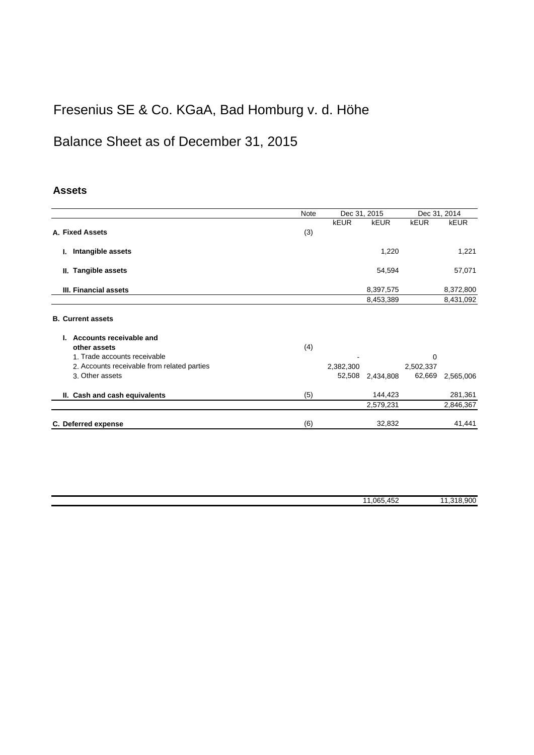# Fresenius SE & Co. KGaA, Bad Homburg v. d. Höhe

# Balance Sheet as of December 31, 2015

### **Assets**

|                                             | Note<br>Dec 31, 2015 |             |             | Dec 31, 2014 |             |
|---------------------------------------------|----------------------|-------------|-------------|--------------|-------------|
|                                             |                      | <b>kEUR</b> | <b>kEUR</b> | <b>kEUR</b>  | <b>kEUR</b> |
| A. Fixed Assets                             | (3)                  |             |             |              |             |
| Intangible assets<br>ı.                     |                      |             | 1,220       |              | 1,221       |
| II. Tangible assets                         |                      |             | 54,594      |              | 57,071      |
| III. Financial assets                       |                      |             | 8,397,575   |              | 8,372,800   |
|                                             |                      |             | 8,453,389   |              | 8,431,092   |
| <b>B. Current assets</b>                    |                      |             |             |              |             |
| Accounts receivable and                     |                      |             |             |              |             |
| other assets                                | (4)                  |             |             |              |             |
| 1. Trade accounts receivable                |                      |             |             | 0            |             |
| 2. Accounts receivable from related parties |                      | 2,382,300   |             | 2,502,337    |             |
| 3. Other assets                             |                      | 52,508      | 2,434,808   | 62,669       | 2,565,006   |
| II. Cash and cash equivalents               | (5)                  |             | 144,423     |              | 281,361     |
|                                             |                      |             | 2,579,231   |              | 2,846,367   |
| C. Deferred expense                         | (6)                  |             | 32,832      |              | 41,441      |

| 065.<br>$-1$<br>.74<br>ຯ∪∠ | .90C |
|----------------------------|------|
|                            |      |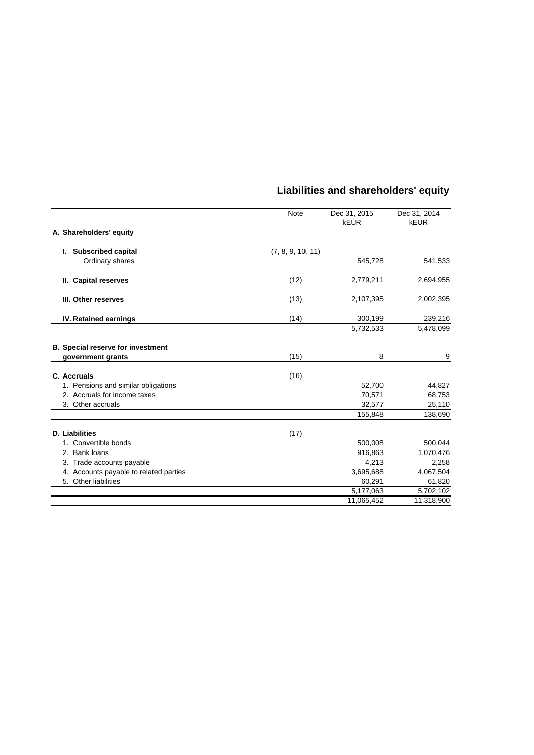|                                          | <b>Note</b>       | Dec 31, 2015 | Dec 31, 2014 |
|------------------------------------------|-------------------|--------------|--------------|
|                                          |                   | <b>kEUR</b>  | <b>kEUR</b>  |
| A. Shareholders' equity                  |                   |              |              |
| I. Subscribed capital                    | (7, 8, 9, 10, 11) |              |              |
| Ordinary shares                          |                   | 545,728      | 541,533      |
| II. Capital reserves                     | (12)              | 2,779,211    | 2,694,955    |
| III. Other reserves                      | (13)              | 2,107,395    | 2,002,395    |
| IV. Retained earnings                    | (14)              | 300,199      | 239,216      |
|                                          |                   | 5,732,533    | 5,478,099    |
|                                          |                   |              |              |
| <b>B.</b> Special reserve for investment |                   |              |              |
| government grants                        | (15)              | 8            | 9            |
| C. Accruals                              | (16)              |              |              |
| 1. Pensions and similar obligations      |                   | 52,700       | 44,827       |
| 2. Accruals for income taxes             |                   | 70,571       | 68,753       |
| 3. Other accruals                        |                   | 32,577       | 25,110       |
|                                          |                   | 155,848      | 138,690      |
| <b>D.</b> Liabilities                    | (17)              |              |              |
| 1. Convertible bonds                     |                   | 500,008      | 500,044      |
| 2. Bank loans                            |                   | 916,863      | 1,070,476    |
| 3. Trade accounts payable                |                   | 4,213        | 2,258        |
| 4. Accounts payable to related parties   |                   | 3,695,688    | 4,067,504    |
| 5. Other liabilities                     |                   | 60,291       | 61,820       |
|                                          |                   | 5,177,063    | 5,702,102    |
|                                          |                   | 11,065,452   | 11,318,900   |

## **Liabilities and shareholders' equity**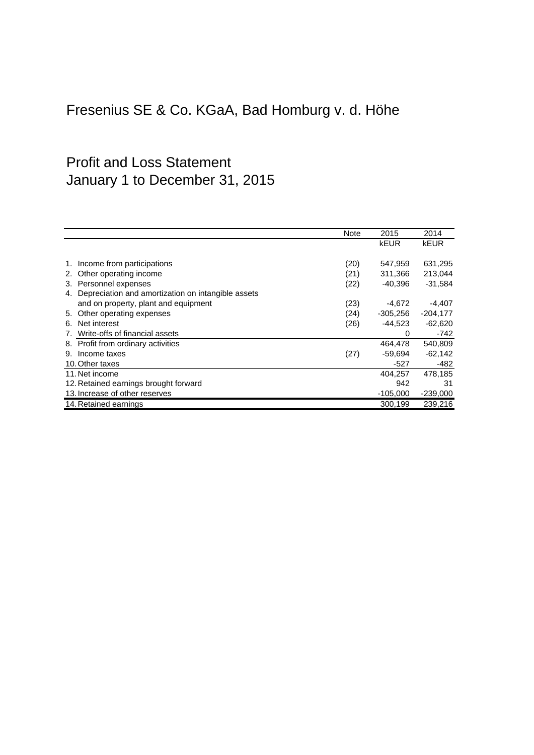# Fresenius SE & Co. KGaA, Bad Homburg v. d. Höhe

## Profit and Loss Statement January 1 to December 31, 2015

|                                                          | Note | 2015        | 2014        |
|----------------------------------------------------------|------|-------------|-------------|
|                                                          |      | <b>kEUR</b> | <b>kEUR</b> |
|                                                          |      |             |             |
| Income from participations<br>1.                         | (20) | 547,959     | 631,295     |
| Other operating income<br>2.                             | (21) | 311,366     | 213,044     |
| Personnel expenses<br>3.                                 | (22) | $-40,396$   | $-31,584$   |
| Depreciation and amortization on intangible assets<br>4. |      |             |             |
| and on property, plant and equipment                     | (23) | $-4,672$    | $-4,407$    |
| Other operating expenses<br>5.                           | (24) | $-305,256$  | $-204,177$  |
| Net interest<br>6.                                       | (26) | $-44,523$   | $-62,620$   |
| Write-offs of financial assets<br>7.                     |      | 0           | -742        |
| 8. Profit from ordinary activities                       |      | 464,478     | 540,809     |
| Income taxes<br>9.                                       | (27) | $-59,694$   | $-62,142$   |
| 10. Other taxes                                          |      | -527        | -482        |
| 11. Net income                                           |      | 404.257     | 478.185     |
| 12. Retained earnings brought forward                    |      | 942         | 31          |
| 13. Increase of other reserves                           |      | $-105,000$  | $-239,000$  |
| 14. Retained earnings                                    |      | 300,199     | 239,216     |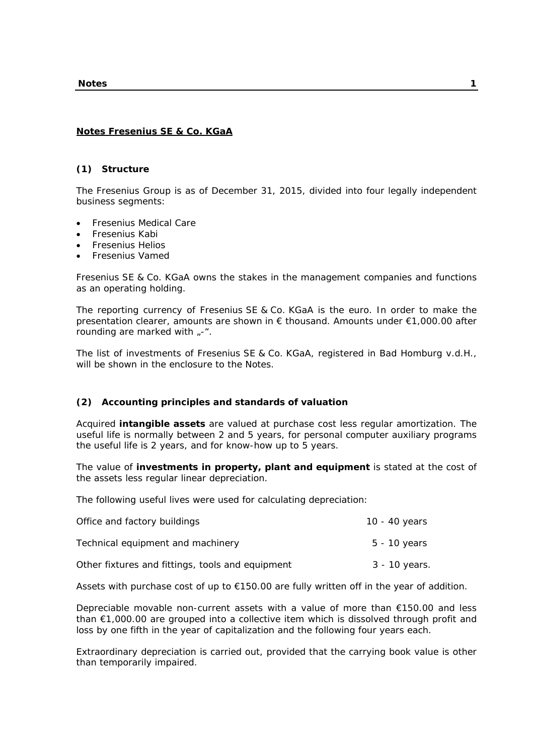### **Notes Fresenius SE & Co. KGaA**

### **(1) Structure**

The Fresenius Group is as of December 31, 2015, divided into four legally independent business segments:

- Fresenius Medical Care
- Fresenius Kabi
- Fresenius Helios
- Fresenius Vamed

Fresenius SE & Co. KGaA owns the stakes in the management companies and functions as an operating holding.

The reporting currency of Fresenius SE & Co. KGaA is the euro. In order to make the presentation clearer, amounts are shown in € thousand. Amounts under €1,000.00 after rounding are marked with  $\sqrt{2}$ .

The list of investments of Fresenius SE & Co. KGaA, registered in Bad Homburg v.d.H., will be shown in the enclosure to the Notes.

### **(2) Accounting principles and standards of valuation**

Acquired **intangible assets** are valued at purchase cost less regular amortization. The useful life is normally between 2 and 5 years, for personal computer auxiliary programs the useful life is 2 years, and for know-how up to 5 years.

The value of **investments in property, plant and equipment** is stated at the cost of the assets less regular linear depreciation.

The following useful lives were used for calculating depreciation:

| Office and factory buildings                     | 10 - 40 years |
|--------------------------------------------------|---------------|
| Technical equipment and machinery                | 5 - 10 years  |
| Other fixtures and fittings, tools and equipment | 3 - 10 years. |

Assets with purchase cost of up to €150.00 are fully written off in the year of addition.

Depreciable movable non-current assets with a value of more than €150.00 and less than €1,000.00 are grouped into a collective item which is dissolved through profit and loss by one fifth in the year of capitalization and the following four years each.

Extraordinary depreciation is carried out, provided that the carrying book value is other than temporarily impaired.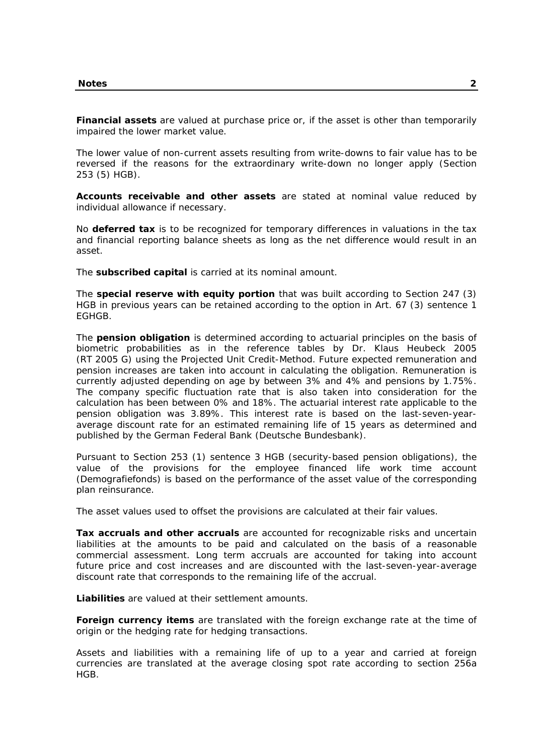**Financial assets** are valued at purchase price or, if the asset is other than temporarily impaired the lower market value.

The lower value of non-current assets resulting from write-downs to fair value has to be reversed if the reasons for the extraordinary write-down no longer apply (Section 253 (5) HGB).

**Accounts receivable and other assets** are stated at nominal value reduced by individual allowance if necessary.

No **deferred tax** is to be recognized for temporary differences in valuations in the tax and financial reporting balance sheets as long as the net difference would result in an asset.

The **subscribed capital** is carried at its nominal amount.

The **special reserve with equity portion** that was built according to Section 247 (3) HGB in previous years can be retained according to the option in Art. 67 (3) sentence 1 EGHGB.

The **pension obligation** is determined according to actuarial principles on the basis of biometric probabilities as in the reference tables by Dr. Klaus Heubeck 2005 (RT 2005 G) using the Projected Unit Credit-Method. Future expected remuneration and pension increases are taken into account in calculating the obligation. Remuneration is currently adjusted depending on age by between 3% and 4% and pensions by 1.75%. The company specific fluctuation rate that is also taken into consideration for the calculation has been between 0% and 18%. The actuarial interest rate applicable to the pension obligation was 3.89%. This interest rate is based on the last-seven-yearaverage discount rate for an estimated remaining life of 15 years as determined and published by the German Federal Bank (Deutsche Bundesbank).

Pursuant to Section 253 (1) sentence 3 HGB (security-based pension obligations), the value of the provisions for the employee financed life work time account (Demografiefonds) is based on the performance of the asset value of the corresponding plan reinsurance.

The asset values used to offset the provisions are calculated at their fair values.

**Tax accruals and other accruals** are accounted for recognizable risks and uncertain liabilities at the amounts to be paid and calculated on the basis of a reasonable commercial assessment. Long term accruals are accounted for taking into account future price and cost increases and are discounted with the last-seven-year-average discount rate that corresponds to the remaining life of the accrual.

**Liabilities** are valued at their settlement amounts.

**Foreign currency items** are translated with the foreign exchange rate at the time of origin or the hedging rate for hedging transactions.

Assets and liabilities with a remaining life of up to a year and carried at foreign currencies are translated at the average closing spot rate according to section 256a HGB.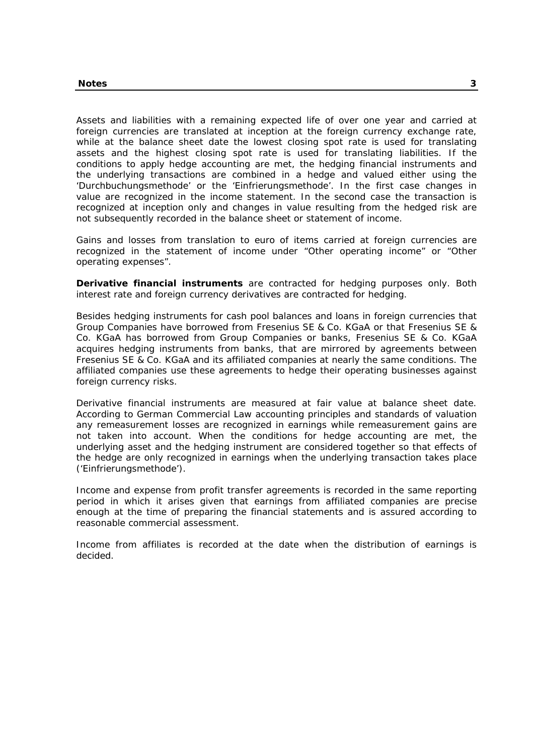Assets and liabilities with a remaining expected life of over one year and carried at foreign currencies are translated at inception at the foreign currency exchange rate, while at the balance sheet date the lowest closing spot rate is used for translating assets and the highest closing spot rate is used for translating liabilities. If the conditions to apply hedge accounting are met, the hedging financial instruments and the underlying transactions are combined in a hedge and valued either using the 'Durchbuchungsmethode' or the 'Einfrierungsmethode'. In the first case changes in value are recognized in the income statement. In the second case the transaction is recognized at inception only and changes in value resulting from the hedged risk are not subsequently recorded in the balance sheet or statement of income.

Gains and losses from translation to euro of items carried at foreign currencies are recognized in the statement of income under "Other operating income" or "Other operating expenses".

**Derivative financial instruments** are contracted for hedging purposes only. Both interest rate and foreign currency derivatives are contracted for hedging.

Besides hedging instruments for cash pool balances and loans in foreign currencies that Group Companies have borrowed from Fresenius SE & Co. KGaA or that Fresenius SE & Co. KGaA has borrowed from Group Companies or banks, Fresenius SE & Co. KGaA acquires hedging instruments from banks, that are mirrored by agreements between Fresenius SE & Co. KGaA and its affiliated companies at nearly the same conditions. The affiliated companies use these agreements to hedge their operating businesses against foreign currency risks.

Derivative financial instruments are measured at fair value at balance sheet date. According to German Commercial Law accounting principles and standards of valuation any remeasurement losses are recognized in earnings while remeasurement gains are not taken into account. When the conditions for hedge accounting are met, the underlying asset and the hedging instrument are considered together so that effects of the hedge are only recognized in earnings when the underlying transaction takes place ('Einfrierungsmethode').

Income and expense from profit transfer agreements is recorded in the same reporting period in which it arises given that earnings from affiliated companies are precise enough at the time of preparing the financial statements and is assured according to reasonable commercial assessment.

Income from affiliates is recorded at the date when the distribution of earnings is decided.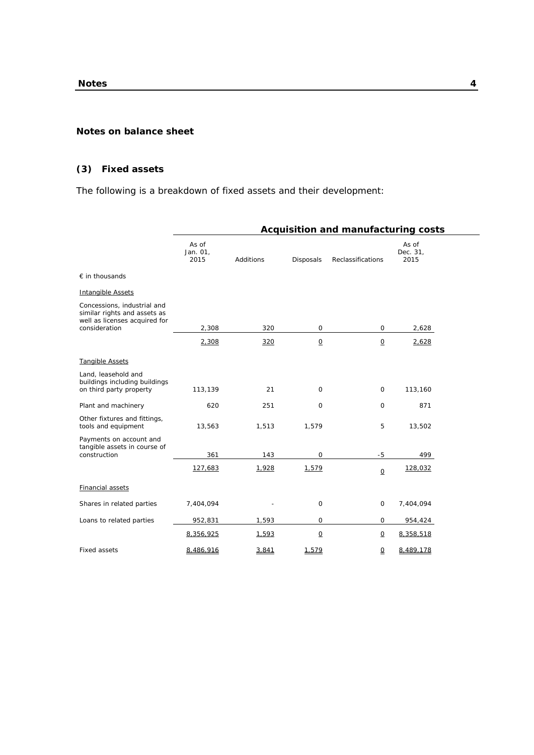### **Notes on balance sheet**

### **(3) Fixed assets**

The following is a breakdown of fixed assets and their development:

|                                                                                              | <b>Acquisition and manufacturing costs</b> |           |             |                   |                           |  |
|----------------------------------------------------------------------------------------------|--------------------------------------------|-----------|-------------|-------------------|---------------------------|--|
|                                                                                              | As of<br>Jan. 01,<br>2015                  | Additions | Disposals   | Reclassifications | As of<br>Dec. 31,<br>2015 |  |
| $\epsilon$ in thousands                                                                      |                                            |           |             |                   |                           |  |
| <b>Intangible Assets</b>                                                                     |                                            |           |             |                   |                           |  |
| Concessions, industrial and<br>similar rights and assets as<br>well as licenses acquired for |                                            |           |             |                   |                           |  |
| consideration                                                                                | 2,308<br>320<br>0                          | 0         | 2,628       |                   |                           |  |
|                                                                                              | 2,308                                      | 320       | $\Omega$    | $\Omega$          | 2,628                     |  |
| <b>Tangible Assets</b>                                                                       |                                            |           |             |                   |                           |  |
| Land, leasehold and<br>buildings including buildings<br>on third party property              | 113,139                                    | 21        | 0           | $\mathbf 0$       | 113,160                   |  |
| Plant and machinery                                                                          | 620                                        | 251       | $\mathbf 0$ | $\Omega$          | 871                       |  |
| Other fixtures and fittings,<br>tools and equipment                                          | 13,563                                     | 1,513     | 1,579       | 5                 | 13,502                    |  |
| Payments on account and<br>tangible assets in course of                                      |                                            |           |             |                   |                           |  |
| construction                                                                                 | 361                                        | 143       | $\mathbf 0$ | $-5$              | 499                       |  |
|                                                                                              | 127,683                                    | 1,928     | 1,579       | $\overline{0}$    | 128,032                   |  |
| <b>Financial assets</b>                                                                      |                                            |           |             |                   |                           |  |
| Shares in related parties                                                                    | 7,404,094                                  |           | 0           | $\mathbf 0$       | 7,404,094                 |  |
| Loans to related parties                                                                     | 952,831                                    | 1,593     | 0           | 0                 | 954,424                   |  |
|                                                                                              | 8,356,925                                  | 1,593     | $\Omega$    | $\overline{0}$    | 8,358,518                 |  |
| <b>Fixed assets</b>                                                                          | 8,486,916                                  | 3,841     | 1,579       | Ω                 | 8,489,178                 |  |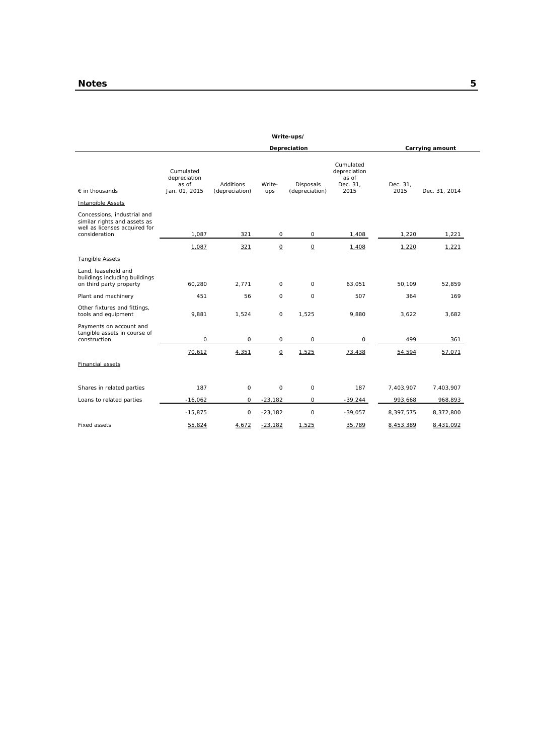| Write-ups/                                                                      |                                                     |                                    |                |                             |                                                        |                  |                 |
|---------------------------------------------------------------------------------|-----------------------------------------------------|------------------------------------|----------------|-----------------------------|--------------------------------------------------------|------------------|-----------------|
|                                                                                 |                                                     | Depreciation                       |                |                             |                                                        |                  | Carrying amount |
| $\epsilon$ in thousands<br><b>Intangible Assets</b>                             | Cumulated<br>depreciation<br>as of<br>Jan. 01, 2015 | <b>Additions</b><br>(depreciation) | Write-<br>ups  | Disposals<br>(depreciation) | Cumulated<br>depreciation<br>as of<br>Dec. 31,<br>2015 | Dec. 31,<br>2015 | Dec. 31, 2014   |
| Concessions, industrial and                                                     |                                                     |                                    |                |                             |                                                        |                  |                 |
| similar rights and assets as<br>well as licenses acquired for<br>consideration  | 1,087                                               | 321                                | $\circ$        | 0                           | 1,408                                                  | 1,220            | 1,221           |
|                                                                                 | 1,087                                               | 321                                | $\overline{o}$ | $\overline{0}$              | 1,408                                                  | 1,220            | 1,221           |
| <b>Tangible Assets</b>                                                          |                                                     |                                    |                |                             |                                                        |                  |                 |
| Land, leasehold and<br>buildings including buildings<br>on third party property | 60.280                                              | 2.771                              | $\circ$        | $\circ$                     | 63.051                                                 | 50.109           | 52,859          |
| Plant and machinery                                                             | 451                                                 | 56                                 | $\circ$        | $\mathbf 0$                 | 507                                                    | 364              | 169             |
| Other fixtures and fittings,<br>tools and equipment                             | 9,881                                               | 1,524                              | $\circ$        | 1,525                       | 9,880                                                  | 3,622            | 3,682           |
| Payments on account and<br>tangible assets in course of<br>construction         | $\circ$                                             | $\circ$                            | O              | 0                           | 0                                                      | 499              | 361             |
|                                                                                 | 70,612                                              | 4,351                              | $\overline{o}$ | 1,525                       | 73,438                                                 | 54,594           | 57,071          |
| Financial assets                                                                |                                                     |                                    |                |                             |                                                        |                  |                 |
| Shares in related parties                                                       | 187                                                 | $\mathbf 0$                        | $\circ$        | 0                           | 187                                                    | 7,403,907        | 7,403,907       |
| Loans to related parties                                                        | $-16,062$                                           | 0                                  | $-23,182$      | $\circ$                     | $-39,244$                                              | 993,668          | 968,893         |
|                                                                                 | $-15,875$                                           | 0                                  | $-23,182$      | $\overline{o}$              | $-39,057$                                              | 8,397,575        | 8,372,800       |
| <b>Fixed assets</b>                                                             | 55,824                                              | 4,672                              | $-23,182$      | 1,525                       | 35,789                                                 | 8,453,389        | 8,431,092       |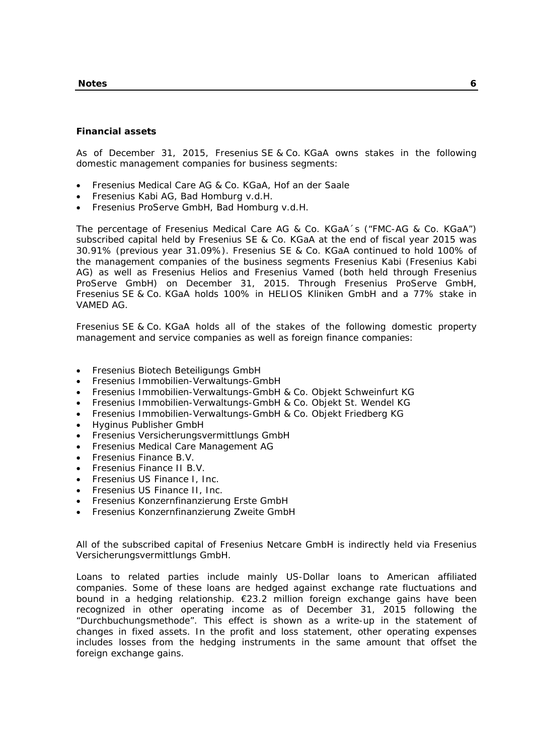### **Notes 6**

### **Financial assets**

As of December 31, 2015, Fresenius SE & Co. KGaA owns stakes in the following domestic management companies for business segments:

- Fresenius Medical Care AG & Co. KGaA, Hof an der Saale
- Fresenius Kabi AG, Bad Homburg v.d.H.
- Fresenius ProServe GmbH, Bad Homburg v.d.H.

The percentage of Fresenius Medical Care AG & Co. KGaA´s ("FMC-AG & Co. KGaA") subscribed capital held by Fresenius SE & Co. KGaA at the end of fiscal year 2015 was 30.91% (previous year 31.09%). Fresenius SE & Co. KGaA continued to hold 100% of the management companies of the business segments Fresenius Kabi (Fresenius Kabi AG) as well as Fresenius Helios and Fresenius Vamed (both held through Fresenius ProServe GmbH) on December 31, 2015. Through Fresenius ProServe GmbH, Fresenius SE & Co. KGaA holds 100% in HELIOS Kliniken GmbH and a 77% stake in VAMED AG.

Fresenius SE & Co. KGaA holds all of the stakes of the following domestic property management and service companies as well as foreign finance companies:

- Fresenius Biotech Beteiligungs GmbH
- Fresenius Immobilien-Verwaltungs-GmbH
- Fresenius Immobilien-Verwaltungs-GmbH & Co. Objekt Schweinfurt KG
- Fresenius Immobilien-Verwaltungs-GmbH & Co. Objekt St. Wendel KG
- Fresenius Immobilien-Verwaltungs-GmbH & Co. Objekt Friedberg KG
- Hyginus Publisher GmbH
- Fresenius Versicherungsvermittlungs GmbH
- Fresenius Medical Care Management AG
- Fresenius Finance B.V.
- Fresenius Finance II B.V.
- Fresenius US Finance I, Inc.
- Fresenius US Finance II, Inc.
- Fresenius Konzernfinanzierung Erste GmbH
- Fresenius Konzernfinanzierung Zweite GmbH

All of the subscribed capital of Fresenius Netcare GmbH is indirectly held via Fresenius Versicherungsvermittlungs GmbH.

Loans to related parties include mainly US-Dollar loans to American affiliated companies. Some of these loans are hedged against exchange rate fluctuations and bound in a hedging relationship. €23.2 million foreign exchange gains have been recognized in other operating income as of December 31, 2015 following the "Durchbuchungsmethode". This effect is shown as a write-up in the statement of changes in fixed assets. In the profit and loss statement, other operating expenses includes losses from the hedging instruments in the same amount that offset the foreign exchange gains.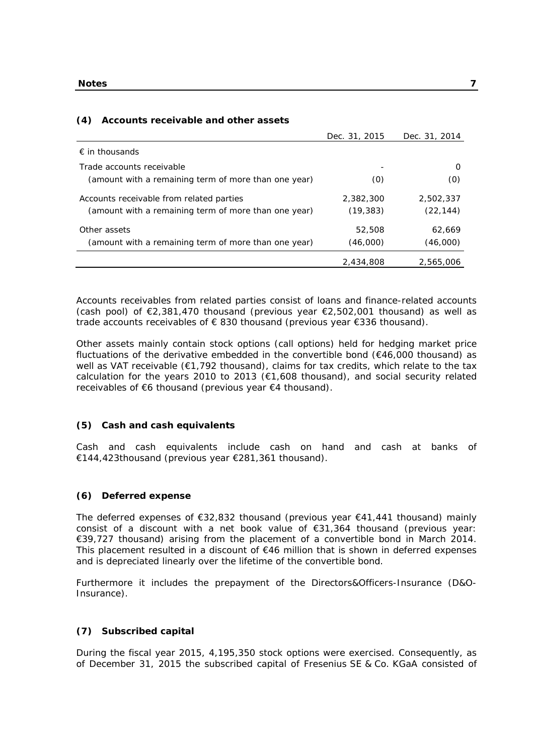|                                                      | Dec. 31, 2015 | Dec. 31, 2014 |
|------------------------------------------------------|---------------|---------------|
| $\epsilon$ in thousands                              |               |               |
| Trade accounts receivable                            |               | 0             |
| (amount with a remaining term of more than one year) | (0)           | (0)           |
| Accounts receivable from related parties             | 2,382,300     | 2,502,337     |
| (amount with a remaining term of more than one year) | (19, 383)     | (22, 144)     |
| Other assets                                         | 52,508        | 62,669        |
| (amount with a remaining term of more than one year) | (46,000)      | (46,000)      |
|                                                      | 2,434,808     | 2,565,006     |

### **(4) Accounts receivable and other assets**

Accounts receivables from related parties consist of loans and finance-related accounts (cash pool) of  $\epsilon$ 2,381,470 thousand (previous year  $\epsilon$ 2,502,001 thousand) as well as trade accounts receivables of € 830 thousand (previous year €336 thousand).

Other assets mainly contain stock options (call options) held for hedging market price fluctuations of the derivative embedded in the convertible bond  $(€46,000$  thousand) as well as VAT receivable (€1,792 thousand), claims for tax credits, which relate to the tax calculation for the years 2010 to 2013 ( $€1,608$  thousand), and social security related receivables of €6 thousand (previous year €4 thousand).

### **(5) Cash and cash equivalents**

Cash and cash equivalents include cash on hand and cash at banks of €144,423thousand (previous year €281,361 thousand).

### **(6) Deferred expense**

The deferred expenses of €32,832 thousand (previous year €41,441 thousand) mainly consist of a discount with a net book value of €31,364 thousand (previous year: €39,727 thousand) arising from the placement of a convertible bond in March 2014. This placement resulted in a discount of €46 million that is shown in deferred expenses and is depreciated linearly over the lifetime of the convertible bond.

Furthermore it includes the prepayment of the Directors&Officers-Insurance (D&O-Insurance).

### **(7) Subscribed capital**

During the fiscal year 2015, 4,195,350 stock options were exercised. Consequently, as of December 31, 2015 the subscribed capital of Fresenius SE & Co. KGaA consisted of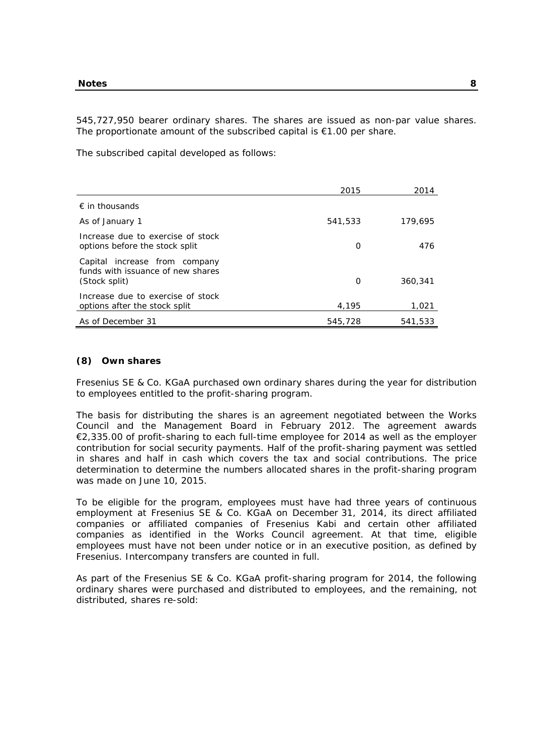545,727,950 bearer ordinary shares. The shares are issued as non-par value shares. The proportionate amount of the subscribed capital is  $€1.00$  per share.

The subscribed capital developed as follows:

|                                                                                     | 2015    | 2014    |
|-------------------------------------------------------------------------------------|---------|---------|
| $\epsilon$ in thousands                                                             |         |         |
| As of January 1                                                                     | 541,533 | 179.695 |
| Increase due to exercise of stock<br>options before the stock split                 | O       | 476     |
| Capital increase from company<br>funds with issuance of new shares<br>(Stock split) | O       | 360,341 |
| Increase due to exercise of stock<br>options after the stock split                  | 4,195   | 1,021   |
| As of December 31                                                                   | 545,728 | 541,533 |

### **(8) Own shares**

Fresenius SE & Co. KGaA purchased own ordinary shares during the year for distribution to employees entitled to the profit-sharing program.

The basis for distributing the shares is an agreement negotiated between the Works Council and the Management Board in February 2012. The agreement awards €2,335.00 of profit-sharing to each full-time employee for 2014 as well as the employer contribution for social security payments. Half of the profit-sharing payment was settled in shares and half in cash which covers the tax and social contributions. The price determination to determine the numbers allocated shares in the profit-sharing program was made on June 10, 2015.

To be eligible for the program, employees must have had three years of continuous employment at Fresenius SE & Co. KGaA on December 31, 2014, its direct affiliated companies or affiliated companies of Fresenius Kabi and certain other affiliated companies as identified in the Works Council agreement. At that time, eligible employees must have not been under notice or in an executive position, as defined by Fresenius. Intercompany transfers are counted in full.

As part of the Fresenius SE & Co. KGaA profit-sharing program for 2014, the following ordinary shares were purchased and distributed to employees, and the remaining, not distributed, shares re-sold: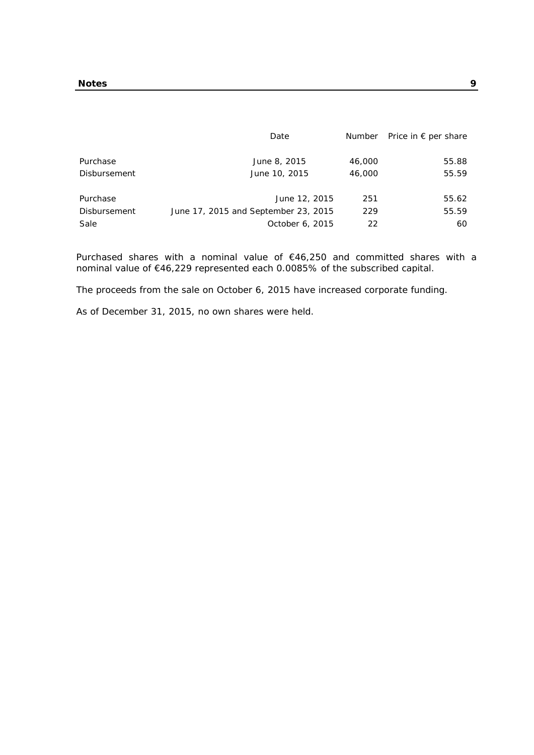|                     | Date                                 |        | Number Price in $\epsilon$ per share |
|---------------------|--------------------------------------|--------|--------------------------------------|
| Purchase            | June 8, 2015                         | 46,000 | 55.88                                |
| Disbursement        | June 10, 2015                        | 46,000 | 55.59                                |
|                     |                                      |        |                                      |
| Purchase            | June 12, 2015                        | 251    | 55.62                                |
| <b>Disbursement</b> | June 17, 2015 and September 23, 2015 | 229    | 55.59                                |
| Sale                | October 6, 2015                      | 22     | 60                                   |

Purchased shares with a nominal value of €46,250 and committed shares with a nominal value of €46,229 represented each 0.0085% of the subscribed capital.

The proceeds from the sale on October 6, 2015 have increased corporate funding.

As of December 31, 2015, no own shares were held.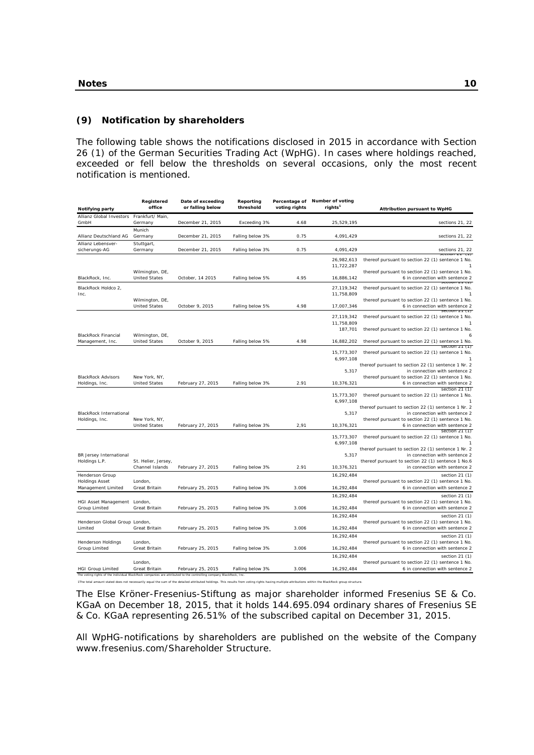### **(9) Notification by shareholders**

The following table shows the notifications disclosed in 2015 in accordance with Section 26 (1) of the German Securities Trading Act (WpHG). In cases where holdings reached, exceeded or fell below the thresholds on several occasions, only the most recent notification is mentioned.

| <b>Notifying party</b>                                                                                                                        | Registered<br>office                  | Date of exceeding<br>or falling below | Reporting<br>threshold | Percentage of<br>voting rights | Number of voting<br>rights <sup>1</sup> | <b>Attribution pursuant to WpHG</b>                                                  |
|-----------------------------------------------------------------------------------------------------------------------------------------------|---------------------------------------|---------------------------------------|------------------------|--------------------------------|-----------------------------------------|--------------------------------------------------------------------------------------|
| Allianz Global Investors                                                                                                                      | Frankfurt/Main,                       |                                       |                        |                                |                                         |                                                                                      |
| GmbH                                                                                                                                          | Germany                               | December 21, 2015                     | Exceeding 3%           | 4.68                           | 25,529,195                              | sections 21, 22                                                                      |
| Allianz Deutschland AG                                                                                                                        | Munich<br>Germany                     | December 21, 2015                     | Falling below 3%       | 0.75                           | 4,091,429                               | sections 21, 22                                                                      |
| Allianz Lebensver-                                                                                                                            | Stuttgart,                            |                                       |                        |                                |                                         |                                                                                      |
| sicherungs-AG                                                                                                                                 | Germany                               | December 21, 2015                     | Falling below 3%       | 0.75                           | 4,091,429                               | sections 21, 22                                                                      |
|                                                                                                                                               |                                       |                                       |                        |                                | 26,982,613                              | thereof pursuant to section 22 (1) sentence 1 No.                                    |
|                                                                                                                                               |                                       |                                       |                        |                                | 11,722,287                              |                                                                                      |
|                                                                                                                                               | Wilmington, DE,                       |                                       |                        |                                |                                         | thereof pursuant to section 22 (1) sentence 1 No.                                    |
| BlackRock, Inc.                                                                                                                               | <b>United States</b>                  | October, 14 2015                      | Falling below 5%       | 4.95                           | 16,886,142                              | 6 in connection with sentence 2<br><b>SCLIUITZ</b>                                   |
| BlackRock Holdco 2,                                                                                                                           |                                       |                                       |                        |                                | 27,119,342                              | thereof pursuant to section 22 (1) sentence 1 No.                                    |
| Inc.                                                                                                                                          | Wilmington, DE,                       |                                       |                        |                                | 11,758,809                              | thereof pursuant to section 22 (1) sentence 1 No.                                    |
|                                                                                                                                               | <b>United States</b>                  | October 9, 2015                       | Falling below 5%       | 4.98                           | 17,007,346                              | 6 in connection with sentence 2                                                      |
|                                                                                                                                               |                                       |                                       |                        |                                |                                         | section 21 (1)                                                                       |
|                                                                                                                                               |                                       |                                       |                        |                                | 27,119,342<br>11,758,809                | thereof pursuant to section 22 (1) sentence 1 No.                                    |
|                                                                                                                                               |                                       |                                       |                        |                                | 187,701                                 | thereof pursuant to section 22 (1) sentence 1 No.                                    |
| <b>BlackRock Financial</b>                                                                                                                    | Wilmington, DE,                       |                                       |                        |                                |                                         |                                                                                      |
| Management, Inc.                                                                                                                              | <b>United States</b>                  | October 9, 2015                       | Falling below 5%       | 4.98                           | 16,882,202                              | thereof pursuant to section 22 (1) sentence 1 No.<br>section $21(1)$                 |
|                                                                                                                                               |                                       |                                       |                        |                                | 15,773,307                              | thereof pursuant to section 22 (1) sentence 1 No.                                    |
|                                                                                                                                               |                                       |                                       |                        |                                | 6,997,108                               |                                                                                      |
|                                                                                                                                               |                                       |                                       |                        |                                | 5,317                                   | thereof pursuant to section 22 (1) sentence 1 Nr. 2<br>in connection with sentence 2 |
| <b>BlackRock Advisors</b>                                                                                                                     | New York, NY,                         |                                       |                        |                                |                                         | thereof pursuant to section 22 (1) sentence 1 No                                     |
| Holdings, Inc.                                                                                                                                | <b>United States</b>                  | February 27, 2015                     | Falling below 3%       | 2.91                           | 10,376,321                              | 6 in connection with sentence 2                                                      |
|                                                                                                                                               |                                       |                                       |                        |                                | 15,773,307                              | section $21(1)$<br>thereof pursuant to section 22 (1) sentence 1 No                  |
|                                                                                                                                               |                                       |                                       |                        |                                | 6,997,108                               |                                                                                      |
|                                                                                                                                               |                                       |                                       |                        |                                |                                         | thereof pursuant to section 22 (1) sentence 1 Nr. 2                                  |
| <b>BlackRock International</b>                                                                                                                |                                       |                                       |                        |                                | 5,317                                   | in connection with sentence 2                                                        |
| Holdings, Inc.                                                                                                                                | New York, NY,<br><b>United States</b> | February 27, 2015                     | Falling below 3%       | 2,91                           | 10,376,321                              | thereof pursuant to section 22 (1) sentence 1 No<br>6 in connection with sentence 2  |
|                                                                                                                                               |                                       |                                       |                        |                                |                                         | section 21 (1)                                                                       |
|                                                                                                                                               |                                       |                                       |                        |                                | 15,773,307                              | thereof pursuant to section 22 (1) sentence 1 No                                     |
|                                                                                                                                               |                                       |                                       |                        |                                | 6,997,108                               | thereof pursuant to section 22 (1) sentence 1 Nr. 2                                  |
| BR Jersey International                                                                                                                       |                                       |                                       |                        |                                | 5,317                                   | in connection with sentence 2                                                        |
| Holdings L.P.                                                                                                                                 | St. Helier, Jersey,                   |                                       |                        |                                |                                         | thereof pursuant to section 22 (1) sentence 1 No.6                                   |
|                                                                                                                                               | Channel Islands                       | February 27, 2015                     | Falling below 3%       | 2.91                           | 10,376,321                              | in connection with sentence 2                                                        |
| Henderson Group<br><b>Holdings Asset</b>                                                                                                      | London,                               |                                       |                        |                                | 16,292,484                              | section 21 (1)<br>thereof pursuant to section 22 (1) sentence 1 No                   |
| Management Limited                                                                                                                            | Great Britain                         | February 25, 2015                     | Falling below 3%       | 3.006                          | 16,292,484                              | 6 in connection with sentence 2                                                      |
|                                                                                                                                               |                                       |                                       |                        |                                | 16,292,484                              | section $21(1)$                                                                      |
| <b>HGI Asset Management</b>                                                                                                                   | London,                               |                                       |                        |                                |                                         | thereof pursuant to section 22 (1) sentence 1 No                                     |
| Group Limited                                                                                                                                 | Great Britain                         | February 25, 2015                     | Falling below 3%       | 3.006                          | 16,292,484                              | 6 in connection with sentence 2                                                      |
|                                                                                                                                               |                                       |                                       |                        |                                | 16,292,484                              | section $21(1)$                                                                      |
| Henderson Global Group London,<br>Limited                                                                                                     | Great Britain                         | February 25, 2015                     | Falling below 3%       | 3.006                          | 16,292,484                              | thereof pursuant to section 22 (1) sentence 1 No<br>6 in connection with sentence 2  |
|                                                                                                                                               |                                       |                                       |                        |                                | 16,292,484                              | section 21 (1)                                                                       |
| <b>Henderson Holdings</b>                                                                                                                     | London,                               |                                       |                        |                                |                                         | thereof pursuant to section 22 (1) sentence 1 No                                     |
| Group Limited                                                                                                                                 | <b>Great Britain</b>                  | February 25, 2015                     | Falling below 3%       | 3.006                          | 16,292,484                              | 6 in connection with sentence 2                                                      |
|                                                                                                                                               |                                       |                                       |                        |                                | 16,292,484                              | section $21(1)$                                                                      |
|                                                                                                                                               | London,                               |                                       |                        |                                |                                         | thereof pursuant to section 22 (1) sentence 1 No                                     |
| <b>HGI Group Limited</b><br>The voting rights of the individual BlackRock companies are attributed to the controlling company BlackRock, Inc. | Great Britain                         | February 25, 2015                     | Falling below 3%       | 3.006                          | 16,292,484                              | 6 in connection with sentence 2                                                      |

1The total amount stated does not necessarily equal the sum of the detailed attributed holdings. This results from voting rights having multiple attributions within the BlackRock group structure.

The Else Kröner-Fresenius-Stiftung as major shareholder informed Fresenius SE & Co. KGaA on December 18, 2015, that it holds 144.695.094 ordinary shares of Fresenius SE & Co. KGaA representing 26.51% of the subscribed capital on December 31, 2015.

All WpHG-notifications by shareholders are published on the website of the Company www.fresenius.com/Shareholder Structure.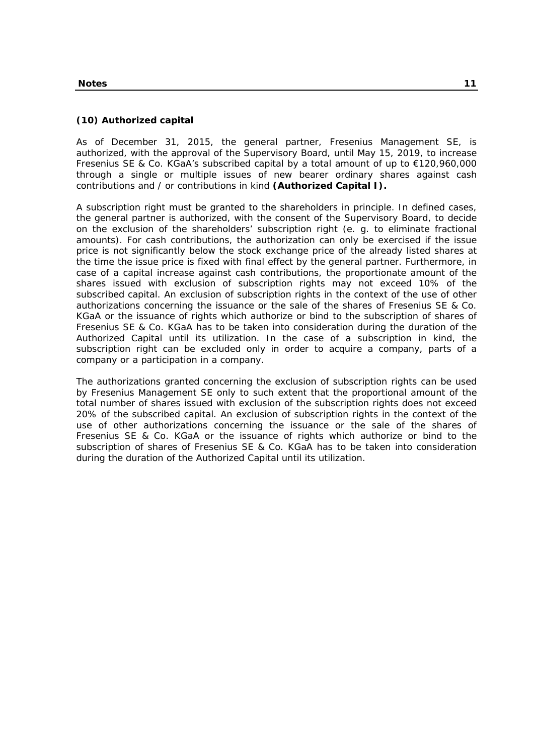### **(10) Authorized capital**

As of December 31, 2015, the general partner, Fresenius Management SE, is authorized, with the approval of the Supervisory Board, until May 15, 2019, to increase Fresenius SE & Co. KGaA's subscribed capital by a total amount of up to €120,960,000 through a single or multiple issues of new bearer ordinary shares against cash contributions and / or contributions in kind **(Authorized Capital I).**

A subscription right must be granted to the shareholders in principle. In defined cases, the general partner is authorized, with the consent of the Supervisory Board, to decide on the exclusion of the shareholders' subscription right (e. g. to eliminate fractional amounts). For cash contributions, the authorization can only be exercised if the issue price is not significantly below the stock exchange price of the already listed shares at the time the issue price is fixed with final effect by the general partner. Furthermore, in case of a capital increase against cash contributions, the proportionate amount of the shares issued with exclusion of subscription rights may not exceed 10% of the subscribed capital. An exclusion of subscription rights in the context of the use of other authorizations concerning the issuance or the sale of the shares of Fresenius SE & Co. KGaA or the issuance of rights which authorize or bind to the subscription of shares of Fresenius SE & Co. KGaA has to be taken into consideration during the duration of the Authorized Capital until its utilization. In the case of a subscription in kind, the subscription right can be excluded only in order to acquire a company, parts of a company or a participation in a company.

The authorizations granted concerning the exclusion of subscription rights can be used by Fresenius Management SE only to such extent that the proportional amount of the total number of shares issued with exclusion of the subscription rights does not exceed 20% of the subscribed capital. An exclusion of subscription rights in the context of the use of other authorizations concerning the issuance or the sale of the shares of Fresenius SE & Co. KGaA or the issuance of rights which authorize or bind to the subscription of shares of Fresenius SE & Co. KGaA has to be taken into consideration during the duration of the Authorized Capital until its utilization.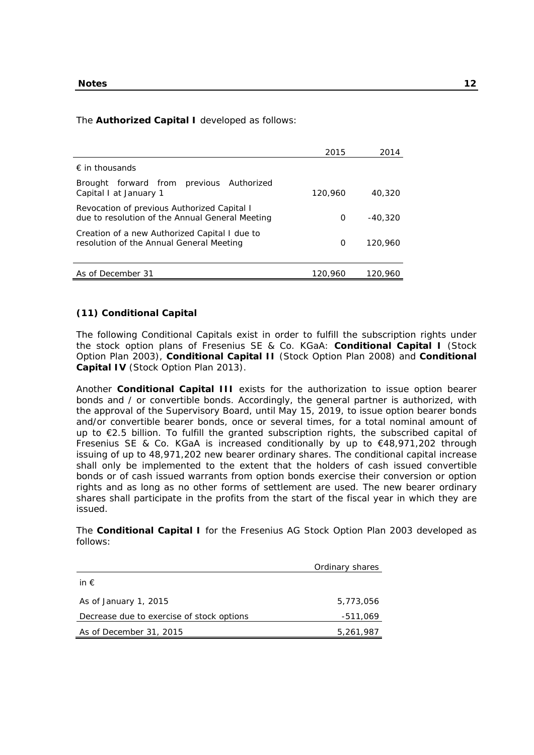The **Authorized Capital I** developed as follows:

|                                                                                                | 2015    | 2014      |
|------------------------------------------------------------------------------------------------|---------|-----------|
| $\epsilon$ in thousands                                                                        |         |           |
| Brought forward from previous Authorized<br>Capital I at January 1                             | 120,960 | 40,320    |
| Revocation of previous Authorized Capital I<br>due to resolution of the Annual General Meeting | O       | $-40.320$ |
| Creation of a new Authorized Capital I due to<br>resolution of the Annual General Meeting      | 0       | 120,960   |
| As of December 31                                                                              | 120,960 | 120,960   |

### **(11) Conditional Capital**

The following Conditional Capitals exist in order to fulfill the subscription rights under the stock option plans of Fresenius SE & Co. KGaA: **Conditional Capital I** (Stock Option Plan 2003), **Conditional Capital II** (Stock Option Plan 2008) and **Conditional Capital IV** (Stock Option Plan 2013).

Another **Conditional Capital III** exists for the authorization to issue option bearer bonds and / or convertible bonds. Accordingly, the general partner is authorized, with the approval of the Supervisory Board, until May 15, 2019, to issue option bearer bonds and/or convertible bearer bonds, once or several times, for a total nominal amount of up to €2.5 billion. To fulfill the granted subscription rights, the subscribed capital of Fresenius SE & Co. KGaA is increased conditionally by up to €48,971,202 through issuing of up to 48,971,202 new bearer ordinary shares. The conditional capital increase shall only be implemented to the extent that the holders of cash issued convertible bonds or of cash issued warrants from option bonds exercise their conversion or option rights and as long as no other forms of settlement are used. The new bearer ordinary shares shall participate in the profits from the start of the fiscal year in which they are issued.

The **Conditional Capital I** for the Fresenius AG Stock Option Plan 2003 developed as follows:

|                                           | Ordinary shares |
|-------------------------------------------|-----------------|
| in $\epsilon$                             |                 |
| As of January 1, 2015                     | 5,773,056       |
| Decrease due to exercise of stock options | -511,069        |
| As of December 31, 2015                   | 5,261,987       |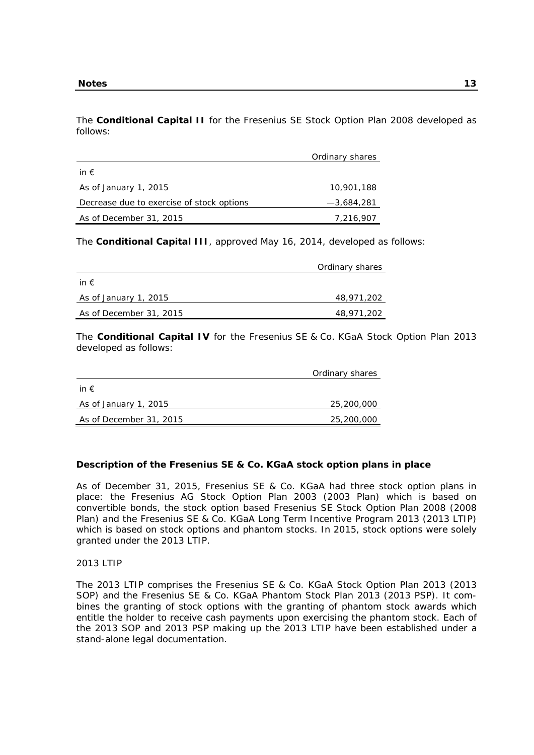The **Conditional Capital II** for the Fresenius SE Stock Option Plan 2008 developed as follows:

|                                           | Ordinary shares |
|-------------------------------------------|-----------------|
| in $\epsilon$                             |                 |
| As of January 1, 2015                     | 10,901,188      |
| Decrease due to exercise of stock options | $-3.684.281$    |
| As of December 31, 2015                   | 7,216,907       |

The **Conditional Capital III**, approved May 16, 2014, developed as follows:

|                         | Ordinary shares |
|-------------------------|-----------------|
| in $\epsilon$           |                 |
| As of January 1, 2015   | 48,971,202      |
| As of December 31, 2015 | 48,971,202      |

The **Conditional Capital IV** for the Fresenius SE & Co. KGaA Stock Option Plan 2013 developed as follows:

|                         | Ordinary shares |
|-------------------------|-----------------|
| in $\epsilon$           |                 |
| As of January 1, 2015   | 25,200,000      |
| As of December 31, 2015 | 25,200,000      |

### **Description of the Fresenius SE & Co. KGaA stock option plans in place**

As of December 31, 2015, Fresenius SE & Co. KGaA had three stock option plans in place: the Fresenius AG Stock Option Plan 2003 (2003 Plan) which is based on convertible bonds, the stock option based Fresenius SE Stock Option Plan 2008 (2008 Plan) and the Fresenius SE & Co. KGaA Long Term Incentive Program 2013 (2013 LTIP) which is based on stock options and phantom stocks. In 2015, stock options were solely granted under the 2013 LTIP.

### 2013 LTIP

The 2013 LTIP comprises the Fresenius SE & Co. KGaA Stock Option Plan 2013 (2013 SOP) and the Fresenius SE & Co. KGaA Phantom Stock Plan 2013 (2013 PSP). It combines the granting of stock options with the granting of phantom stock awards which entitle the holder to receive cash payments upon exercising the phantom stock. Each of the 2013 SOP and 2013 PSP making up the 2013 LTIP have been established under a stand-alone legal documentation.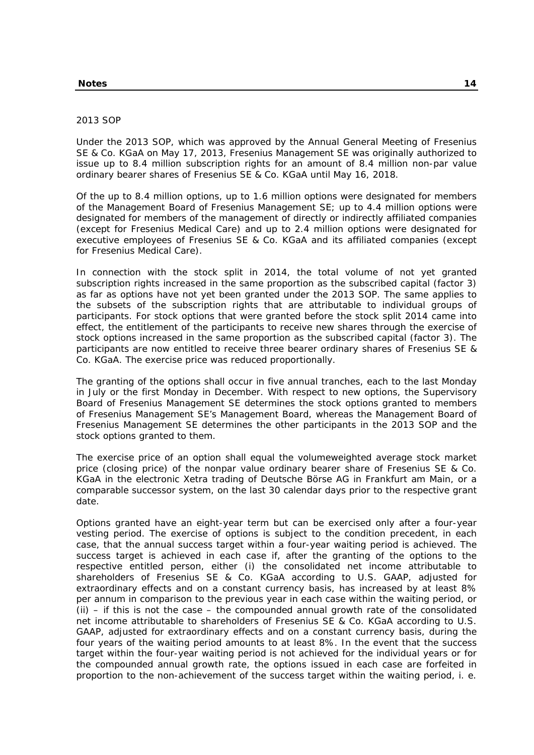#### 2013 SOP

Under the 2013 SOP, which was approved by the Annual General Meeting of Fresenius SE & Co. KGaA on May 17, 2013, Fresenius Management SE was originally authorized to issue up to 8.4 million subscription rights for an amount of 8.4 million non-par value ordinary bearer shares of Fresenius SE & Co. KGaA until May 16, 2018.

Of the up to 8.4 million options, up to 1.6 million options were designated for members of the Management Board of Fresenius Management SE; up to 4.4 million options were designated for members of the management of directly or indirectly affiliated companies (except for Fresenius Medical Care) and up to 2.4 million options were designated for executive employees of Fresenius SE & Co. KGaA and its affiliated companies (except for Fresenius Medical Care).

In connection with the stock split in 2014, the total volume of not yet granted subscription rights increased in the same proportion as the subscribed capital (factor 3) as far as options have not yet been granted under the 2013 SOP. The same applies to the subsets of the subscription rights that are attributable to individual groups of participants. For stock options that were granted before the stock split 2014 came into effect, the entitlement of the participants to receive new shares through the exercise of stock options increased in the same proportion as the subscribed capital (factor 3). The participants are now entitled to receive three bearer ordinary shares of Fresenius SE & Co. KGaA. The exercise price was reduced proportionally.

The granting of the options shall occur in five annual tranches, each to the last Monday in July or the first Monday in December. With respect to new options, the Supervisory Board of Fresenius Management SE determines the stock options granted to members of Fresenius Management SE's Management Board, whereas the Management Board of Fresenius Management SE determines the other participants in the 2013 SOP and the stock options granted to them.

The exercise price of an option shall equal the volumeweighted average stock market price (closing price) of the nonpar value ordinary bearer share of Fresenius SE & Co. KGaA in the electronic Xetra trading of Deutsche Börse AG in Frankfurt am Main, or a comparable successor system, on the last 30 calendar days prior to the respective grant date.

Options granted have an eight-year term but can be exercised only after a four-year vesting period. The exercise of options is subject to the condition precedent, in each case, that the annual success target within a four-year waiting period is achieved. The success target is achieved in each case if, after the granting of the options to the respective entitled person, either (i) the consolidated net income attributable to shareholders of Fresenius SE & Co. KGaA according to U.S. GAAP, adjusted for extraordinary effects and on a constant currency basis, has increased by at least 8% per annum in comparison to the previous year in each case within the waiting period, or  $(ii)$  – if this is not the case – the compounded annual growth rate of the consolidated net income attributable to shareholders of Fresenius SE & Co. KGaA according to U.S. GAAP, adjusted for extraordinary effects and on a constant currency basis, during the four years of the waiting period amounts to at least 8%. In the event that the success target within the four-year waiting period is not achieved for the individual years or for the compounded annual growth rate, the options issued in each case are forfeited in proportion to the non-achievement of the success target within the waiting period, i. e.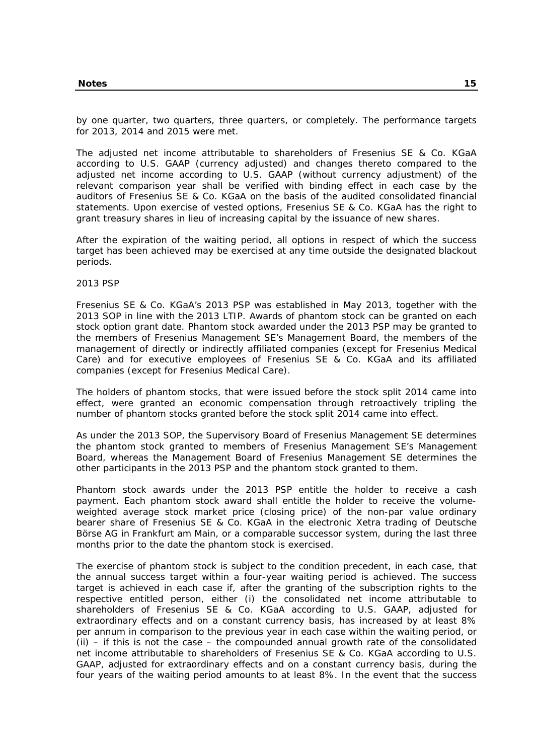by one quarter, two quarters, three quarters, or completely. The performance targets for 2013, 2014 and 2015 were met.

The adjusted net income attributable to shareholders of Fresenius SE & Co. KGaA according to U.S. GAAP (currency adjusted) and changes thereto compared to the adjusted net income according to U.S. GAAP (without currency adjustment) of the relevant comparison year shall be verified with binding effect in each case by the auditors of Fresenius SE & Co. KGaA on the basis of the audited consolidated financial statements. Upon exercise of vested options, Fresenius SE & Co. KGaA has the right to grant treasury shares in lieu of increasing capital by the issuance of new shares.

After the expiration of the waiting period, all options in respect of which the success target has been achieved may be exercised at any time outside the designated blackout periods.

2013 PSP

Fresenius SE & Co. KGaA's 2013 PSP was established in May 2013, together with the 2013 SOP in line with the 2013 LTIP. Awards of phantom stock can be granted on each stock option grant date. Phantom stock awarded under the 2013 PSP may be granted to the members of Fresenius Management SE's Management Board, the members of the management of directly or indirectly affiliated companies (except for Fresenius Medical Care) and for executive employees of Fresenius SE & Co. KGaA and its affiliated companies (except for Fresenius Medical Care).

The holders of phantom stocks, that were issued before the stock split 2014 came into effect, were granted an economic compensation through retroactively tripling the number of phantom stocks granted before the stock split 2014 came into effect.

As under the 2013 SOP, the Supervisory Board of Fresenius Management SE determines the phantom stock granted to members of Fresenius Management SE's Management Board, whereas the Management Board of Fresenius Management SE determines the other participants in the 2013 PSP and the phantom stock granted to them.

Phantom stock awards under the 2013 PSP entitle the holder to receive a cash payment. Each phantom stock award shall entitle the holder to receive the volumeweighted average stock market price (closing price) of the non-par value ordinary bearer share of Fresenius SE & Co. KGaA in the electronic Xetra trading of Deutsche Börse AG in Frankfurt am Main, or a comparable successor system, during the last three months prior to the date the phantom stock is exercised.

The exercise of phantom stock is subject to the condition precedent, in each case, that the annual success target within a four-year waiting period is achieved. The success target is achieved in each case if, after the granting of the subscription rights to the respective entitled person, either (i) the consolidated net income attributable to shareholders of Fresenius SE & Co. KGaA according to U.S. GAAP, adjusted for extraordinary effects and on a constant currency basis, has increased by at least 8% per annum in comparison to the previous year in each case within the waiting period, or  $(i)$  – if this is not the case – the compounded annual growth rate of the consolidated net income attributable to shareholders of Fresenius SE & Co. KGaA according to U.S. GAAP, adjusted for extraordinary effects and on a constant currency basis, during the four years of the waiting period amounts to at least 8%. In the event that the success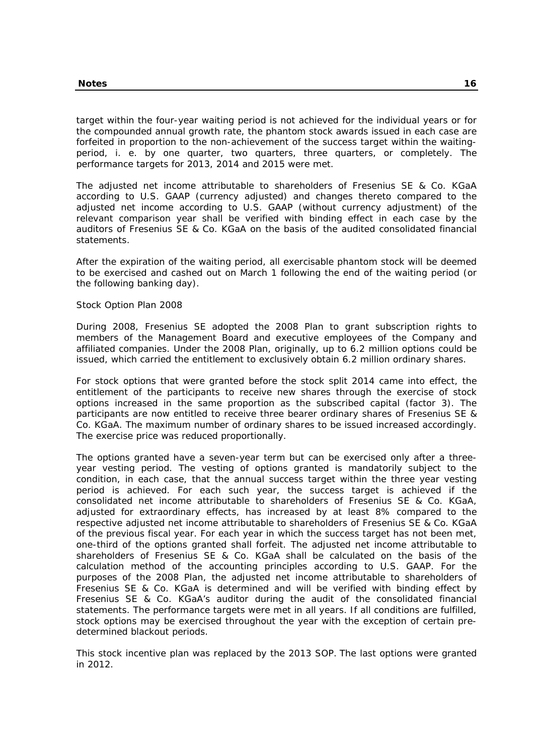target within the four-year waiting period is not achieved for the individual years or for the compounded annual growth rate, the phantom stock awards issued in each case are forfeited in proportion to the non-achievement of the success target within the waitingperiod, i. e. by one quarter, two quarters, three quarters, or completely. The performance targets for 2013, 2014 and 2015 were met.

The adjusted net income attributable to shareholders of Fresenius SE & Co. KGaA according to U.S. GAAP (currency adjusted) and changes thereto compared to the adjusted net income according to U.S. GAAP (without currency adjustment) of the relevant comparison year shall be verified with binding effect in each case by the auditors of Fresenius SE & Co. KGaA on the basis of the audited consolidated financial statements.

After the expiration of the waiting period, all exercisable phantom stock will be deemed to be exercised and cashed out on March 1 following the end of the waiting period (or the following banking day).

### Stock Option Plan 2008

During 2008, Fresenius SE adopted the 2008 Plan to grant subscription rights to members of the Management Board and executive employees of the Company and affiliated companies. Under the 2008 Plan, originally, up to 6.2 million options could be issued, which carried the entitlement to exclusively obtain 6.2 million ordinary shares.

For stock options that were granted before the stock split 2014 came into effect, the entitlement of the participants to receive new shares through the exercise of stock options increased in the same proportion as the subscribed capital (factor 3). The participants are now entitled to receive three bearer ordinary shares of Fresenius SE & Co. KGaA. The maximum number of ordinary shares to be issued increased accordingly. The exercise price was reduced proportionally.

The options granted have a seven-year term but can be exercised only after a threeyear vesting period. The vesting of options granted is mandatorily subject to the condition, in each case, that the annual success target within the three year vesting period is achieved. For each such year, the success target is achieved if the consolidated net income attributable to shareholders of Fresenius SE & Co. KGaA, adjusted for extraordinary effects, has increased by at least 8% compared to the respective adjusted net income attributable to shareholders of Fresenius SE & Co. KGaA of the previous fiscal year. For each year in which the success target has not been met, one-third of the options granted shall forfeit. The adjusted net income attributable to shareholders of Fresenius SE & Co. KGaA shall be calculated on the basis of the calculation method of the accounting principles according to U.S. GAAP. For the purposes of the 2008 Plan, the adjusted net income attributable to shareholders of Fresenius SE & Co. KGaA is determined and will be verified with binding effect by Fresenius SE & Co. KGaA's auditor during the audit of the consolidated financial statements. The performance targets were met in all years. If all conditions are fulfilled, stock options may be exercised throughout the year with the exception of certain predetermined blackout periods.

This stock incentive plan was replaced by the 2013 SOP. The last options were granted in 2012.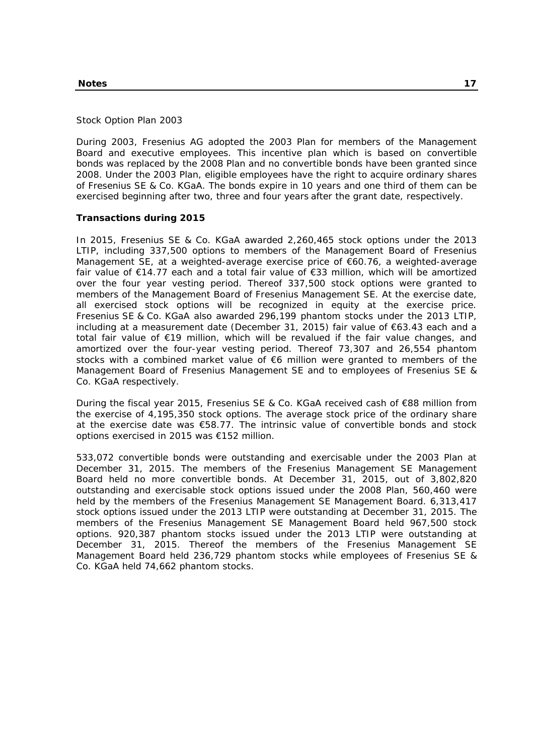### Stock Option Plan 2003

During 2003, Fresenius AG adopted the 2003 Plan for members of the Management Board and executive employees. This incentive plan which is based on convertible bonds was replaced by the 2008 Plan and no convertible bonds have been granted since 2008. Under the 2003 Plan, eligible employees have the right to acquire ordinary shares of Fresenius SE & Co. KGaA. The bonds expire in 10 years and one third of them can be exercised beginning after two, three and four years after the grant date, respectively.

### **Transactions during 2015**

In 2015, Fresenius SE & Co. KGaA awarded 2,260,465 stock options under the 2013 LTIP, including 337,500 options to members of the Management Board of Fresenius Management SE, at a weighted-average exercise price of €60.76, a weighted-average fair value of €14.77 each and a total fair value of €33 million, which will be amortized over the four year vesting period. Thereof 337,500 stock options were granted to members of the Management Board of Fresenius Management SE. At the exercise date, all exercised stock options will be recognized in equity at the exercise price. Fresenius SE & Co. KGaA also awarded 296,199 phantom stocks under the 2013 LTIP, including at a measurement date (December 31, 2015) fair value of €63.43 each and a total fair value of €19 million, which will be revalued if the fair value changes, and amortized over the four-year vesting period. Thereof 73,307 and 26,554 phantom stocks with a combined market value of €6 million were granted to members of the Management Board of Fresenius Management SE and to employees of Fresenius SE & Co. KGaA respectively.

During the fiscal year 2015, Fresenius SE & Co. KGaA received cash of €88 million from the exercise of 4,195,350 stock options. The average stock price of the ordinary share at the exercise date was €58.77. The intrinsic value of convertible bonds and stock options exercised in 2015 was €152 million.

533,072 convertible bonds were outstanding and exercisable under the 2003 Plan at December 31, 2015. The members of the Fresenius Management SE Management Board held no more convertible bonds. At December 31, 2015, out of 3,802,820 outstanding and exercisable stock options issued under the 2008 Plan, 560,460 were held by the members of the Fresenius Management SE Management Board. 6,313,417 stock options issued under the 2013 LTIP were outstanding at December 31, 2015. The members of the Fresenius Management SE Management Board held 967,500 stock options. 920,387 phantom stocks issued under the 2013 LTIP were outstanding at December 31, 2015. Thereof the members of the Fresenius Management SE Management Board held 236,729 phantom stocks while employees of Fresenius SE & Co. KGaA held 74,662 phantom stocks.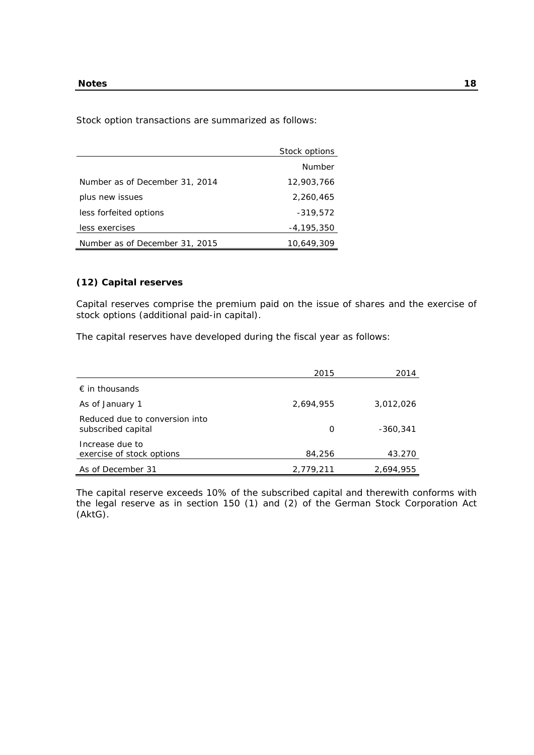Stock option transactions are summarized as follows:

|                                | Stock options  |
|--------------------------------|----------------|
|                                | Number         |
| Number as of December 31, 2014 | 12,903,766     |
| plus new issues                | 2,260,465      |
| less forfeited options         | $-319.572$     |
| less exercises                 | $-4, 195, 350$ |
| Number as of December 31, 2015 | 10,649,309     |

### **(12) Capital reserves**

Capital reserves comprise the premium paid on the issue of shares and the exercise of stock options (additional paid-in capital).

The capital reserves have developed during the fiscal year as follows:

|                                                      | 2015      | 2014       |
|------------------------------------------------------|-----------|------------|
| $\epsilon$ in thousands                              |           |            |
| As of January 1                                      | 2,694,955 | 3,012,026  |
| Reduced due to conversion into<br>subscribed capital | 0         | $-360,341$ |
| Increase due to<br>exercise of stock options         | 84,256    | 43.270     |
| As of December 31                                    | 2,779,211 | 2,694,955  |

The capital reserve exceeds 10% of the subscribed capital and therewith conforms with the legal reserve as in section 150 (1) and (2) of the German Stock Corporation Act (AktG).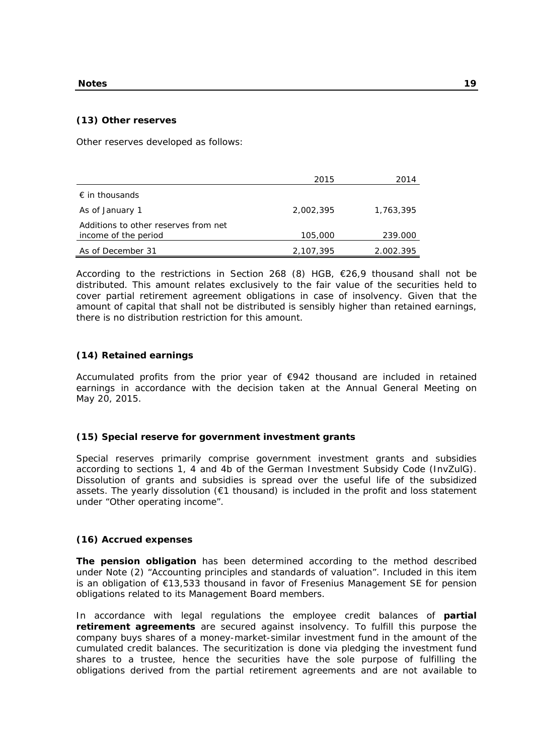### **(13) Other reserves**

Other reserves developed as follows:

|                                      | 2015      | 2014      |
|--------------------------------------|-----------|-----------|
| $\epsilon$ in thousands              |           |           |
| As of January 1                      | 2,002,395 | 1,763,395 |
| Additions to other reserves from net |           |           |
| income of the period                 | 105,000   | 239.000   |
| As of December 31                    | 2,107,395 | 2.002.395 |

According to the restrictions in Section 268 (8) HGB, €26,9 thousand shall not be distributed. This amount relates exclusively to the fair value of the securities held to cover partial retirement agreement obligations in case of insolvency. Given that the amount of capital that shall not be distributed is sensibly higher than retained earnings, there is no distribution restriction for this amount.

### **(14) Retained earnings**

Accumulated profits from the prior year of €942 thousand are included in retained earnings in accordance with the decision taken at the Annual General Meeting on May 20, 2015.

### **(15) Special reserve for government investment grants**

Special reserves primarily comprise government investment grants and subsidies according to sections 1, 4 and 4b of the German Investment Subsidy Code (InvZulG). Dissolution of grants and subsidies is spread over the useful life of the subsidized assets. The yearly dissolution (€1 thousand) is included in the profit and loss statement under "Other operating income".

### **(16) Accrued expenses**

**The pension obligation** has been determined according to the method described under Note (2) "Accounting principles and standards of valuation". Included in this item is an obligation of €13,533 thousand in favor of Fresenius Management SE for pension obligations related to its Management Board members.

In accordance with legal regulations the employee credit balances of **partial retirement agreements** are secured against insolvency. To fulfill this purpose the company buys shares of a money-market-similar investment fund in the amount of the cumulated credit balances. The securitization is done via pledging the investment fund shares to a trustee, hence the securities have the sole purpose of fulfilling the obligations derived from the partial retirement agreements and are not available to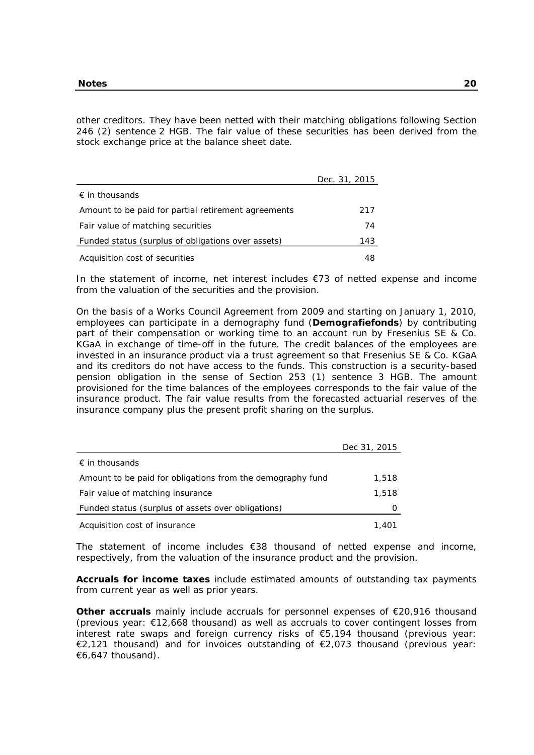other creditors. They have been netted with their matching obligations following Section 246 (2) sentence 2 HGB. The fair value of these securities has been derived from the stock exchange price at the balance sheet date.

|                                                     | Dec. 31, 2015 |
|-----------------------------------------------------|---------------|
| $\epsilon$ in thousands                             |               |
| Amount to be paid for partial retirement agreements | 217           |
| Fair value of matching securities                   | 74            |
| Funded status (surplus of obligations over assets)  | 143           |
| Acquisition cost of securities                      |               |

In the statement of income, net interest includes  $E$ 73 of netted expense and income from the valuation of the securities and the provision.

On the basis of a Works Council Agreement from 2009 and starting on January 1, 2010, employees can participate in a demography fund (**Demografiefonds**) by contributing part of their compensation or working time to an account run by Fresenius SE & Co. KGaA in exchange of time-off in the future. The credit balances of the employees are invested in an insurance product via a trust agreement so that Fresenius SE & Co. KGaA and its creditors do not have access to the funds. This construction is a security-based pension obligation in the sense of Section 253 (1) sentence 3 HGB. The amount provisioned for the time balances of the employees corresponds to the fair value of the insurance product. The fair value results from the forecasted actuarial reserves of the insurance company plus the present profit sharing on the surplus.

|                                                            | Dec 31, 2015 |
|------------------------------------------------------------|--------------|
| $\epsilon$ in thousands                                    |              |
| Amount to be paid for obligations from the demography fund | 1,518        |
| Fair value of matching insurance                           | 1,518        |
| Funded status (surplus of assets over obligations)         |              |
| Acquisition cost of insurance                              | 1,401        |

The statement of income includes  $\epsilon$ 38 thousand of netted expense and income, respectively, from the valuation of the insurance product and the provision.

**Accruals for income taxes** include estimated amounts of outstanding tax payments from current year as well as prior years.

**Other accruals** mainly include accruals for personnel expenses of €20,916 thousand (previous year: €12,668 thousand) as well as accruals to cover contingent losses from interest rate swaps and foreign currency risks of €5,194 thousand (previous year: €2,121 thousand) and for invoices outstanding of €2,073 thousand (previous year:  $€6,647$  thousand).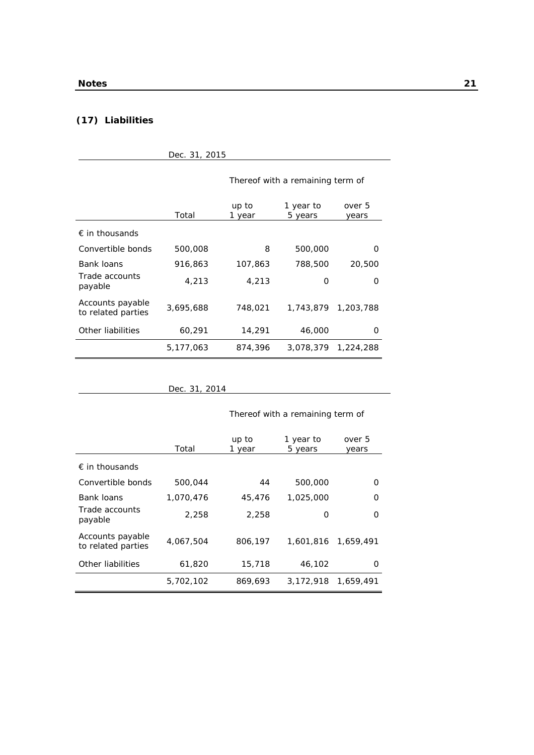### **(17) Liabilities**

| Dec. 31, 2015                          |                                  |                 |                      |                 |
|----------------------------------------|----------------------------------|-----------------|----------------------|-----------------|
|                                        | Thereof with a remaining term of |                 |                      |                 |
|                                        | Total                            | up to<br>1 year | 1 year to<br>5 years | over 5<br>years |
| $\epsilon$ in thousands                |                                  |                 |                      |                 |
| Convertible bonds                      | 500,008                          | 8               | 500,000              | O               |
| Bank loans                             | 916,863                          | 107,863         | 788,500              | 20,500          |
| Trade accounts<br>payable              | 4,213                            | 4,213           | O                    | O               |
| Accounts payable<br>to related parties | 3,695,688                        | 748,021         | 1,743,879            | 1,203,788       |
| Other liabilities                      | 60,291                           | 14,291          | 46,000               | O               |
|                                        | 5,177,063                        | 874,396         | 3,078,379            | 1,224,288       |

Dec. 31, 2014

|                                        | Thereof with a remaining term of |                 |                      |                 |
|----------------------------------------|----------------------------------|-----------------|----------------------|-----------------|
|                                        | Total                            | up to<br>1 year | 1 year to<br>5 years | over 5<br>years |
| $\epsilon$ in thousands                |                                  |                 |                      |                 |
| Convertible bonds                      | 500,044                          | 44              | 500,000              | Ω               |
| Bank loans                             | 1,070,476                        | 45,476          | 1,025,000            | O               |
| Trade accounts<br>payable              | 2,258                            | 2,258           | Ο                    | O               |
| Accounts payable<br>to related parties | 4,067,504                        | 806,197         | 1,601,816 1,659,491  |                 |
| Other liabilities                      | 61,820                           | 15,718          | 46,102               | O               |
|                                        | 5,702,102                        | 869,693         | 3,172,918            | 1,659,491       |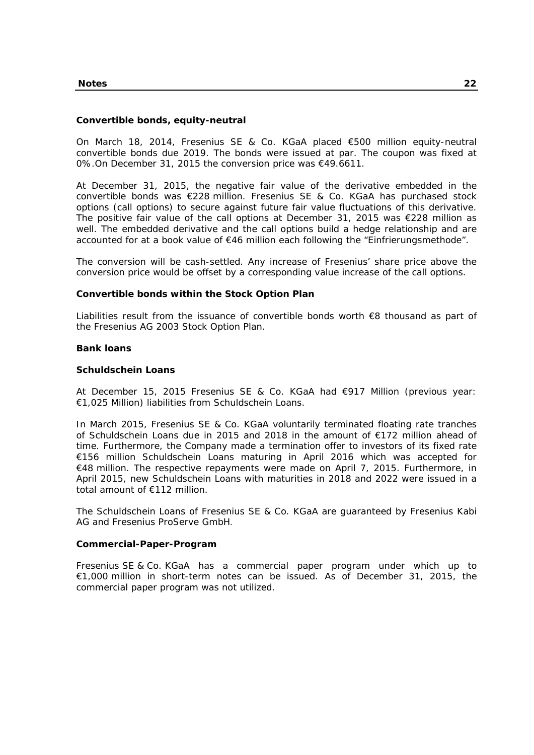### **Convertible bonds, equity-neutral**

On March 18, 2014, Fresenius SE & Co. KGaA placed €500 million equity-neutral convertible bonds due 2019. The bonds were issued at par. The coupon was fixed at 0%.On December 31, 2015 the conversion price was €49.6611.

At December 31, 2015, the negative fair value of the derivative embedded in the convertible bonds was €228 million. Fresenius SE & Co. KGaA has purchased stock options (call options) to secure against future fair value fluctuations of this derivative. The positive fair value of the call options at December 31, 2015 was  $E$ 228 million as well. The embedded derivative and the call options build a hedge relationship and are accounted for at a book value of €46 million each following the "Einfrierungsmethode".

The conversion will be cash-settled. Any increase of Fresenius' share price above the conversion price would be offset by a corresponding value increase of the call options.

### **Convertible bonds within the Stock Option Plan**

Liabilities result from the issuance of convertible bonds worth €8 thousand as part of the Fresenius AG 2003 Stock Option Plan.

### **Bank loans**

### **Schuldschein Loans**

At December 15, 2015 Fresenius SE & Co. KGaA had €917 Million (previous year: €1,025 Million) liabilities from Schuldschein Loans.

In March 2015, Fresenius SE & Co. KGaA voluntarily terminated floating rate tranches of Schuldschein Loans due in 2015 and 2018 in the amount of €172 million ahead of time. Furthermore, the Company made a termination offer to investors of its fixed rate €156 million Schuldschein Loans maturing in April 2016 which was accepted for €48 million. The respective repayments were made on April 7, 2015. Furthermore, in April 2015, new Schuldschein Loans with maturities in 2018 and 2022 were issued in a total amount of €112 million.

The Schuldschein Loans of Fresenius SE & Co. KGaA are guaranteed by Fresenius Kabi AG and Fresenius ProServe GmbH.

### **Commercial-Paper-Program**

Fresenius SE & Co. KGaA has a commercial paper program under which up to €1,000 million in short-term notes can be issued. As of December 31, 2015, the commercial paper program was not utilized.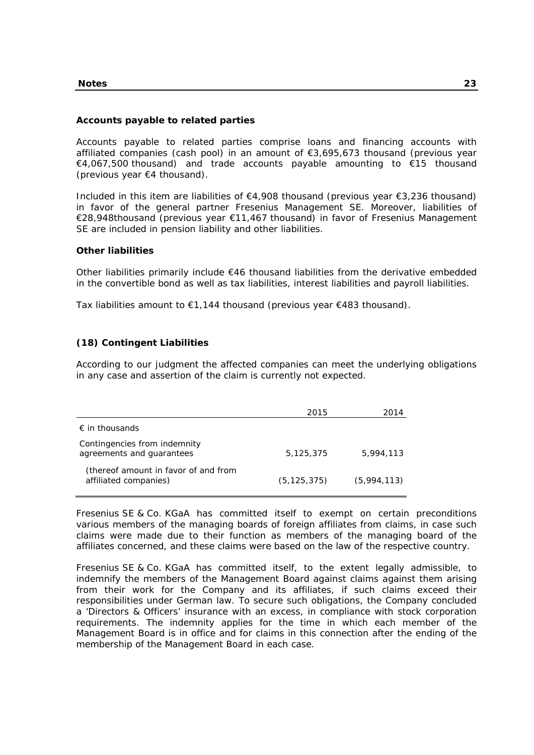### **Accounts payable to related parties**

Accounts payable to related parties comprise loans and financing accounts with affiliated companies (cash pool) in an amount of  $\epsilon$ 3.695.673 thousand (previous year  $€4,067,500$  thousand) and trade accounts payable amounting to  $€15$  thousand (previous year €4 thousand).

Included in this item are liabilities of €4,908 thousand (previous year €3,236 thousand) in favor of the general partner Fresenius Management SE. Moreover, liabilities of €28,948thousand (previous year €11,467 thousand) in favor of Fresenius Management SE are included in pension liability and other liabilities.

### **Other liabilities**

Other liabilities primarily include €46 thousand liabilities from the derivative embedded in the convertible bond as well as tax liabilities, interest liabilities and payroll liabilities.

Tax liabilities amount to €1,144 thousand (previous year €483 thousand).

### **(18) Contingent Liabilities**

According to our judgment the affected companies can meet the underlying obligations in any case and assertion of the claim is currently not expected.

|                                                               | 2015          | 2014        |
|---------------------------------------------------------------|---------------|-------------|
| $\epsilon$ in thousands                                       |               |             |
| Contingencies from indemnity<br>agreements and guarantees     | 5.125.375     | 5,994,113   |
| (thereof amount in favor of and from<br>affiliated companies) | (5, 125, 375) | (5,994,113) |

Fresenius SE & Co. KGaA has committed itself to exempt on certain preconditions various members of the managing boards of foreign affiliates from claims, in case such claims were made due to their function as members of the managing board of the affiliates concerned, and these claims were based on the law of the respective country.

Fresenius SE & Co. KGaA has committed itself, to the extent legally admissible, to indemnify the members of the Management Board against claims against them arising from their work for the Company and its affiliates, if such claims exceed their responsibilities under German law. To secure such obligations, the Company concluded a 'Directors & Officers' insurance with an excess, in compliance with stock corporation requirements. The indemnity applies for the time in which each member of the Management Board is in office and for claims in this connection after the ending of the membership of the Management Board in each case.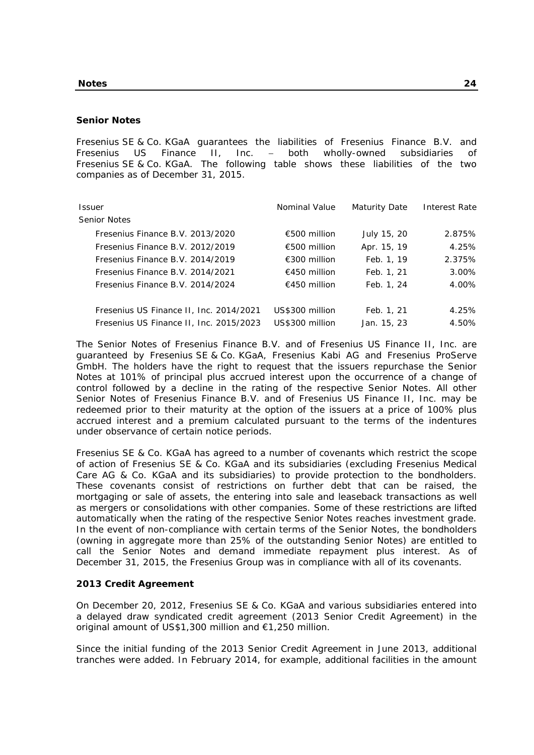### **Senior Notes**

Fresenius SE & Co. KGaA guarantees the liabilities of Fresenius Finance B.V. and Fresenius US Finance II, Inc. both wholly-owned subsidiaries of Fresenius SE & Co. KGaA. The following table shows these liabilities of the two companies as of December 31, 2015.

| <b>Issuer</b>                           | Nominal Value   | <b>Maturity Date</b> | Interest Rate |
|-----------------------------------------|-----------------|----------------------|---------------|
| Senior Notes                            |                 |                      |               |
| Fresenius Finance B.V. 2013/2020        | €500 million    | July 15, 20          | 2.875%        |
| Fresenius Finance B.V. 2012/2019        | €500 million    | Apr. 15, 19          | 4.25%         |
| Fresenius Finance B.V. 2014/2019        | €300 million    | Feb. 1, 19           | 2.375%        |
| Fresenius Finance B.V. 2014/2021        | €450 million    | Feb. 1, 21           | $3.00\%$      |
| Fresenius Finance B.V. 2014/2024        | €450 million    | Feb. 1, 24           | 4.00%         |
| Fresenius US Finance II, Inc. 2014/2021 | US\$300 million | Feb. 1, 21           | 4.25%         |
| Fresenius US Finance II, Inc. 2015/2023 | US\$300 million | Jan. 15, 23          | 4.50%         |

The Senior Notes of Fresenius Finance B.V. and of Fresenius US Finance II, Inc. are guaranteed by Fresenius SE & Co. KGaA, Fresenius Kabi AG and Fresenius ProServe GmbH. The holders have the right to request that the issuers repurchase the Senior Notes at 101% of principal plus accrued interest upon the occurrence of a change of control followed by a decline in the rating of the respective Senior Notes. All other Senior Notes of Fresenius Finance B.V. and of Fresenius US Finance II, Inc. may be redeemed prior to their maturity at the option of the issuers at a price of 100% plus accrued interest and a premium calculated pursuant to the terms of the indentures under observance of certain notice periods.

Fresenius SE & Co. KGaA has agreed to a number of covenants which restrict the scope of action of Fresenius SE & Co. KGaA and its subsidiaries (excluding Fresenius Medical Care AG & Co. KGaA and its subsidiaries) to provide protection to the bondholders. These covenants consist of restrictions on further debt that can be raised, the mortgaging or sale of assets, the entering into sale and leaseback transactions as well as mergers or consolidations with other companies. Some of these restrictions are lifted automatically when the rating of the respective Senior Notes reaches investment grade. In the event of non-compliance with certain terms of the Senior Notes, the bondholders (owning in aggregate more than 25% of the outstanding Senior Notes) are entitled to call the Senior Notes and demand immediate repayment plus interest. As of December 31, 2015, the Fresenius Group was in compliance with all of its covenants.

### **2013 Credit Agreement**

On December 20, 2012, Fresenius SE & Co. KGaA and various subsidiaries entered into a delayed draw syndicated credit agreement (2013 Senior Credit Agreement) in the original amount of US\$1,300 million and €1,250 million.

Since the initial funding of the 2013 Senior Credit Agreement in June 2013, additional tranches were added. In February 2014, for example, additional facilities in the amount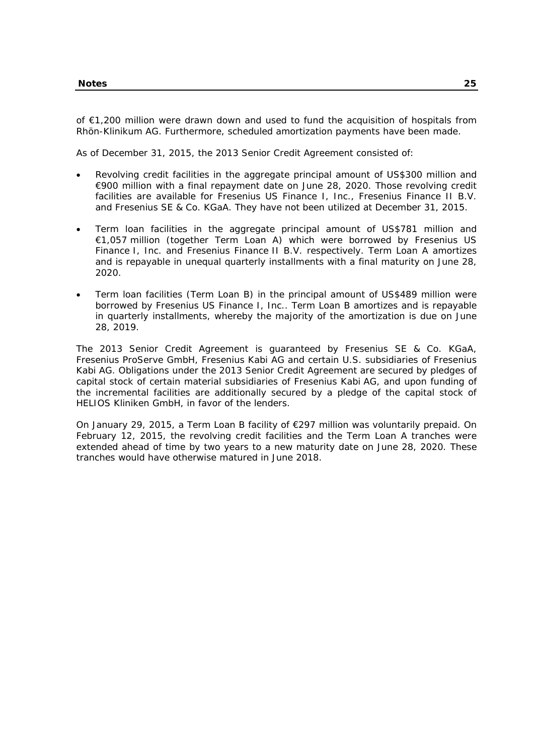of €1,200 million were drawn down and used to fund the acquisition of hospitals from Rhön-Klinikum AG. Furthermore, scheduled amortization payments have been made.

As of December 31, 2015, the 2013 Senior Credit Agreement consisted of:

- Revolving credit facilities in the aggregate principal amount of US\$300 million and €900 million with a final repayment date on June 28, 2020. Those revolving credit facilities are available for Fresenius US Finance I, Inc., Fresenius Finance II B.V. and Fresenius SE & Co. KGaA. They have not been utilized at December 31, 2015.
- Term loan facilities in the aggregate principal amount of US\$781 million and €1,057 million (together Term Loan A) which were borrowed by Fresenius US Finance I, Inc. and Fresenius Finance II B.V. respectively. Term Loan A amortizes and is repayable in unequal quarterly installments with a final maturity on June 28, 2020.
- Term loan facilities (Term Loan B) in the principal amount of US\$489 million were borrowed by Fresenius US Finance I, Inc.. Term Loan B amortizes and is repayable in quarterly installments, whereby the majority of the amortization is due on June 28, 2019.

The 2013 Senior Credit Agreement is guaranteed by Fresenius SE & Co. KGaA, Fresenius ProServe GmbH, Fresenius Kabi AG and certain U.S. subsidiaries of Fresenius Kabi AG. Obligations under the 2013 Senior Credit Agreement are secured by pledges of capital stock of certain material subsidiaries of Fresenius Kabi AG, and upon funding of the incremental facilities are additionally secured by a pledge of the capital stock of HELIOS Kliniken GmbH, in favor of the lenders.

On January 29, 2015, a Term Loan B facility of €297 million was voluntarily prepaid. On February 12, 2015, the revolving credit facilities and the Term Loan A tranches were extended ahead of time by two years to a new maturity date on June 28, 2020. These tranches would have otherwise matured in June 2018.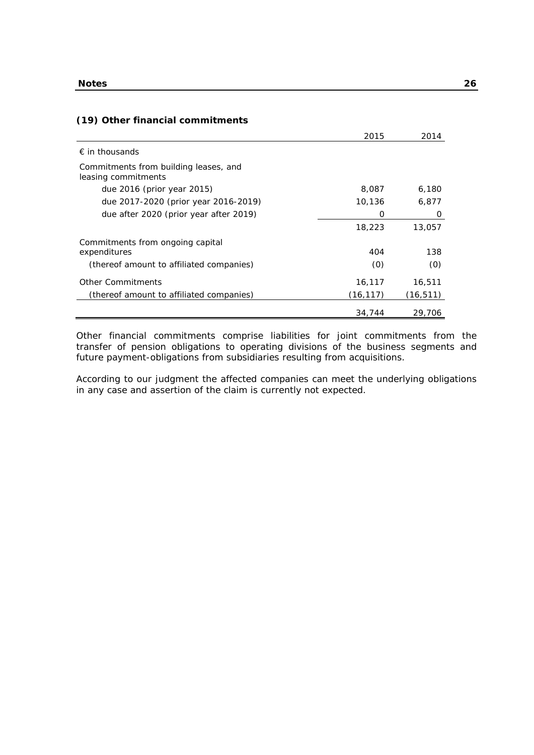### **(19) Other financial commitments**

|                                                              | 2015      | 2014      |
|--------------------------------------------------------------|-----------|-----------|
| $\epsilon$ in thousands                                      |           |           |
| Commitments from building leases, and<br>leasing commitments |           |           |
| due 2016 (prior year 2015)                                   | 8,087     | 6,180     |
| due 2017-2020 (prior year 2016-2019)                         | 10,136    | 6,877     |
| due after 2020 (prior year after 2019)                       | O         | 0         |
|                                                              | 18,223    | 13,057    |
| Commitments from ongoing capital                             |           |           |
| expenditures                                                 | 404       | 138       |
| (thereof amount to affiliated companies)                     | (0)       | (0)       |
| <b>Other Commitments</b>                                     | 16,117    | 16,511    |
| (thereof amount to affiliated companies)                     | (16, 117) | (16, 511) |
|                                                              | 34,744    | 29,706    |

Other financial commitments comprise liabilities for joint commitments from the transfer of pension obligations to operating divisions of the business segments and future payment-obligations from subsidiaries resulting from acquisitions.

According to our judgment the affected companies can meet the underlying obligations in any case and assertion of the claim is currently not expected.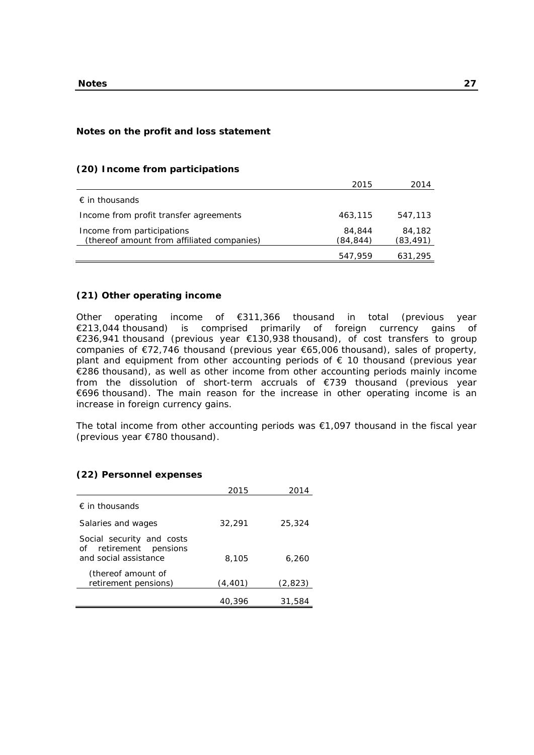### **Notes on the profit and loss statement**

|                                                                          | 2015               | 2014                |
|--------------------------------------------------------------------------|--------------------|---------------------|
| $\epsilon$ in thousands                                                  |                    |                     |
| Income from profit transfer agreements                                   | 463,115            | 547,113             |
| Income from participations<br>(thereof amount from affiliated companies) | 84,844<br>(84,844) | 84,182<br>(83, 491) |
|                                                                          | 547,959            | 631,295             |

### **(20) Income from participations**

### **(21) Other operating income**

Other operating income of €311,366 thousand in total (previous year €213,044 thousand) is comprised primarily of foreign currency gains of €236,941 thousand (previous year €130,938 thousand), of cost transfers to group companies of €72,746 thousand (previous year €65,006 thousand), sales of property, plant and equipment from other accounting periods of  $\epsilon$  10 thousand (previous year €286 thousand), as well as other income from other accounting periods mainly income from the dissolution of short-term accruals of €739 thousand (previous year €696 thousand). The main reason for the increase in other operating income is an increase in foreign currency gains.

The total income from other accounting periods was  $\epsilon$ 1,097 thousand in the fiscal year (previous year €780 thousand).

### **(22) Personnel expenses**

|                                                                              | 2015     | 2014    |
|------------------------------------------------------------------------------|----------|---------|
| $\epsilon$ in thousands                                                      |          |         |
| Salaries and wages                                                           | 32,291   | 25,324  |
| Social security and costs<br>of retirement pensions<br>and social assistance | 8,105    | 6,260   |
| (thereof amount of<br>retirement pensions)                                   | (4, 401) | (2,823) |
|                                                                              | 40,396   | 31,584  |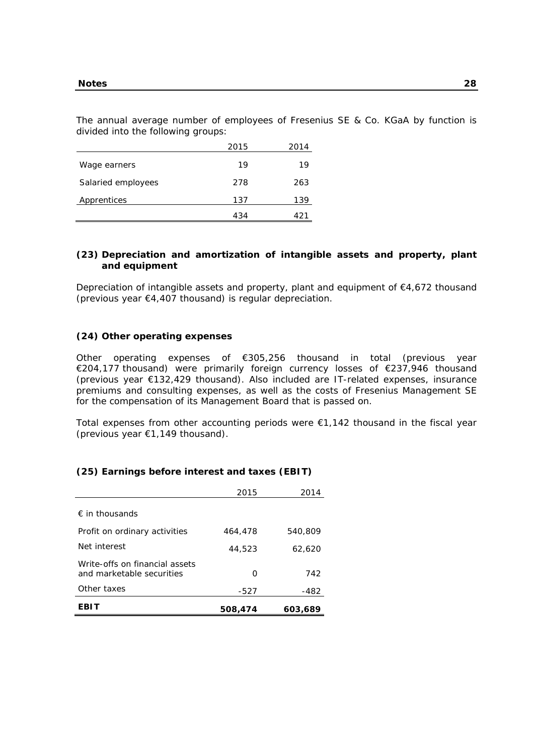The annual average number of employees of Fresenius SE & Co. KGaA by function is divided into the following groups:

|                    | 2015 | 2014 |
|--------------------|------|------|
| Wage earners       | 19   | 19   |
| Salaried employees | 278  | 263  |
| Apprentices        | 137  | 139  |
|                    | 434  | 421  |

### **(23) Depreciation and amortization of intangible assets and property, plant and equipment**

Depreciation of intangible assets and property, plant and equipment of €4,672 thousand (previous year €4,407 thousand) is regular depreciation.

### **(24) Other operating expenses**

Other operating expenses of €305,256 thousand in total (previous year €204,177 thousand) were primarily foreign currency losses of €237,946 thousand (previous year €132,429 thousand). Also included are IT-related expenses, insurance premiums and consulting expenses, as well as the costs of Fresenius Management SE for the compensation of its Management Board that is passed on.

Total expenses from other accounting periods were  $\epsilon$ 1,142 thousand in the fiscal year (previous year €1,149 thousand).

### **(25) Earnings before interest and taxes (EBIT)**

|                                                             | 2015    | 2014    |
|-------------------------------------------------------------|---------|---------|
| $\epsilon$ in thousands                                     |         |         |
| Profit on ordinary activities                               | 464,478 | 540,809 |
| Net interest                                                | 44,523  | 62,620  |
| Write-offs on financial assets<br>and marketable securities | Ω       | 742     |
| Other taxes                                                 | $-527$  | -482    |
| <b>EBIT</b>                                                 | 508,474 | 603,689 |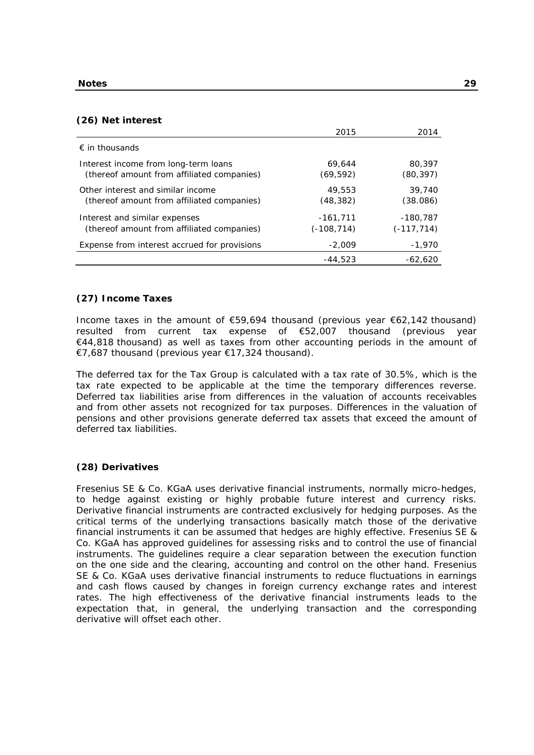### **(26) Net interest**

|                                                                                    | 2015                        | 2014                        |
|------------------------------------------------------------------------------------|-----------------------------|-----------------------------|
| $\epsilon$ in thousands                                                            |                             |                             |
| Interest income from long-term loans<br>(thereof amount from affiliated companies) | 69,644<br>(69, 592)         | 80,397<br>(80, 397)         |
| Other interest and similar income<br>(thereof amount from affiliated companies)    | 49,553<br>(48, 382)         | 39,740<br>(38.086)          |
| Interest and similar expenses<br>(thereof amount from affiliated companies)        | $-161,711$<br>$(-108, 714)$ | $-180,787$<br>$(-117, 714)$ |
| Expense from interest accrued for provisions                                       | $-2,009$                    | $-1,970$                    |
|                                                                                    | $-44.523$                   | $-62,620$                   |

### **(27) Income Taxes**

Income taxes in the amount of  $\epsilon$ 59,694 thousand (previous year  $\epsilon$ 62,142 thousand) resulted from current tax expense of €52,007 thousand (previous year €44,818 thousand) as well as taxes from other accounting periods in the amount of €7,687 thousand (previous year €17,324 thousand).

The deferred tax for the Tax Group is calculated with a tax rate of 30.5%, which is the tax rate expected to be applicable at the time the temporary differences reverse. Deferred tax liabilities arise from differences in the valuation of accounts receivables and from other assets not recognized for tax purposes. Differences in the valuation of pensions and other provisions generate deferred tax assets that exceed the amount of deferred tax liabilities.

### **(28) Derivatives**

Fresenius SE & Co. KGaA uses derivative financial instruments, normally micro-hedges, to hedge against existing or highly probable future interest and currency risks. Derivative financial instruments are contracted exclusively for hedging purposes. As the critical terms of the underlying transactions basically match those of the derivative financial instruments it can be assumed that hedges are highly effective. Fresenius SE & Co. KGaA has approved guidelines for assessing risks and to control the use of financial instruments. The guidelines require a clear separation between the execution function on the one side and the clearing, accounting and control on the other hand. Fresenius SE & Co. KGaA uses derivative financial instruments to reduce fluctuations in earnings and cash flows caused by changes in foreign currency exchange rates and interest rates. The high effectiveness of the derivative financial instruments leads to the expectation that, in general, the underlying transaction and the corresponding derivative will offset each other.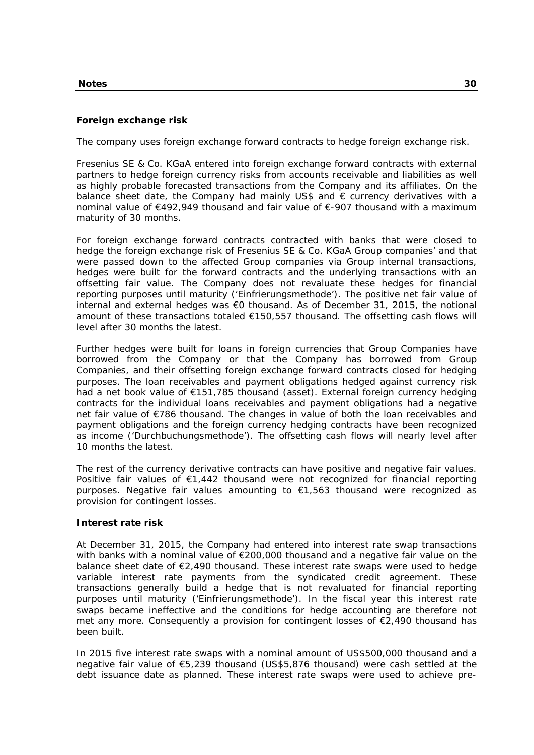### **Foreign exchange risk**

The company uses foreign exchange forward contracts to hedge foreign exchange risk.

Fresenius SE & Co. KGaA entered into foreign exchange forward contracts with external partners to hedge foreign currency risks from accounts receivable and liabilities as well as highly probable forecasted transactions from the Company and its affiliates. On the balance sheet date, the Company had mainly US\$ and  $\epsilon$  currency derivatives with a nominal value of €492,949 thousand and fair value of €-907 thousand with a maximum maturity of 30 months.

For foreign exchange forward contracts contracted with banks that were closed to hedge the foreign exchange risk of Fresenius SE & Co. KGaA Group companies' and that were passed down to the affected Group companies via Group internal transactions, hedges were built for the forward contracts and the underlying transactions with an offsetting fair value. The Company does not revaluate these hedges for financial reporting purposes until maturity ('Einfrierungsmethode'). The positive net fair value of internal and external hedges was €0 thousand. As of December 31, 2015, the notional amount of these transactions totaled €150,557 thousand. The offsetting cash flows will level after 30 months the latest.

Further hedges were built for loans in foreign currencies that Group Companies have borrowed from the Company or that the Company has borrowed from Group Companies, and their offsetting foreign exchange forward contracts closed for hedging purposes. The loan receivables and payment obligations hedged against currency risk had a net book value of €151,785 thousand (asset). External foreign currency hedging contracts for the individual loans receivables and payment obligations had a negative net fair value of €786 thousand. The changes in value of both the loan receivables and payment obligations and the foreign currency hedging contracts have been recognized as income ('Durchbuchungsmethode'). The offsetting cash flows will nearly level after 10 months the latest.

The rest of the currency derivative contracts can have positive and negative fair values. Positive fair values of  $\epsilon$ 1,442 thousand were not recognized for financial reporting purposes. Negative fair values amounting to  $\epsilon$ 1,563 thousand were recognized as provision for contingent losses.

### **Interest rate risk**

At December 31, 2015, the Company had entered into interest rate swap transactions with banks with a nominal value of €200,000 thousand and a negative fair value on the balance sheet date of  $E$ 2,490 thousand. These interest rate swaps were used to hedge variable interest rate payments from the syndicated credit agreement. These transactions generally build a hedge that is not revaluated for financial reporting purposes until maturity ('Einfrierungsmethode'). In the fiscal year this interest rate swaps became ineffective and the conditions for hedge accounting are therefore not met any more. Consequently a provision for contingent losses of  $\epsilon$ 2,490 thousand has been built.

In 2015 five interest rate swaps with a nominal amount of US\$500,000 thousand and a negative fair value of €5,239 thousand (US\$5,876 thousand) were cash settled at the debt issuance date as planned. These interest rate swaps were used to achieve pre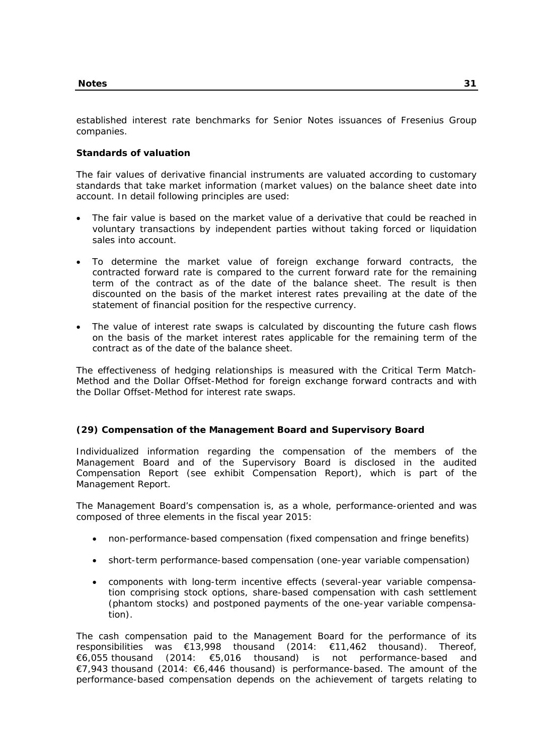established interest rate benchmarks for Senior Notes issuances of Fresenius Group companies.

### **Standards of valuation**

The fair values of derivative financial instruments are valuated according to customary standards that take market information (market values) on the balance sheet date into account. In detail following principles are used:

- The fair value is based on the market value of a derivative that could be reached in voluntary transactions by independent parties without taking forced or liquidation sales into account.
- To determine the market value of foreign exchange forward contracts, the contracted forward rate is compared to the current forward rate for the remaining term of the contract as of the date of the balance sheet. The result is then discounted on the basis of the market interest rates prevailing at the date of the statement of financial position for the respective currency.
- The value of interest rate swaps is calculated by discounting the future cash flows on the basis of the market interest rates applicable for the remaining term of the contract as of the date of the balance sheet.

The effectiveness of hedging relationships is measured with the Critical Term Match-Method and the Dollar Offset-Method for foreign exchange forward contracts and with the Dollar Offset-Method for interest rate swaps.

### **(29) Compensation of the Management Board and Supervisory Board**

Individualized information regarding the compensation of the members of the Management Board and of the Supervisory Board is disclosed in the audited Compensation Report (see exhibit Compensation Report), which is part of the Management Report.

The Management Board's compensation is, as a whole, performance-oriented and was composed of three elements in the fiscal year 2015:

- non-performance-based compensation (fixed compensation and fringe benefits)
- short-term performance-based compensation (one-year variable compensation)
- components with long-term incentive effects (several-year variable compensation comprising stock options, share-based compensation with cash settlement (phantom stocks) and postponed payments of the one-year variable compensation).

The cash compensation paid to the Management Board for the performance of its responsibilities was €13,998 thousand (2014: €11,462 thousand). Thereof, €6,055 thousand (2014: €5,016 thousand) is not performance-based and €7,943 thousand (2014: €6,446 thousand) is performance-based. The amount of the performance-based compensation depends on the achievement of targets relating to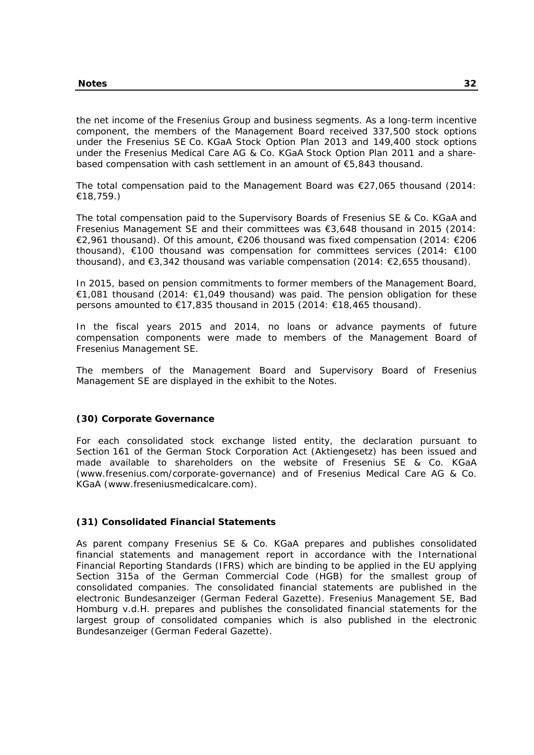the net income of the Fresenius Group and business segments. As a long-term incentive component, the members of the Management Board received 337,500 stock options under the Fresenius SE Co. KGaA Stock Option Plan 2013 and 149,400 stock options under the Fresenius Medical Care AG & Co. KGaA Stock Option Plan 2011 and a sharebased compensation with cash settlement in an amount of €5,843 thousand.

The total compensation paid to the Management Board was €27,065 thousand (2014: €18,759.)

The total compensation paid to the Supervisory Boards of Fresenius SE & Co. KGaA and Fresenius Management SE and their committees was €3,648 thousand in 2015 (2014: €2,961 thousand). Of this amount, €206 thousand was fixed compensation (2014: €206 thousand), €100 thousand was compensation for committees services (2014: €100 thousand), and  $\epsilon$ 3,342 thousand was variable compensation (2014:  $\epsilon$ 2,655 thousand).

In 2015, based on pension commitments to former members of the Management Board, €1,081 thousand (2014: €1,049 thousand) was paid. The pension obligation for these persons amounted to €17,835 thousand in 2015 (2014: €18,465 thousand).

In the fiscal years 2015 and 2014, no loans or advance payments of future compensation components were made to members of the Management Board of Fresenius Management SE.

The members of the Management Board and Supervisory Board of Fresenius Management SE are displayed in the exhibit to the Notes.

### **(30) Corporate Governance**

For each consolidated stock exchange listed entity, the declaration pursuant to Section 161 of the German Stock Corporation Act (Aktiengesetz) has been issued and made available to shareholders on the website of Fresenius SE & Co. KGaA (www.fresenius.com/corporate-governance) and of Fresenius Medical Care AG & Co. KGaA (www.freseniusmedicalcare.com).

### **(31) Consolidated Financial Statements**

As parent company Fresenius SE & Co. KGaA prepares and publishes consolidated financial statements and management report in accordance with the International Financial Reporting Standards (IFRS) which are binding to be applied in the EU applying Section 315a of the German Commercial Code (HGB) for the smallest group of consolidated companies. The consolidated financial statements are published in the electronic Bundesanzeiger (German Federal Gazette). Fresenius Management SE, Bad Homburg v.d.H. prepares and publishes the consolidated financial statements for the largest group of consolidated companies which is also published in the electronic Bundesanzeiger (German Federal Gazette).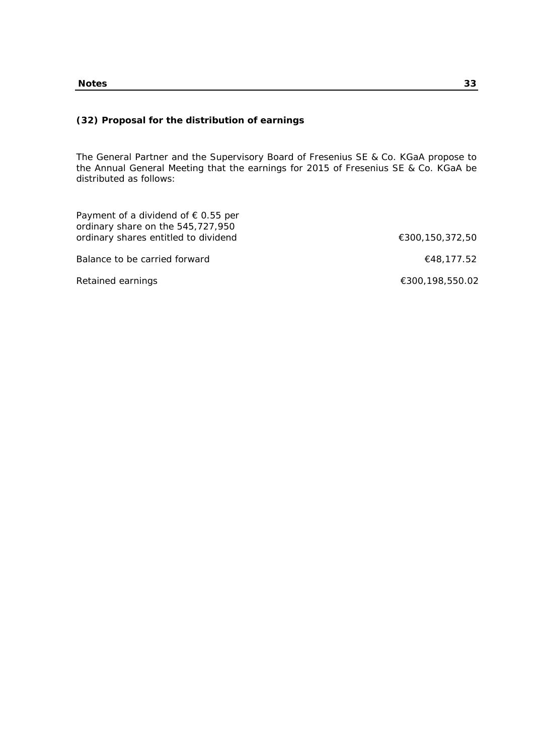# **(32) Proposal for the distribution of earnings**

The General Partner and the Supervisory Board of Fresenius SE & Co. KGaA propose to the Annual General Meeting that the earnings for 2015 of Fresenius SE & Co. KGaA be distributed as follows:

| Payment of a dividend of $\epsilon$ 0.55 per<br>ordinary share on the 545,727,950 |                 |
|-----------------------------------------------------------------------------------|-----------------|
| ordinary shares entitled to dividend                                              | €300,150,372,50 |
| Balance to be carried forward                                                     | €48,177.52      |
| Retained earnings                                                                 | €300,198,550.02 |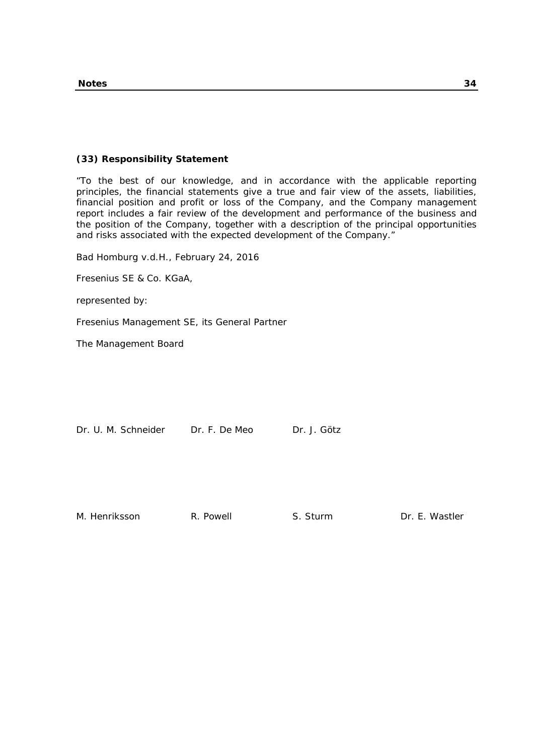#### **(33) Responsibility Statement**

"To the best of our knowledge, and in accordance with the applicable reporting principles, the financial statements give a true and fair view of the assets, liabilities, financial position and profit or loss of the Company, and the Company management report includes a fair review of the development and performance of the business and the position of the Company, together with a description of the principal opportunities and risks associated with the expected development of the Company."

Bad Homburg v.d.H., February 24, 2016

Fresenius SE & Co. KGaA,

represented by:

Fresenius Management SE, its General Partner

The Management Board

Dr. U. M. Schneider Dr. F. De Meo Dr. J. Götz

M. Henriksson R. Powell S. Sturm Dr. E. Wastler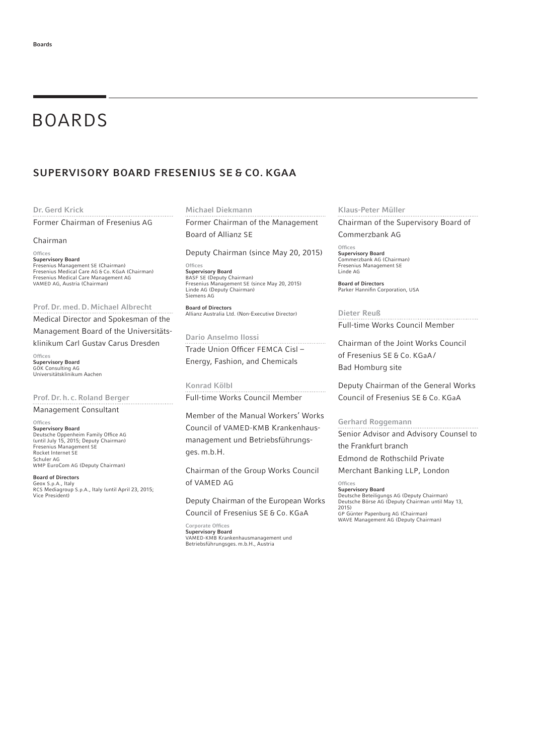# BOARDS

# SUPERVISORY BOARD FRESENIUS SE & CO. KGAA

#### Dr. Gerd Krick

#### Former Chairman of Fresenius AG

#### Chairman

#### Offices Supervisory Board

Fresenius Management SE (Chairman) Fresenius Medical Care AG & Co. KGaA (Chairman) Fresenius Medical Care Management AG VAMED AG, Austria (Chairman)

Prof. Dr. med. D. Michael Albrecht

Medical Director and Spokesman of the

Management Board of the Universitäts-

klinikum Carl Gustav Carus Dresden

Office Supervisory Board GÖK Consulting AG Universitätsklinikum Aachen

#### Prof. Dr. h. c. Roland Berger

Management Consultant

**Offices** 

**Supervisory Board**<br>Deutsche Oppenheim Family Office AG<br>(until July 15, 2015; Deputy Chairman) Fresenius Management SE Rocket Internet SE Schuler AG WMP EuroCom AG (Deputy Chairman)

Board of Directors Geox S.p.A., Italy RCS Mediagroup S.p.A., Italy (until April 23, 2015; Vice President)

#### Michael Diekmann

Former Chairman of the Management Board of Allianz SE

Deputy Chairman (since May 20, 2015)

Offices Supervisory Board BASF SE (Deputy Chairman) Fresenius Management SE (since May 20, 2015) Linde AG (Deputy Chairman) Siemens AG

Board of Directors Allianz Australia Ltd. (Non-Executive Director)

#### Dario Anselmo Ilossi

Trade Union Officer FEMCA Cisl-Energy, Fashion, and Chemicals

Konrad Kölbl Full-time Works Council Member

Member of the Manual Workers' Works Council of VAMED-KMB Krankenhausmanagement und Betriebsführungsges. m.b.H.

Chairman of the Group Works Council of VAMED AG

Deputy Chairman of the European Works Council of Fresenius SE & Co. KGaA

Corporate Offices Supervisory Board VAMED-KMB Krankenhausmanagement und Betriebsführungsges. m.b.H., Austria

Klaus-Peter Müller

Chairman of the Supervisory Board of Commerzbank AG

**Offices** Supervisory Board Commerzbank AG (Chairman) Fresenius Management SE Linde AG

Board of Directors Parker Hannifin Corporation, USA

Dieter Reuß Full-time Works Council Member

Chairman of the Joint Works Council of Fresenius SE & Co. KGaA / Bad Homburg site

Deputy Chairman of the General Works Council of Fresenius SE & Co. KGaA

#### Gerhard Roggemann

Senior Advisor and Advisory Counsel to the Frankfurt branch

Edmond de Rothschild Private

Merchant Banking LLP, London

**Offices** Supervisory Board Deutsche Beteiligungs AG (Deputy Chairman) Deutsche Börse AG (Deputy Chairman until May 13, 2015) GP Günter Papenburg AG (Chairman) WAVE Management AG (Deputy Chairman)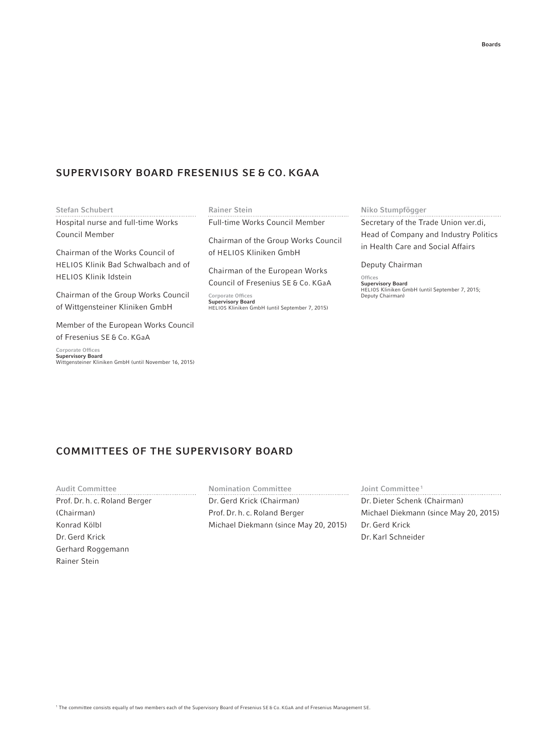# SUPERVISORY BOARD FRESENIUS SE & CO. KGAA

Stefan Schubert

Hospital nurse and full-time Works Council Member

Chairman of the Works Council of HELIOS Klinik Bad Schwalbach and of HELIOS Klinik Idstein

Chairman of the Group Works Council of Wittgensteiner Kliniken GmbH

Member of the European Works Council of Fresenius SE & Co. KGaA

Corporate Offices **Supervisory Board**<br>Wittgensteiner Kliniken GmbH (until November 16, 2015)

#### Rainer Stein

Full-time Works Council Member

Chairman of the Group Works Council of HELIOS Kliniken GmbH

Chairman of the European Works

Council of Fresenius SE & Co. KGaA

Corporate Offices Supervisory Board HELIOS Kliniken GmbH (until September 7, 2015)

# Niko Stumpfögger

Secretary of the Trade Union ver.di, Head of Company and Industry Politics in Health Care and Social Affairs

Deputy Chairman

**Offices** Supervisory Board HELIOS Kliniken GmbH (until September 7, 2015; Deputy Chairman)

# COMMITTEES OF THE SUPERVISORY BOARD

Audit Committee Prof. Dr. h. c. Roland Berger (Chairman) Konrad Kölbl Dr. Gerd Krick Gerhard Roggemann Rainer Stein

Nomination Committee Dr. Gerd Krick (Chairman) Prof. Dr. h. c. Roland Berger Michael Diekmann (since May 20, 2015) Joint Committee<sup>1</sup> Dr. Dieter Schenk (Chairman) Michael Diekmann (since May 20, 2015) Dr. Gerd Krick Dr. Karl Schneider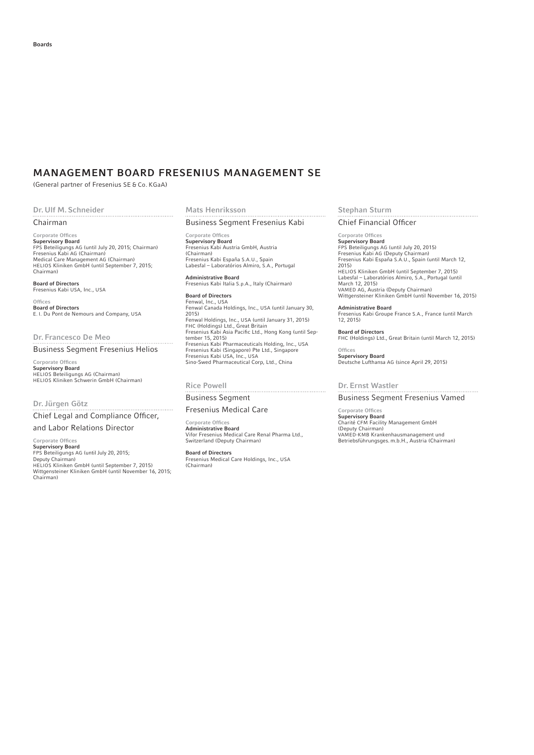# MANAGEMENT BOARD FRESENIUS MANAGEMENT SE

(General partner of Fresenius SE & Co. KGaA)

# Dr. Ulf M. Schneider

#### Chairman

Corporate Offices Supervisory Board FPS Beteiligungs AG (until July 20, 2015; Chairman) Fresenius Kabi AG (Chairman) Medical Care Management AG (Chairman) HELIOS Kliniken GmbH (until September 7, 2015; Chairman)

Board of Directors Fresenius Kabi USA, Inc., USA

Office Board of Directors E. I. Du Pont de Nemours and Company, USA

# Dr. Francesco De Meo

Business Segment Fresenius Helios

Corporate Offices **Supervisory Board**<br>HELIOS Beteiligungs AG (Chairman)<br>HELIOS Kliniken Schwerin GmbH (Chairman)

Dr. Jürgen Götz 

Chief Legal and Compliance Officer,

and Labor Relations Director

Corporate Offices Supervisory Board FPS Beteiligungs AG (until July 20, 2015; Deputy Chairman) HELIOS Kliniken GmbH (until September 7, 2015) Wittgensteiner Kliniken GmbH (until November 16, 2015; Chairman)

#### Mats Henriksson

#### Business Segment Fresenius Kabi

Corporate Offices Supervisory Board Fresenius Kabi Austria GmbH, Austria (Chairman) Fresenius Kabi España S.A.U., Spain Labesfal – Laboratórios Almiro, S.A., Portugal

Administrative Board Fresenius Kabi Italia S.p.A., Italy (Chairman)

#### Board of Directors

Fenwal, Inc., USA Fenwal Canada Holdings, Inc., USA (until January 30, 2015) Fenwal Holdings, Inc., USA (until January 31, 2015) FHC (Holdings) Ltd., Great Britain Fresenius Kabi Asia Pacifi c Ltd., Hong Kong (until September 15, 2015) Fresenius Kabi Pharmaceuticals Holding, Inc., USA Fresenius Kabi (Singapore) Pte Ltd., Singapore Fresenius Kabi USA, Inc., USA Sino-Swed Pharmaceutical Corp, Ltd., China

#### Rice Powell

Business Segment

Fresenius Medical Care

Corporate Office Administrative Board Vifor Fresenius Medical Care Renal Pharma Ltd., Switzerland (Deputy Chairman)

Board of Directors Fresenius Medical Care Holdings, Inc., USA (Chairman)

Stephan Sturm

#### Chief Financial Officer

Corporate Offices Supervisory Board FPS Beteiligungs AG (until July 20, 2015) Fresenius Kabi AG (Deputy Chairman) Fresenius Kabi España S.A.U., Spain (until March 12, 2015) HELIOS Kliniken GmbH (until September 7, 2015)

Labesfal – Laboratórios Almiro, S.A., Portugal (until March 12, 2015) VAMED AG, Austria (Deputy Chairman) Wittgensteiner Kliniken GmbH (until November 16, 2015)

Administrative Board Fresenius Kabi Groupe France S.A., France (until March 12, 2015)

Board of Directors FHC (Holdings) Ltd., Great Britain (until March 12, 2015)

**Offices** Supervisory Board Deutsche Lufthansa AG (since April 29, 2015)

#### Dr. Ernst Wastler

Business Segment Fresenius Vamed

. . . . . . . . . . . . . . . . . . . .

. . . . . . . . . . . . . . . . . . .

Corporate Offices Supervisory Board Charité CFM Facility Management GmbH (Deputy Chairman) VAMED-KMB Krankenhausmanagement und Betriebsführungsges. m.b.H., Austria (Chairman)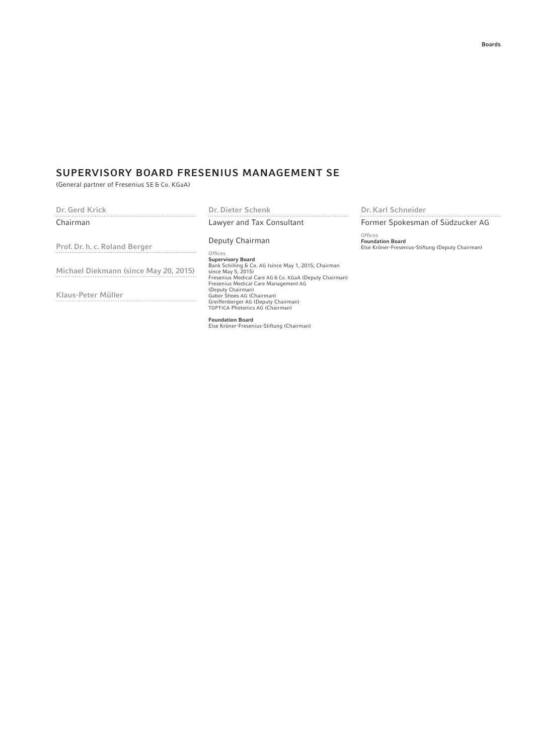# SUPERVISORY BOARD FRESENIUS MANAGEMENT SE

(General partner of Fresenius SE & Co. KGaA)

| Dr. Gerd Krick                        | Dr. Dieter Schenk                                                                                                                                                       | Dr. Karl Schneider                                                                            |
|---------------------------------------|-------------------------------------------------------------------------------------------------------------------------------------------------------------------------|-----------------------------------------------------------------------------------------------|
| Chairman                              | Lawyer and Tax Consultant                                                                                                                                               | Former Spokesman of Südzucker AG                                                              |
| Prof. Dr. h. c. Roland Berger         | Deputy Chairman<br><b>Offices</b>                                                                                                                                       | <b>Offices</b><br><b>Foundation Board</b><br>Else Kröner-Fresenius-Stiftung (Deputy Chairman) |
| Michael Diekmann (since May 20, 2015) | <b>Supervisory Board</b><br>Bank Schilling & Co. AG (since May 1, 2015; Chairman<br>since May 5, 2015)<br>Fresenius Medical Care AG & Co. KGaA (Deputy Chairman)        |                                                                                               |
| Klaus-Peter Müller                    | Fresenius Medical Care Management AG<br>(Deputy Chairman)<br>Gabor Shoes AG (Chairman)<br>Greiffenberger AG (Deputy Chairman)<br><b>TOPTICA Photonics AG (Chairman)</b> |                                                                                               |
|                                       | <b>Foundation Board</b><br>Else Kröner-Fresenius-Stiftung (Chairman)                                                                                                    |                                                                                               |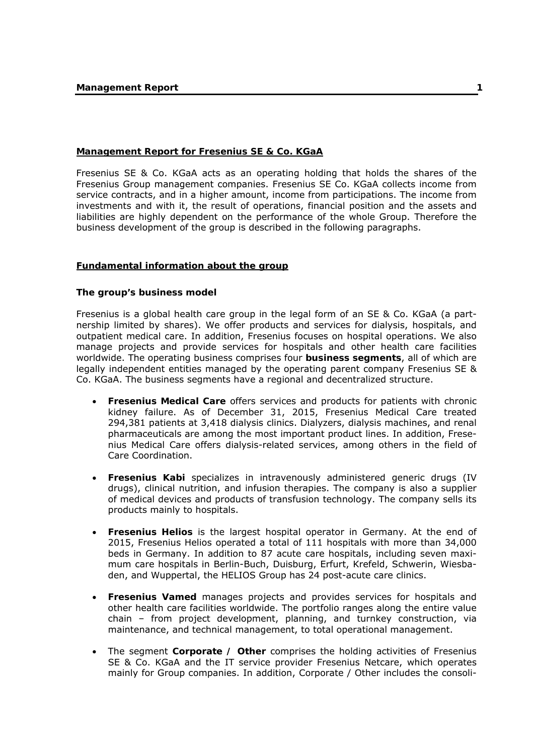# **Management Report for Fresenius SE & Co. KGaA**

Fresenius SE & Co. KGaA acts as an operating holding that holds the shares of the Fresenius Group management companies. Fresenius SE Co. KGaA collects income from service contracts, and in a higher amount, income from participations. The income from investments and with it, the result of operations, financial position and the assets and liabilities are highly dependent on the performance of the whole Group. Therefore the business development of the group is described in the following paragraphs.

# **Fundamental information about the group**

### **The group's business model**

Fresenius is a global health care group in the legal form of an SE & Co. KGaA (a partnership limited by shares). We offer products and services for dialysis, hospitals, and outpatient medical care. In addition, Fresenius focuses on hospital operations. We also manage projects and provide services for hospitals and other health care facilities worldwide. The operating business comprises four **business segments**, all of which are legally independent entities managed by the operating parent company Fresenius SE & Co. KGaA. The business segments have a regional and decentralized structure.

- **Fresenius Medical Care** offers services and products for patients with chronic kidney failure. As of December 31, 2015, Fresenius Medical Care treated 294,381 patients at 3,418 dialysis clinics. Dialyzers, dialysis machines, and renal pharmaceuticals are among the most important product lines. In addition, Fresenius Medical Care offers dialysis-related services, among others in the field of Care Coordination.
- **Fresenius Kabi** specializes in intravenously administered generic drugs (IV drugs), clinical nutrition, and infusion therapies. The company is also a supplier of medical devices and products of transfusion technology. The company sells its products mainly to hospitals.
- **Fresenius Helios** is the largest hospital operator in Germany. At the end of 2015, Fresenius Helios operated a total of 111 hospitals with more than 34,000 beds in Germany. In addition to 87 acute care hospitals, including seven maximum care hospitals in Berlin-Buch, Duisburg, Erfurt, Krefeld, Schwerin, Wiesbaden, and Wuppertal, the HELIOS Group has 24 post-acute care clinics.
- **Fresenius Vamed** manages projects and provides services for hospitals and other health care facilities worldwide. The portfolio ranges along the entire value chain – from project development, planning, and turnkey construction, via maintenance, and technical management, to total operational management.
- The segment **Corporate / Other** comprises the holding activities of Fresenius SE & Co. KGaA and the IT service provider Fresenius Netcare, which operates mainly for Group companies. In addition, Corporate / Other includes the consoli-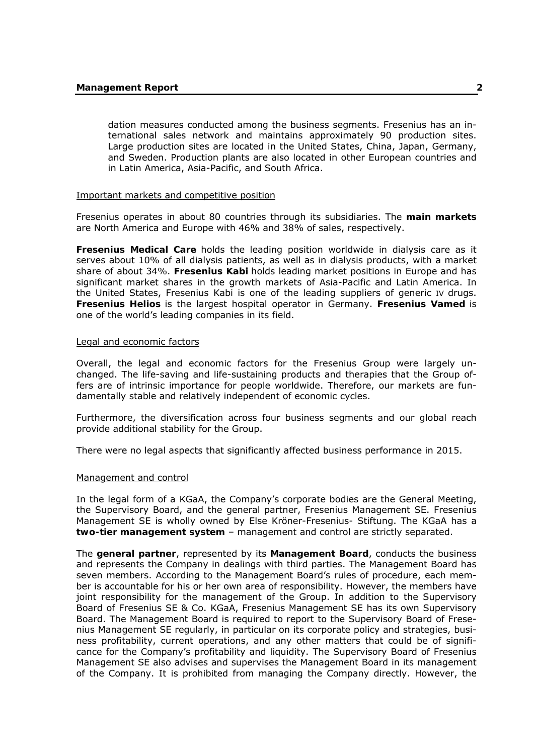dation measures conducted among the business segments. Fresenius has an international sales network and maintains approximately 90 production sites. Large production sites are located in the United States, China, Japan, Germany, and Sweden. Production plants are also located in other European countries and in Latin America, Asia-Pacific, and South Africa.

#### Important markets and competitive position

Fresenius operates in about 80 countries through its subsidiaries. The **main markets** are North America and Europe with 46% and 38% of sales, respectively.

**Fresenius Medical Care** holds the leading position worldwide in dialysis care as it serves about 10% of all dialysis patients, as well as in dialysis products, with a market share of about 34%. **Fresenius Kabi** holds leading market positions in Europe and has significant market shares in the growth markets of Asia-Pacific and Latin America. In the United States, Fresenius Kabi is one of the leading suppliers of generic IV drugs. **Fresenius Helios** is the largest hospital operator in Germany. **Fresenius Vamed** is one of the world's leading companies in its field.

#### Legal and economic factors

Overall, the legal and economic factors for the Fresenius Group were largely unchanged. The life-saving and life-sustaining products and therapies that the Group offers are of intrinsic importance for people worldwide. Therefore, our markets are fundamentally stable and relatively independent of economic cycles.

Furthermore, the diversification across four business segments and our global reach provide additional stability for the Group.

There were no legal aspects that significantly affected business performance in 2015.

#### Management and control

In the legal form of a KGaA, the Company's corporate bodies are the General Meeting, the Supervisory Board, and the general partner, Fresenius Management SE. Fresenius Management SE is wholly owned by Else Kröner-Fresenius- Stiftung. The KGaA has a **two-tier management system** – management and control are strictly separated.

The **general partner**, represented by its **Management Board**, conducts the business and represents the Company in dealings with third parties. The Management Board has seven members. According to the Management Board's rules of procedure, each member is accountable for his or her own area of responsibility. However, the members have joint responsibility for the management of the Group. In addition to the Supervisory Board of Fresenius SE & Co. KGaA, Fresenius Management SE has its own Supervisory Board. The Management Board is required to report to the Supervisory Board of Fresenius Management SE regularly, in particular on its corporate policy and strategies, business profitability, current operations, and any other matters that could be of significance for the Company's profitability and liquidity. The Supervisory Board of Fresenius Management SE also advises and supervises the Management Board in its management of the Company. It is prohibited from managing the Company directly. However, the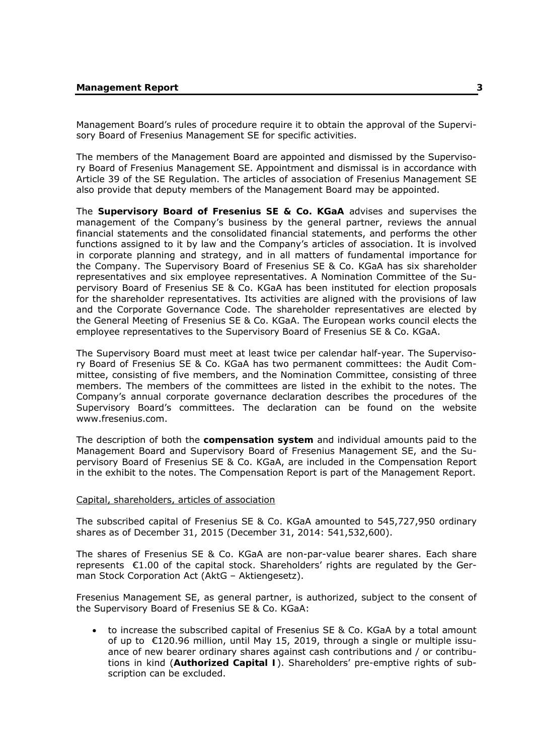Management Board's rules of procedure require it to obtain the approval of the Supervisory Board of Fresenius Management SE for specific activities.

The members of the Management Board are appointed and dismissed by the Supervisory Board of Fresenius Management SE. Appointment and dismissal is in accordance with Article 39 of the SE Regulation. The articles of association of Fresenius Management SE also provide that deputy members of the Management Board may be appointed.

The **Supervisory Board of Fresenius SE & Co. KGaA** advises and supervises the management of the Company's business by the general partner, reviews the annual financial statements and the consolidated financial statements, and performs the other functions assigned to it by law and the Company's articles of association. It is involved in corporate planning and strategy, and in all matters of fundamental importance for the Company. The Supervisory Board of Fresenius SE & Co. KGaA has six shareholder representatives and six employee representatives. A Nomination Committee of the Supervisory Board of Fresenius SE & Co. KGaA has been instituted for election proposals for the shareholder representatives. Its activities are aligned with the provisions of law and the Corporate Governance Code. The shareholder representatives are elected by the General Meeting of Fresenius SE & Co. KGaA. The European works council elects the employee representatives to the Supervisory Board of Fresenius SE & Co. KGaA.

The Supervisory Board must meet at least twice per calendar half-year. The Supervisory Board of Fresenius SE & Co. KGaA has two permanent committees: the Audit Committee, consisting of five members, and the Nomination Committee, consisting of three members. The members of the committees are listed in the exhibit to the notes. The Company's annual corporate governance declaration describes the procedures of the Supervisory Board's committees. The declaration can be found on the website www.fresenius.com.

The description of both the **compensation system** and individual amounts paid to the Management Board and Supervisory Board of Fresenius Management SE, and the Supervisory Board of Fresenius SE & Co. KGaA, are included in the Compensation Report in the exhibit to the notes. The Compensation Report is part of the Management Report.

### Capital, shareholders, articles of association

The subscribed capital of Fresenius SE & Co. KGaA amounted to 545,727,950 ordinary shares as of December 31, 2015 (December 31, 2014: 541,532,600).

The shares of Fresenius SE & Co. KGaA are non-par-value bearer shares. Each share represents €1.00 of the capital stock. Shareholders' rights are regulated by the German Stock Corporation Act (AktG – Aktiengesetz).

Fresenius Management SE, as general partner, is authorized, subject to the consent of the Supervisory Board of Fresenius SE & Co. KGaA:

 to increase the subscribed capital of Fresenius SE & Co. KGaA by a total amount of up to €120.96 million, until May 15, 2019, through a single or multiple issuance of new bearer ordinary shares against cash contributions and / or contributions in kind (**Authorized Capital I**). Shareholders' pre-emptive rights of subscription can be excluded.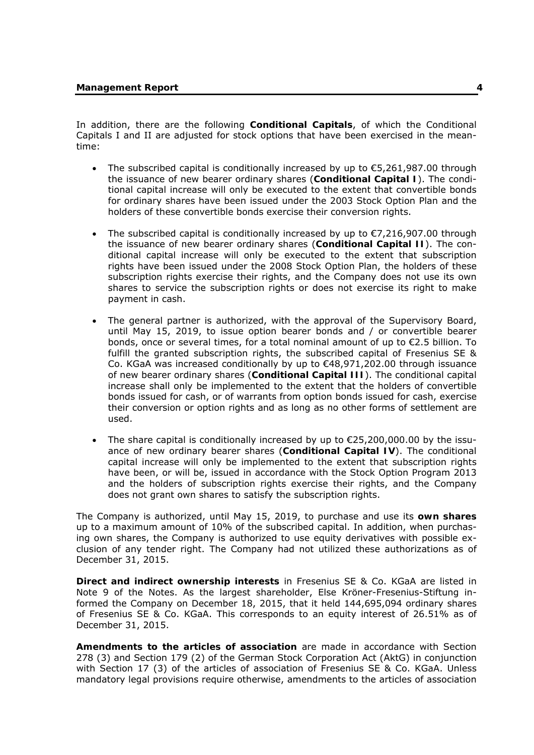In addition, there are the following **Conditional Capitals**, of which the Conditional Capitals I and II are adjusted for stock options that have been exercised in the meantime:

- The subscribed capital is conditionally increased by up to  $\epsilon$ 5,261,987.00 through the issuance of new bearer ordinary shares (**Conditional Capital I**). The conditional capital increase will only be executed to the extent that convertible bonds for ordinary shares have been issued under the 2003 Stock Option Plan and the holders of these convertible bonds exercise their conversion rights.
- The subscribed capital is conditionally increased by up to  $\epsilon$ 7,216,907.00 through the issuance of new bearer ordinary shares (**Conditional Capital II**). The conditional capital increase will only be executed to the extent that subscription rights have been issued under the 2008 Stock Option Plan, the holders of these subscription rights exercise their rights, and the Company does not use its own shares to service the subscription rights or does not exercise its right to make payment in cash.
- The general partner is authorized, with the approval of the Supervisory Board, until May 15, 2019, to issue option bearer bonds and / or convertible bearer bonds, once or several times, for a total nominal amount of up to €2.5 billion. To fulfill the granted subscription rights, the subscribed capital of Fresenius SE & Co. KGaA was increased conditionally by up to €48,971,202.00 through issuance of new bearer ordinary shares (**Conditional Capital III**). The conditional capital increase shall only be implemented to the extent that the holders of convertible bonds issued for cash, or of warrants from option bonds issued for cash, exercise their conversion or option rights and as long as no other forms of settlement are used.
- The share capital is conditionally increased by up to  $\epsilon$ 25,200,000.00 by the issuance of new ordinary bearer shares (**Conditional Capital IV**). The conditional capital increase will only be implemented to the extent that subscription rights have been, or will be, issued in accordance with the Stock Option Program 2013 and the holders of subscription rights exercise their rights, and the Company does not grant own shares to satisfy the subscription rights.

The Company is authorized, until May 15, 2019, to purchase and use its **own shares** up to a maximum amount of 10% of the subscribed capital. In addition, when purchasing own shares, the Company is authorized to use equity derivatives with possible exclusion of any tender right. The Company had not utilized these authorizations as of December 31, 2015.

**Direct and indirect ownership interests** in Fresenius SE & Co. KGaA are listed in Note 9 of the Notes. As the largest shareholder, Else Kröner-Fresenius-Stiftung informed the Company on December 18, 2015, that it held 144,695,094 ordinary shares of Fresenius SE & Co. KGaA. This corresponds to an equity interest of 26.51% as of December 31, 2015.

**Amendments to the articles of association** are made in accordance with Section 278 (3) and Section 179 (2) of the German Stock Corporation Act (AktG) in conjunction with Section 17 (3) of the articles of association of Fresenius SE & Co. KGaA. Unless mandatory legal provisions require otherwise, amendments to the articles of association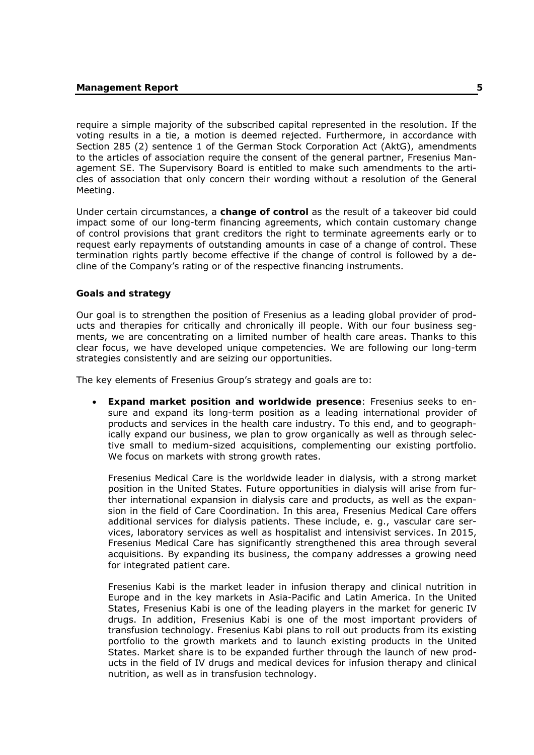require a simple majority of the subscribed capital represented in the resolution. If the voting results in a tie, a motion is deemed rejected. Furthermore, in accordance with Section 285 (2) sentence 1 of the German Stock Corporation Act (AktG), amendments to the articles of association require the consent of the general partner, Fresenius Management SE. The Supervisory Board is entitled to make such amendments to the articles of association that only concern their wording without a resolution of the General Meeting.

Under certain circumstances, a **change of control** as the result of a takeover bid could impact some of our long-term financing agreements, which contain customary change of control provisions that grant creditors the right to terminate agreements early or to request early repayments of outstanding amounts in case of a change of control. These termination rights partly become effective if the change of control is followed by a decline of the Company's rating or of the respective financing instruments.

#### **Goals and strategy**

Our goal is to strengthen the position of Fresenius as a leading global provider of products and therapies for critically and chronically ill people. With our four business segments, we are concentrating on a limited number of health care areas. Thanks to this clear focus, we have developed unique competencies. We are following our long-term strategies consistently and are seizing our opportunities.

The key elements of Fresenius Group's strategy and goals are to:

 **Expand market position and worldwide presence**: Fresenius seeks to ensure and expand its long-term position as a leading international provider of products and services in the health care industry. To this end, and to geographically expand our business, we plan to grow organically as well as through selective small to medium-sized acquisitions, complementing our existing portfolio. We focus on markets with strong growth rates.

Fresenius Medical Care is the worldwide leader in dialysis, with a strong market position in the United States. Future opportunities in dialysis will arise from further international expansion in dialysis care and products, as well as the expansion in the field of Care Coordination. In this area, Fresenius Medical Care offers additional services for dialysis patients. These include, e. g., vascular care services, laboratory services as well as hospitalist and intensivist services. In 2015, Fresenius Medical Care has significantly strengthened this area through several acquisitions. By expanding its business, the company addresses a growing need for integrated patient care.

Fresenius Kabi is the market leader in infusion therapy and clinical nutrition in Europe and in the key markets in Asia-Pacific and Latin America. In the United States, Fresenius Kabi is one of the leading players in the market for generic IV drugs. In addition, Fresenius Kabi is one of the most important providers of transfusion technology. Fresenius Kabi plans to roll out products from its existing portfolio to the growth markets and to launch existing products in the United States. Market share is to be expanded further through the launch of new products in the field of IV drugs and medical devices for infusion therapy and clinical nutrition, as well as in transfusion technology.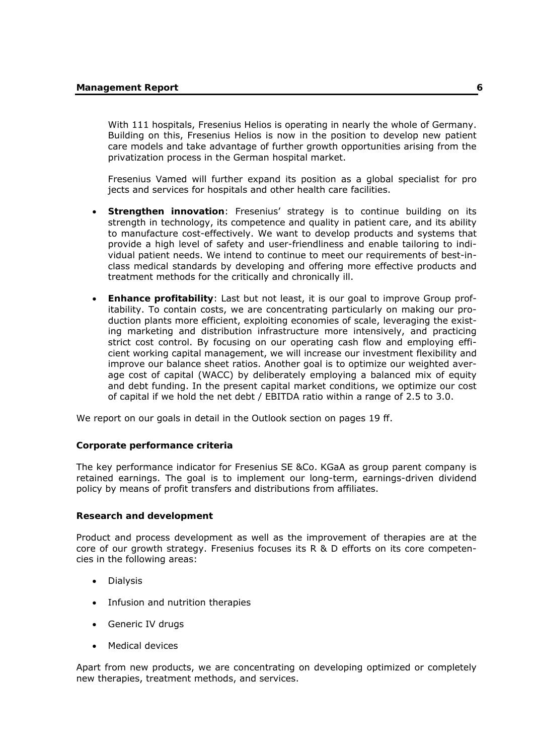With 111 hospitals, Fresenius Helios is operating in nearly the whole of Germany. Building on this, Fresenius Helios is now in the position to develop new patient care models and take advantage of further growth opportunities arising from the privatization process in the German hospital market.

Fresenius Vamed will further expand its position as a global specialist for pro jects and services for hospitals and other health care facilities.

- **Strengthen innovation**: Fresenius' strategy is to continue building on its strength in technology, its competence and quality in patient care, and its ability to manufacture cost-effectively. We want to develop products and systems that provide a high level of safety and user-friendliness and enable tailoring to individual patient needs. We intend to continue to meet our requirements of best-inclass medical standards by developing and offering more effective products and treatment methods for the critically and chronically ill.
- **Enhance profitability**: Last but not least, it is our goal to improve Group profitability. To contain costs, we are concentrating particularly on making our production plants more efficient, exploiting economies of scale, leveraging the existing marketing and distribution infrastructure more intensively, and practicing strict cost control. By focusing on our operating cash flow and employing efficient working capital management, we will increase our investment flexibility and improve our balance sheet ratios. Another goal is to optimize our weighted average cost of capital (WACC) by deliberately employing a balanced mix of equity and debt funding. In the present capital market conditions, we optimize our cost of capital if we hold the net debt / EBITDA ratio within a range of 2.5 to 3.0.

We report on our goals in detail in the Outlook section on pages 19 ff.

### **Corporate performance criteria**

The key performance indicator for Fresenius SE &Co. KGaA as group parent company is retained earnings. The goal is to implement our long-term, earnings-driven dividend policy by means of profit transfers and distributions from affiliates.

### **Research and development**

Product and process development as well as the improvement of therapies are at the core of our growth strategy. Fresenius focuses its R & D efforts on its core competencies in the following areas:

- Dialysis
- Infusion and nutrition therapies
- Generic IV drugs
- Medical devices

Apart from new products, we are concentrating on developing optimized or completely new therapies, treatment methods, and services.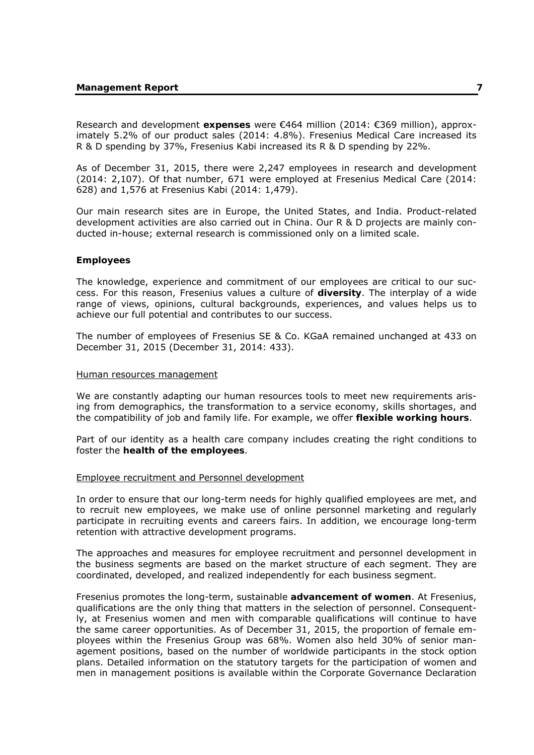Research and development **expenses** were €464 million (2014: €369 million), approximately 5.2% of our product sales (2014: 4.8%). Fresenius Medical Care increased its R & D spending by 37%, Fresenius Kabi increased its R & D spending by 22%.

As of December 31, 2015, there were 2,247 employees in research and development (2014: 2,107). Of that number, 671 were employed at Fresenius Medical Care (2014: 628) and 1,576 at Fresenius Kabi (2014: 1,479).

Our main research sites are in Europe, the United States, and India. Product-related development activities are also carried out in China. Our R & D projects are mainly conducted in-house; external research is commissioned only on a limited scale.

### **Employees**

The knowledge, experience and commitment of our employees are critical to our success. For this reason, Fresenius values a culture of **diversity**. The interplay of a wide range of views, opinions, cultural backgrounds, experiences, and values helps us to achieve our full potential and contributes to our success.

The number of employees of Fresenius SE & Co. KGaA remained unchanged at 433 on December 31, 2015 (December 31, 2014: 433).

#### Human resources management

We are constantly adapting our human resources tools to meet new requirements arising from demographics, the transformation to a service economy, skills shortages, and the compatibility of job and family life. For example, we offer **flexible working hours**.

Part of our identity as a health care company includes creating the right conditions to foster the **health of the employees**.

#### Employee recruitment and Personnel development

In order to ensure that our long-term needs for highly qualified employees are met, and to recruit new employees, we make use of online personnel marketing and regularly participate in recruiting events and careers fairs. In addition, we encourage long-term retention with attractive development programs.

The approaches and measures for employee recruitment and personnel development in the business segments are based on the market structure of each segment. They are coordinated, developed, and realized independently for each business segment.

Fresenius promotes the long-term, sustainable **advancement of women**. At Fresenius, qualifications are the only thing that matters in the selection of personnel. Consequently, at Fresenius women and men with comparable qualifications will continue to have the same career opportunities. As of December 31, 2015, the proportion of female employees within the Fresenius Group was 68%. Women also held 30% of senior management positions, based on the number of worldwide participants in the stock option plans. Detailed information on the statutory targets for the participation of women and men in management positions is available within the Corporate Governance Declaration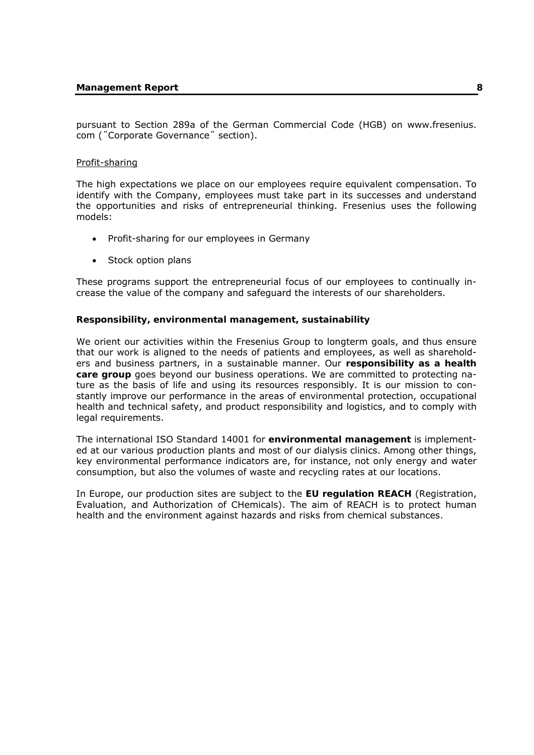pursuant to Section 289a of the German Commercial Code (HGB) on www.fresenius. com (˝Corporate Governance˝ section).

### Profit-sharing

The high expectations we place on our employees require equivalent compensation. To identify with the Company, employees must take part in its successes and understand the opportunities and risks of entrepreneurial thinking. Fresenius uses the following models:

- Profit-sharing for our employees in Germany
- Stock option plans

These programs support the entrepreneurial focus of our employees to continually increase the value of the company and safeguard the interests of our shareholders.

### **Responsibility, environmental management, sustainability**

We orient our activities within the Fresenius Group to longterm goals, and thus ensure that our work is aligned to the needs of patients and employees, as well as shareholders and business partners, in a sustainable manner. Our **responsibility as a health care group** goes beyond our business operations. We are committed to protecting nature as the basis of life and using its resources responsibly. It is our mission to constantly improve our performance in the areas of environmental protection, occupational health and technical safety, and product responsibility and logistics, and to comply with legal requirements.

The international ISO Standard 14001 for **environmental management** is implemented at our various production plants and most of our dialysis clinics. Among other things, key environmental performance indicators are, for instance, not only energy and water consumption, but also the volumes of waste and recycling rates at our locations.

In Europe, our production sites are subject to the **EU regulation REACH** (Registration, Evaluation, and Authorization of CHemicals). The aim of REACH is to protect human health and the environment against hazards and risks from chemical substances.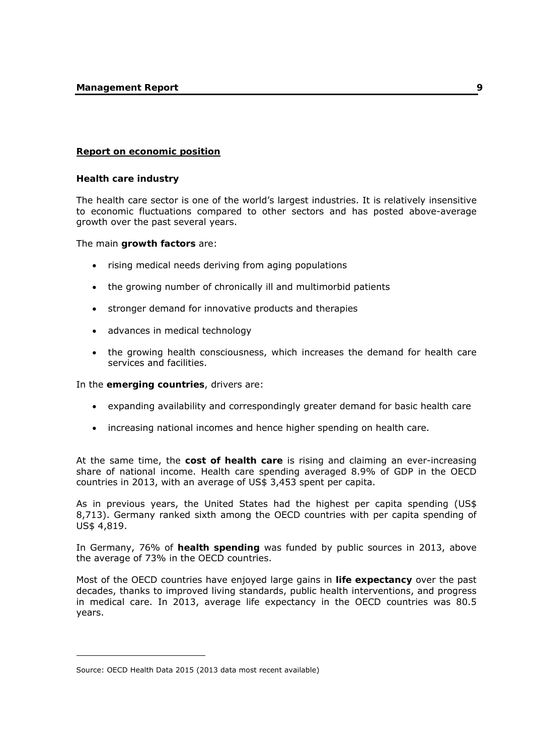#### **Report on economic position**

#### **Health care industry**

The health care sector is one of the world's largest industries. It is relatively insensitive to economic fluctuations compared to other sectors and has posted above-average growth over the past several years.

The main **growth factors** are:

- rising medical needs deriving from aging populations
- the growing number of chronically ill and multimorbid patients
- stronger demand for innovative products and therapies
- advances in medical technology
- the growing health consciousness, which increases the demand for health care services and facilities.

In the **emerging countries**, drivers are:

- expanding availability and correspondingly greater demand for basic health care
- increasing national incomes and hence higher spending on health care.

At the same time, the **cost of health care** is rising and claiming an ever-increasing share of national income. Health care spending averaged 8.9% of GDP in the OECD countries in 2013, with an average of US\$ 3,453 spent per capita.

As in previous years, the United States had the highest per capita spending (US\$ 8,713). Germany ranked sixth among the OECD countries with per capita spending of US\$ 4,819.

In Germany, 76% of **health spending** was funded by public sources in 2013, above the average of 73% in the OECD countries.

Most of the OECD countries have enjoyed large gains in **life expectancy** over the past decades, thanks to improved living standards, public health interventions, and progress in medical care. In 2013, average life expectancy in the OECD countries was 80.5 years.

-

Source: OECD Health Data 2015 (2013 data most recent available)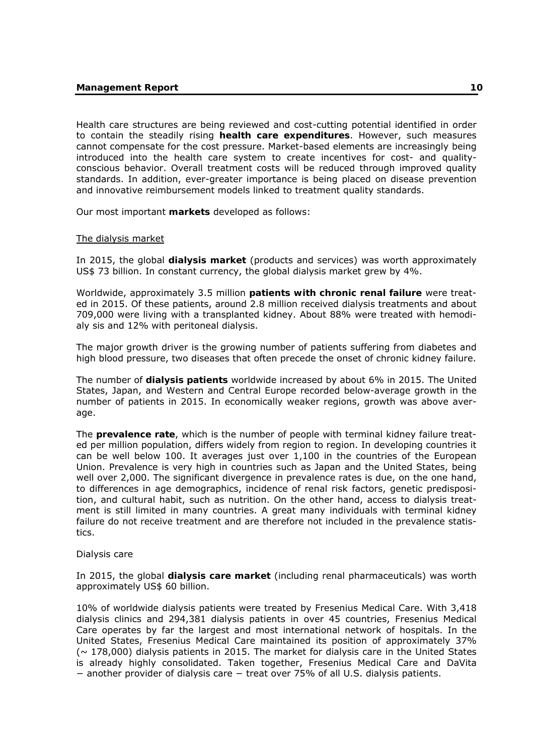Health care structures are being reviewed and cost-cutting potential identified in order to contain the steadily rising **health care expenditures**. However, such measures cannot compensate for the cost pressure. Market-based elements are increasingly being introduced into the health care system to create incentives for cost- and qualityconscious behavior. Overall treatment costs will be reduced through improved quality standards. In addition, ever-greater importance is being placed on disease prevention and innovative reimbursement models linked to treatment quality standards.

Our most important **markets** developed as follows:

#### The dialysis market

In 2015, the global **dialysis market** (products and services) was worth approximately US\$ 73 billion. In constant currency, the global dialysis market grew by 4%.

Worldwide, approximately 3.5 million **patients with chronic renal failure** were treated in 2015. Of these patients, around 2.8 million received dialysis treatments and about 709,000 were living with a transplanted kidney. About 88% were treated with hemodialy sis and 12% with peritoneal dialysis.

The major growth driver is the growing number of patients suffering from diabetes and high blood pressure, two diseases that often precede the onset of chronic kidney failure.

The number of **dialysis patients** worldwide increased by about 6% in 2015. The United States, Japan, and Western and Central Europe recorded below-average growth in the number of patients in 2015. In economically weaker regions, growth was above average.

The **prevalence rate**, which is the number of people with terminal kidney failure treated per million population, differs widely from region to region. In developing countries it can be well below 100. It averages just over 1,100 in the countries of the European Union. Prevalence is very high in countries such as Japan and the United States, being well over 2,000. The significant divergence in prevalence rates is due, on the one hand, to differences in age demographics, incidence of renal risk factors, genetic predisposition, and cultural habit, such as nutrition. On the other hand, access to dialysis treatment is still limited in many countries. A great many individuals with terminal kidney failure do not receive treatment and are therefore not included in the prevalence statistics.

#### Dialysis care

In 2015, the global **dialysis care market** (including renal pharmaceuticals) was worth approximately US\$ 60 billion.

10% of worldwide dialysis patients were treated by Fresenius Medical Care. With 3,418 dialysis clinics and 294,381 dialysis patients in over 45 countries, Fresenius Medical Care operates by far the largest and most international network of hospitals. In the United States, Fresenius Medical Care maintained its position of approximately 37%  $(\sim 178,000)$  dialysis patients in 2015. The market for dialysis care in the United States is already highly consolidated. Taken together, Fresenius Medical Care and DaVita − another provider of dialysis care − treat over 75% of all U.S. dialysis patients.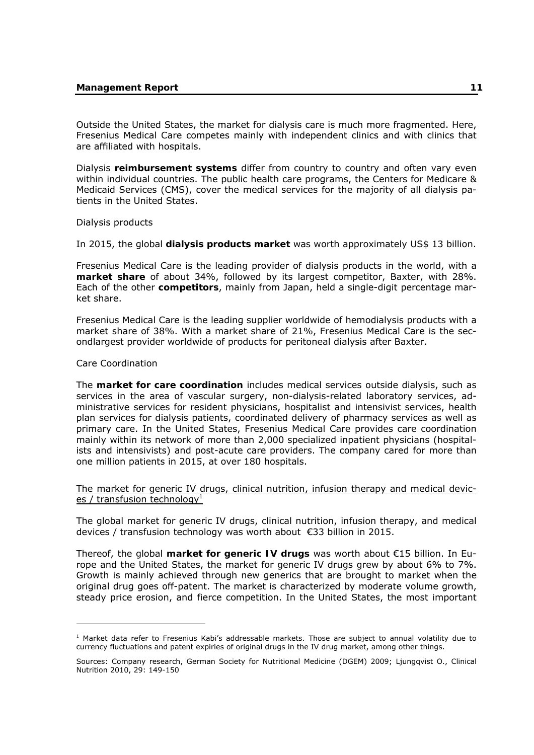Outside the United States, the market for dialysis care is much more fragmented. Here, Fresenius Medical Care competes mainly with independent clinics and with clinics that are affiliated with hospitals.

Dialysis **reimbursement systems** differ from country to country and often vary even within individual countries. The public health care programs, the Centers for Medicare & Medicaid Services (CMS), cover the medical services for the majority of all dialysis patients in the United States.

Dialysis products

In 2015, the global **dialysis products market** was worth approximately US\$ 13 billion.

Fresenius Medical Care is the leading provider of dialysis products in the world, with a **market share** of about 34%, followed by its largest competitor, Baxter, with 28%. Each of the other **competitors**, mainly from Japan, held a single-digit percentage market share.

Fresenius Medical Care is the leading supplier worldwide of hemodialysis products with a market share of 38%. With a market share of 21%, Fresenius Medical Care is the secondlargest provider worldwide of products for peritoneal dialysis after Baxter.

#### Care Coordination

-

The **market for care coordination** includes medical services outside dialysis, such as services in the area of vascular surgery, non-dialysis-related laboratory services, administrative services for resident physicians, hospitalist and intensivist services, health plan services for dialysis patients, coordinated delivery of pharmacy services as well as primary care. In the United States, Fresenius Medical Care provides care coordination mainly within its network of more than 2,000 specialized inpatient physicians (hospitalists and intensivists) and post-acute care providers. The company cared for more than one million patients in 2015, at over 180 hospitals.

#### The market for generic IV drugs, clinical nutrition, infusion therapy and medical devices / transfusion technology<sup>1</sup>

The global market for generic IV drugs, clinical nutrition, infusion therapy, and medical devices / transfusion technology was worth about €33 billion in 2015.

Thereof, the global **market for generic IV drugs** was worth about €15 billion. In Europe and the United States, the market for generic IV drugs grew by about 6% to 7%. Growth is mainly achieved through new generics that are brought to market when the original drug goes off-patent. The market is characterized by moderate volume growth, steady price erosion, and fierce competition. In the United States, the most important

<sup>&</sup>lt;sup>1</sup> Market data refer to Fresenius Kabi's addressable markets. Those are subject to annual volatility due to currency fluctuations and patent expiries of original drugs in the IV drug market, among other things.

Sources: Company research, German Society for Nutritional Medicine (DGEM) 2009; Ljungqvist O., Clinical Nutrition 2010, 29: 149-150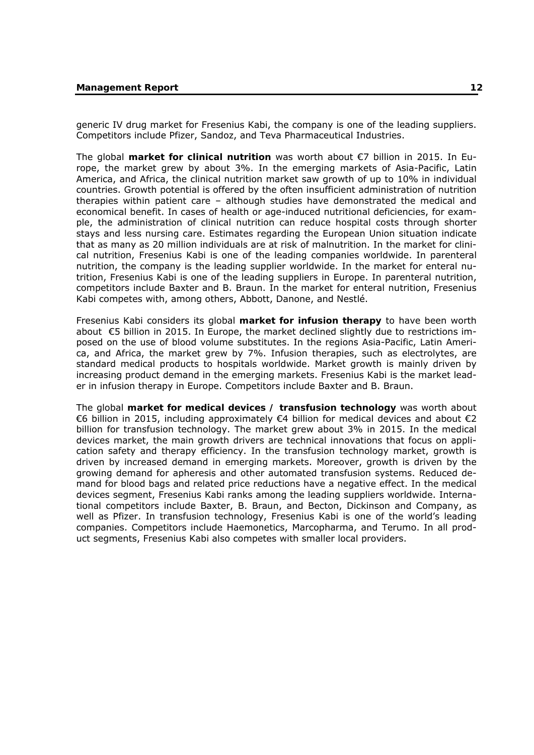generic IV drug market for Fresenius Kabi, the company is one of the leading suppliers. Competitors include Pfizer, Sandoz, and Teva Pharmaceutical Industries.

The global **market for clinical nutrition** was worth about €7 billion in 2015. In Europe, the market grew by about 3%. In the emerging markets of Asia-Pacific, Latin America, and Africa, the clinical nutrition market saw growth of up to 10% in individual countries. Growth potential is offered by the often insufficient administration of nutrition therapies within patient care – although studies have demonstrated the medical and economical benefit. In cases of health or age-induced nutritional deficiencies, for example, the administration of clinical nutrition can reduce hospital costs through shorter stays and less nursing care. Estimates regarding the European Union situation indicate that as many as 20 million individuals are at risk of malnutrition. In the market for clinical nutrition, Fresenius Kabi is one of the leading companies worldwide. In parenteral nutrition, the company is the leading supplier worldwide. In the market for enteral nutrition, Fresenius Kabi is one of the leading suppliers in Europe. In parenteral nutrition, competitors include Baxter and B. Braun. In the market for enteral nutrition, Fresenius Kabi competes with, among others, Abbott, Danone, and Nestlé.

Fresenius Kabi considers its global **market for infusion therapy** to have been worth about €5 billion in 2015. In Europe, the market declined slightly due to restrictions imposed on the use of blood volume substitutes. In the regions Asia-Pacific, Latin America, and Africa, the market grew by 7%. Infusion therapies, such as electrolytes, are standard medical products to hospitals worldwide. Market growth is mainly driven by increasing product demand in the emerging markets. Fresenius Kabi is the market leader in infusion therapy in Europe. Competitors include Baxter and B. Braun.

The global **market for medical devices / transfusion technology** was worth about €6 billion in 2015, including approximately €4 billion for medical devices and about €2 billion for transfusion technology. The market grew about 3% in 2015. In the medical devices market, the main growth drivers are technical innovations that focus on application safety and therapy efficiency. In the transfusion technology market, growth is driven by increased demand in emerging markets. Moreover, growth is driven by the growing demand for apheresis and other automated transfusion systems. Reduced demand for blood bags and related price reductions have a negative effect. In the medical devices segment, Fresenius Kabi ranks among the leading suppliers worldwide. International competitors include Baxter, B. Braun, and Becton, Dickinson and Company, as well as Pfizer. In transfusion technology, Fresenius Kabi is one of the world's leading companies. Competitors include Haemonetics, Marcopharma, and Terumo. In all product segments, Fresenius Kabi also competes with smaller local providers.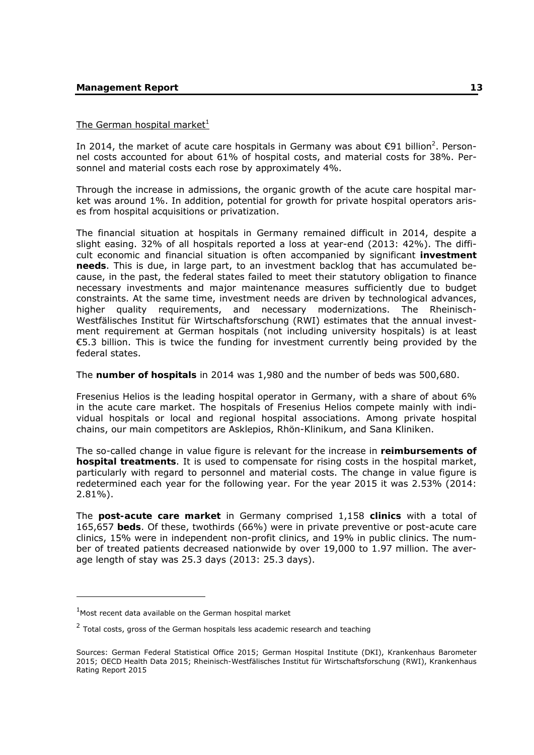# The German hospital market $1$

In 2014, the market of acute care hospitals in Germany was about  $\epsilon$ 91 billion<sup>2</sup>. Personnel costs accounted for about 61% of hospital costs, and material costs for 38%. Personnel and material costs each rose by approximately 4%.

Through the increase in admissions, the organic growth of the acute care hospital market was around 1%. In addition, potential for growth for private hospital operators arises from hospital acquisitions or privatization.

The financial situation at hospitals in Germany remained difficult in 2014, despite a slight easing. 32% of all hospitals reported a loss at year-end (2013: 42%). The difficult economic and financial situation is often accompanied by significant **investment needs**. This is due, in large part, to an investment backlog that has accumulated because, in the past, the federal states failed to meet their statutory obligation to finance necessary investments and major maintenance measures sufficiently due to budget constraints. At the same time, investment needs are driven by technological advances, higher quality requirements, and necessary modernizations. The Rheinisch-Westfälisches Institut für Wirtschaftsforschung (RWI) estimates that the annual investment requirement at German hospitals (not including university hospitals) is at least €5.3 billion. This is twice the funding for investment currently being provided by the federal states.

The **number of hospitals** in 2014 was 1,980 and the number of beds was 500,680.

Fresenius Helios is the leading hospital operator in Germany, with a share of about 6% in the acute care market. The hospitals of Fresenius Helios compete mainly with individual hospitals or local and regional hospital associations. Among private hospital chains, our main competitors are Asklepios, Rhön-Klinikum, and Sana Kliniken.

The so-called change in value figure is relevant for the increase in **reimbursements of hospital treatments**. It is used to compensate for rising costs in the hospital market, particularly with regard to personnel and material costs. The change in value figure is redetermined each year for the following year. For the year 2015 it was 2.53% (2014: 2.81%).

The **post-acute care market** in Germany comprised 1,158 **clinics** with a total of 165,657 **beds**. Of these, twothirds (66%) were in private preventive or post-acute care clinics, 15% were in independent non-profit clinics, and 19% in public clinics. The number of treated patients decreased nationwide by over 19,000 to 1.97 million. The average length of stay was 25.3 days (2013: 25.3 days).

-

 $1$ Most recent data available on the German hospital market

 $2$  Total costs, gross of the German hospitals less academic research and teaching

Sources: German Federal Statistical Office 2015; German Hospital Institute (DKI), Krankenhaus Barometer 2015; OECD Health Data 2015; Rheinisch-Westfälisches Institut für Wirtschaftsforschung (RWI), Krankenhaus Rating Report 2015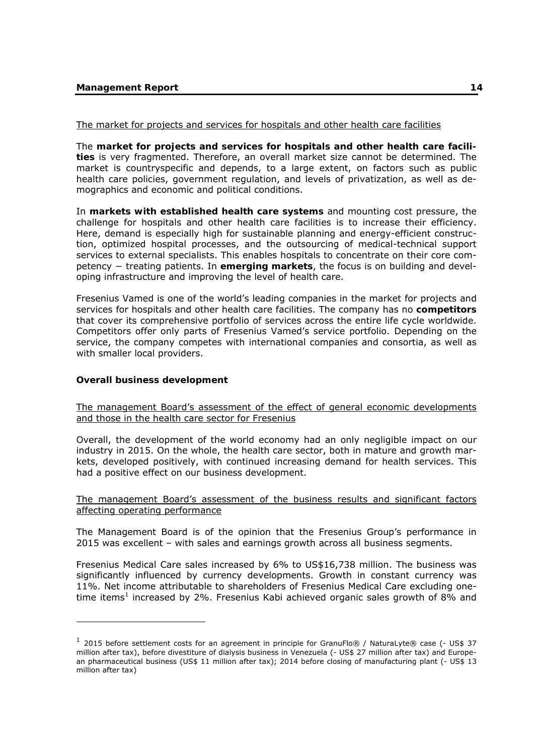The market for projects and services for hospitals and other health care facilities

The **market for projects and services for hospitals and other health care facilities** is very fragmented. Therefore, an overall market size cannot be determined. The market is countryspecific and depends, to a large extent, on factors such as public health care policies, government regulation, and levels of privatization, as well as demographics and economic and political conditions.

In **markets with established health care systems** and mounting cost pressure, the challenge for hospitals and other health care facilities is to increase their efficiency. Here, demand is especially high for sustainable planning and energy-efficient construction, optimized hospital processes, and the outsourcing of medical-technical support services to external specialists. This enables hospitals to concentrate on their core competency − treating patients. In **emerging markets**, the focus is on building and developing infrastructure and improving the level of health care.

Fresenius Vamed is one of the world's leading companies in the market for projects and services for hospitals and other health care facilities. The company has no **competitors** that cover its comprehensive portfolio of services across the entire life cycle worldwide. Competitors offer only parts of Fresenius Vamed's service portfolio. Depending on the service, the company competes with international companies and consortia, as well as with smaller local providers.

# **Overall business development**

-

The management Board's assessment of the effect of general economic developments and those in the health care sector for Fresenius

Overall, the development of the world economy had an only negligible impact on our industry in 2015. On the whole, the health care sector, both in mature and growth markets, developed positively, with continued increasing demand for health services. This had a positive effect on our business development.

### The management Board's assessment of the business results and significant factors affecting operating performance

The Management Board is of the opinion that the Fresenius Group's performance in 2015 was excellent – with sales and earnings growth across all business segments.

Fresenius Medical Care sales increased by 6% to US\$16,738 million. The business was significantly influenced by currency developments. Growth in constant currency was 11%. Net income attributable to shareholders of Fresenius Medical Care excluding onetime items<sup>1</sup> increased by 2%. Fresenius Kabi achieved organic sales growth of 8% and

 $1$  2015 before settlement costs for an agreement in principle for GranuFlo® / NaturaLyte® case (- US\$ 37 million after tax), before divestiture of dialysis business in Venezuela (- US\$ 27 million after tax) and European pharmaceutical business (US\$ 11 million after tax); 2014 before closing of manufacturing plant (- US\$ 13 million after tax)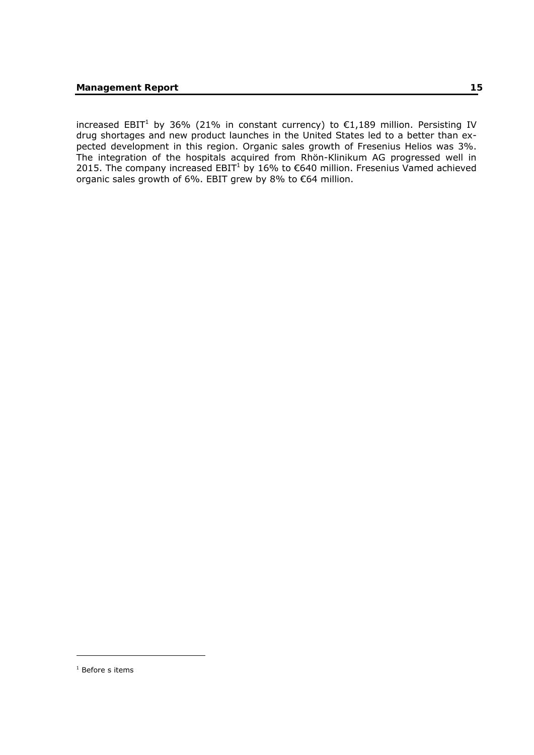increased EBIT<sup>1</sup> by 36% (21% in constant currency) to  $\epsilon$ 1,189 million. Persisting IV drug shortages and new product launches in the United States led to a better than expected development in this region. Organic sales growth of Fresenius Helios was 3%. The integration of the hospitals acquired from Rhön-Klinikum AG progressed well in 2015. The company increased EBIT<sup>1</sup> by 16% to €640 million. Fresenius Vamed achieved organic sales growth of 6%. EBIT grew by 8% to €64 million.

-

<sup>&</sup>lt;sup>1</sup> Before s items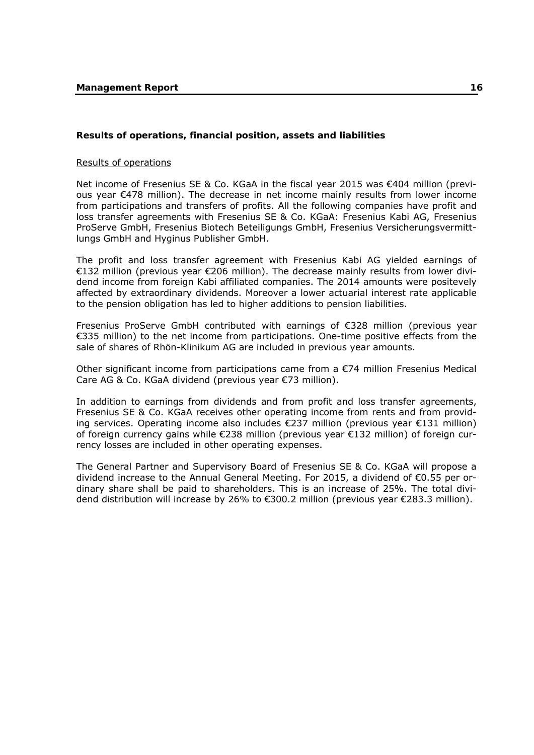### **Results of operations, financial position, assets and liabilities**

#### Results of operations

Net income of Fresenius SE & Co. KGaA in the fiscal year 2015 was €404 million (previous year €478 million). The decrease in net income mainly results from lower income from participations and transfers of profits. All the following companies have profit and loss transfer agreements with Fresenius SE & Co. KGaA: Fresenius Kabi AG, Fresenius ProServe GmbH, Fresenius Biotech Beteiligungs GmbH, Fresenius Versicherungsvermittlungs GmbH and Hyginus Publisher GmbH.

The profit and loss transfer agreement with Fresenius Kabi AG yielded earnings of €132 million (previous year €206 million). The decrease mainly results from lower dividend income from foreign Kabi affiliated companies. The 2014 amounts were positevely affected by extraordinary dividends. Moreover a lower actuarial interest rate applicable to the pension obligation has led to higher additions to pension liabilities.

Fresenius ProServe GmbH contributed with earnings of €328 million (previous year €335 million) to the net income from participations. One-time positive effects from the sale of shares of Rhön-Klinikum AG are included in previous year amounts.

Other significant income from participations came from a  $\epsilon$ 74 million Fresenius Medical Care AG & Co. KGaA dividend (previous year €73 million).

In addition to earnings from dividends and from profit and loss transfer agreements, Fresenius SE & Co. KGaA receives other operating income from rents and from providing services. Operating income also includes €237 million (previous year €131 million) of foreign currency gains while €238 million (previous year €132 million) of foreign currency losses are included in other operating expenses.

The General Partner and Supervisory Board of Fresenius SE & Co. KGaA will propose a dividend increase to the Annual General Meeting. For 2015, a dividend of €0.55 per ordinary share shall be paid to shareholders. This is an increase of 25%. The total dividend distribution will increase by 26% to €300.2 million (previous year €283.3 million).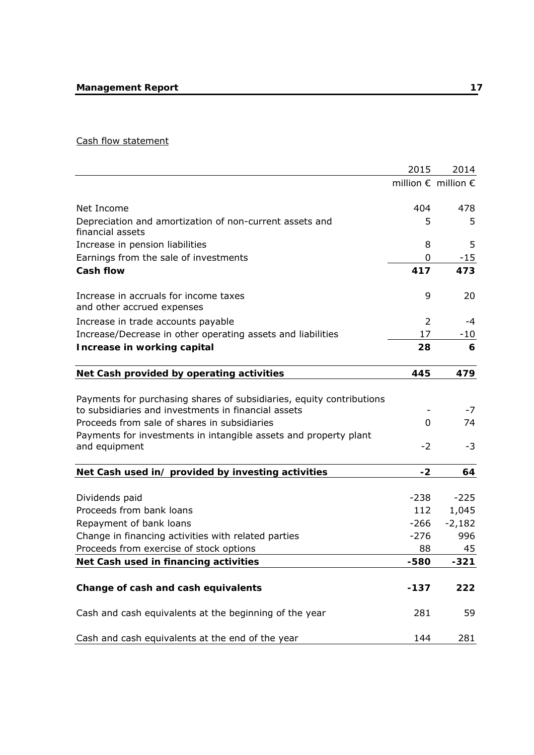# Cash flow statement

|                                                                                   | 2015     | 2014                                  |
|-----------------------------------------------------------------------------------|----------|---------------------------------------|
|                                                                                   |          | million $\epsilon$ million $\epsilon$ |
| Net Income                                                                        | 404      | 478                                   |
| Depreciation and amortization of non-current assets and<br>financial assets       | 5        | 5                                     |
| Increase in pension liabilities                                                   | 8        | 5                                     |
| Earnings from the sale of investments                                             | 0        | $-15$                                 |
| <b>Cash flow</b>                                                                  | 417      | 473                                   |
| Increase in accruals for income taxes<br>and other accrued expenses               | 9        | 20                                    |
| Increase in trade accounts payable                                                | 2        | -4                                    |
| Increase/Decrease in other operating assets and liabilities                       | 17       | $-10$                                 |
| Increase in working capital                                                       | 28       | 6                                     |
| Net Cash provided by operating activities                                         | 445      | 479                                   |
|                                                                                   |          |                                       |
| Payments for purchasing shares of subsidiaries, equity contributions              |          |                                       |
| to subsidiaries and investments in financial assets                               |          | $-7$                                  |
| Proceeds from sale of shares in subsidiaries                                      | $\Omega$ | 74                                    |
| Payments for investments in intangible assets and property plant<br>and equipment | $-2$     | -3                                    |
| Net Cash used in/ provided by investing activities                                | $-2$     | 64                                    |
| Dividends paid                                                                    | $-238$   | $-225$                                |
| Proceeds from bank loans                                                          | 112      | 1,045                                 |
| Repayment of bank loans                                                           | $-266$   | $-2,182$                              |
| Change in financing activities with related parties                               | $-276$   | 996                                   |
| Proceeds from exercise of stock options                                           | 88       | 45                                    |
| Net Cash used in financing activities                                             | -580     | $-321$                                |
| Change of cash and cash equivalents                                               | $-137$   | 222                                   |
| Cash and cash equivalents at the beginning of the year                            | 281      | 59                                    |
| Cash and cash equivalents at the end of the year                                  | 144      | 281                                   |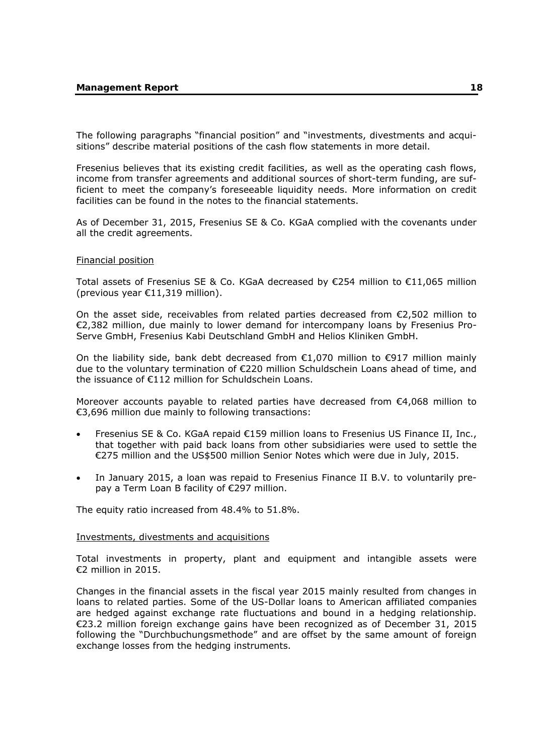The following paragraphs "financial position" and "investments, divestments and acquisitions" describe material positions of the cash flow statements in more detail.

Fresenius believes that its existing credit facilities, as well as the operating cash flows, income from transfer agreements and additional sources of short-term funding, are sufficient to meet the company's foreseeable liquidity needs. More information on credit facilities can be found in the notes to the financial statements.

As of December 31, 2015, Fresenius SE & Co. KGaA complied with the covenants under all the credit agreements.

#### Financial position

Total assets of Fresenius SE & Co. KGaA decreased by €254 million to  $€11,065$  million (previous year €11,319 million).

On the asset side, receivables from related parties decreased from  $\epsilon$ 2,502 million to €2,382 million, due mainly to lower demand for intercompany loans by Fresenius Pro-Serve GmbH, Fresenius Kabi Deutschland GmbH and Helios Kliniken GmbH.

On the liability side, bank debt decreased from  $£1,070$  million to  $€917$  million mainly due to the voluntary termination of €220 million Schuldschein Loans ahead of time, and the issuance of €112 million for Schuldschein Loans.

Moreover accounts payable to related parties have decreased from €4,068 million to €3,696 million due mainly to following transactions:

- Fresenius SE & Co. KGaA repaid €159 million loans to Fresenius US Finance II, Inc., that together with paid back loans from other subsidiaries were used to settle the €275 million and the US\$500 million Senior Notes which were due in July, 2015.
- In January 2015, a loan was repaid to Fresenius Finance II B.V. to voluntarily prepay a Term Loan B facility of €297 million.

The equity ratio increased from 48.4% to 51.8%.

#### Investments, divestments and acquisitions

Total investments in property, plant and equipment and intangible assets were €2 million in 2015.

Changes in the financial assets in the fiscal year 2015 mainly resulted from changes in loans to related parties. Some of the US-Dollar loans to American affiliated companies are hedged against exchange rate fluctuations and bound in a hedging relationship. €23.2 million foreign exchange gains have been recognized as of December 31, 2015 following the "Durchbuchungsmethode" and are offset by the same amount of foreign exchange losses from the hedging instruments.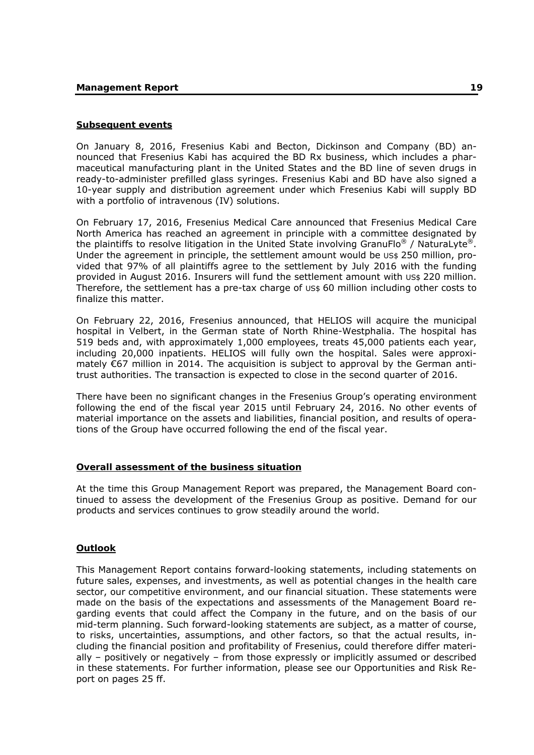# **Subsequent events**

On January 8, 2016, Fresenius Kabi and Becton, Dickinson and Company (BD) announced that Fresenius Kabi has acquired the BD Rx business, which includes a pharmaceutical manufacturing plant in the United States and the BD line of seven drugs in ready-to-administer prefilled glass syringes. Fresenius Kabi and BD have also signed a 10-year supply and distribution agreement under which Fresenius Kabi will supply BD with a portfolio of intravenous (IV) solutions.

On February 17, 2016, Fresenius Medical Care announced that Fresenius Medical Care North America has reached an agreement in principle with a committee designated by the plaintiffs to resolve litigation in the United State involving GranuFlo<sup>®</sup> / NaturaLyte<sup>®</sup>. Under the agreement in principle, the settlement amount would be US\$ 250 million, provided that 97% of all plaintiffs agree to the settlement by July 2016 with the funding provided in August 2016. Insurers will fund the settlement amount with US\$ 220 million. Therefore, the settlement has a pre-tax charge of  $US\$  60 million including other costs to finalize this matter.

On February 22, 2016, Fresenius announced, that HELIOS will acquire the municipal hospital in Velbert, in the German state of North Rhine-Westphalia. The hospital has 519 beds and, with approximately 1,000 employees, treats 45,000 patients each year, including 20,000 inpatients. HELIOS will fully own the hospital. Sales were approximately  $\epsilon$ 67 million in 2014. The acquisition is subject to approval by the German antitrust authorities. The transaction is expected to close in the second quarter of 2016.

There have been no significant changes in the Fresenius Group's operating environment following the end of the fiscal year 2015 until February 24, 2016. No other events of material importance on the assets and liabilities, financial position, and results of operations of the Group have occurred following the end of the fiscal year.

### **Overall assessment of the business situation**

At the time this Group Management Report was prepared, the Management Board continued to assess the development of the Fresenius Group as positive. Demand for our products and services continues to grow steadily around the world.

# **Outlook**

This Management Report contains forward-looking statements, including statements on future sales, expenses, and investments, as well as potential changes in the health care sector, our competitive environment, and our financial situation. These statements were made on the basis of the expectations and assessments of the Management Board regarding events that could affect the Company in the future, and on the basis of our mid-term planning. Such forward-looking statements are subject, as a matter of course, to risks, uncertainties, assumptions, and other factors, so that the actual results, including the financial position and profitability of Fresenius, could therefore differ materially – positively or negatively – from those expressly or implicitly assumed or described in these statements. For further information, please see our Opportunities and Risk Report on pages 25 ff.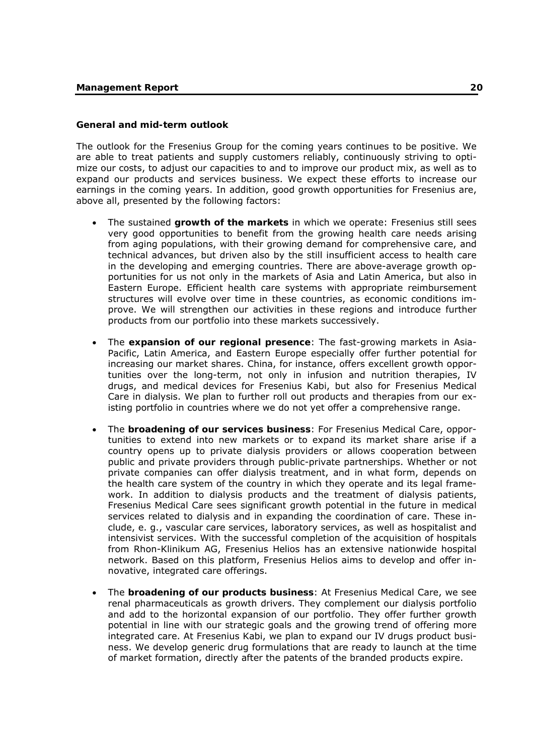#### **General and mid-term outlook**

The outlook for the Fresenius Group for the coming years continues to be positive. We are able to treat patients and supply customers reliably, continuously striving to optimize our costs, to adjust our capacities to and to improve our product mix, as well as to expand our products and services business. We expect these efforts to increase our earnings in the coming years. In addition, good growth opportunities for Fresenius are, above all, presented by the following factors:

- The sustained **growth of the markets** in which we operate: Fresenius still sees very good opportunities to benefit from the growing health care needs arising from aging populations, with their growing demand for comprehensive care, and technical advances, but driven also by the still insufficient access to health care in the developing and emerging countries. There are above-average growth opportunities for us not only in the markets of Asia and Latin America, but also in Eastern Europe. Efficient health care systems with appropriate reimbursement structures will evolve over time in these countries, as economic conditions improve. We will strengthen our activities in these regions and introduce further products from our portfolio into these markets successively.
- The **expansion of our regional presence**: The fast-growing markets in Asia-Pacific, Latin America, and Eastern Europe especially offer further potential for increasing our market shares. China, for instance, offers excellent growth opportunities over the long-term, not only in infusion and nutrition therapies, IV drugs, and medical devices for Fresenius Kabi, but also for Fresenius Medical Care in dialysis. We plan to further roll out products and therapies from our existing portfolio in countries where we do not yet offer a comprehensive range.
- The **broadening of our services business**: For Fresenius Medical Care, opportunities to extend into new markets or to expand its market share arise if a country opens up to private dialysis providers or allows cooperation between public and private providers through public-private partnerships. Whether or not private companies can offer dialysis treatment, and in what form, depends on the health care system of the country in which they operate and its legal framework. In addition to dialysis products and the treatment of dialysis patients, Fresenius Medical Care sees significant growth potential in the future in medical services related to dialysis and in expanding the coordination of care. These include, e. g., vascular care services, laboratory services, as well as hospitalist and intensivist services. With the successful completion of the acquisition of hospitals from Rhon-Klinikum AG, Fresenius Helios has an extensive nationwide hospital network. Based on this platform, Fresenius Helios aims to develop and offer innovative, integrated care offerings.
- The **broadening of our products business**: At Fresenius Medical Care, we see renal pharmaceuticals as growth drivers. They complement our dialysis portfolio and add to the horizontal expansion of our portfolio. They offer further growth potential in line with our strategic goals and the growing trend of offering more integrated care. At Fresenius Kabi, we plan to expand our IV drugs product business. We develop generic drug formulations that are ready to launch at the time of market formation, directly after the patents of the branded products expire.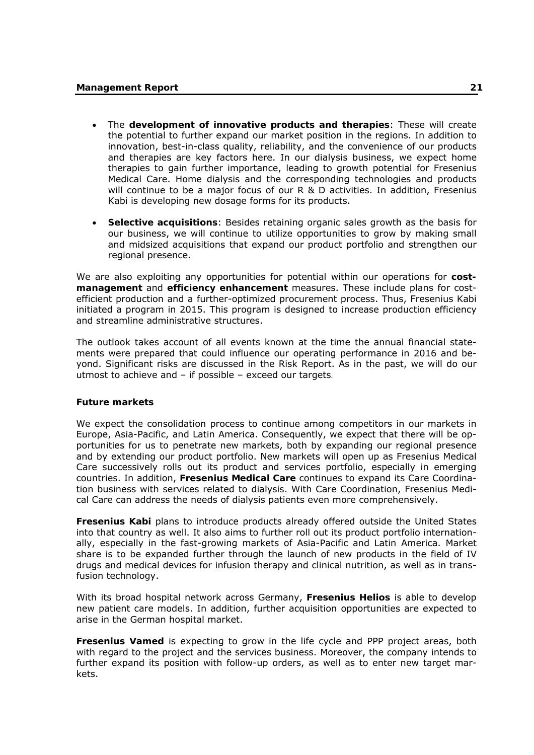- The **development of innovative products and therapies**: These will create the potential to further expand our market position in the regions. In addition to innovation, best-in-class quality, reliability, and the convenience of our products and therapies are key factors here. In our dialysis business, we expect home therapies to gain further importance, leading to growth potential for Fresenius Medical Care. Home dialysis and the corresponding technologies and products will continue to be a major focus of our R & D activities. In addition, Fresenius Kabi is developing new dosage forms for its products.
- **Selective acquisitions**: Besides retaining organic sales growth as the basis for our business, we will continue to utilize opportunities to grow by making small and midsized acquisitions that expand our product portfolio and strengthen our regional presence.

We are also exploiting any opportunities for potential within our operations for **costmanagement** and **efficiency enhancement** measures. These include plans for costefficient production and a further-optimized procurement process. Thus, Fresenius Kabi initiated a program in 2015. This program is designed to increase production efficiency and streamline administrative structures.

The outlook takes account of all events known at the time the annual financial statements were prepared that could influence our operating performance in 2016 and beyond. Significant risks are discussed in the Risk Report. As in the past, we will do our utmost to achieve and – if possible – exceed our targets.

### **Future markets**

We expect the consolidation process to continue among competitors in our markets in Europe, Asia-Pacific, and Latin America. Consequently, we expect that there will be opportunities for us to penetrate new markets, both by expanding our regional presence and by extending our product portfolio. New markets will open up as Fresenius Medical Care successively rolls out its product and services portfolio, especially in emerging countries. In addition, **Fresenius Medical Care** continues to expand its Care Coordination business with services related to dialysis. With Care Coordination, Fresenius Medical Care can address the needs of dialysis patients even more comprehensively.

**Fresenius Kabi** plans to introduce products already offered outside the United States into that country as well. It also aims to further roll out its product portfolio internationally, especially in the fast-growing markets of Asia-Pacific and Latin America. Market share is to be expanded further through the launch of new products in the field of IV drugs and medical devices for infusion therapy and clinical nutrition, as well as in transfusion technology.

With its broad hospital network across Germany, **Fresenius Helios** is able to develop new patient care models. In addition, further acquisition opportunities are expected to arise in the German hospital market.

**Fresenius Vamed** is expecting to grow in the life cycle and PPP project areas, both with regard to the project and the services business. Moreover, the company intends to further expand its position with follow-up orders, as well as to enter new target markets.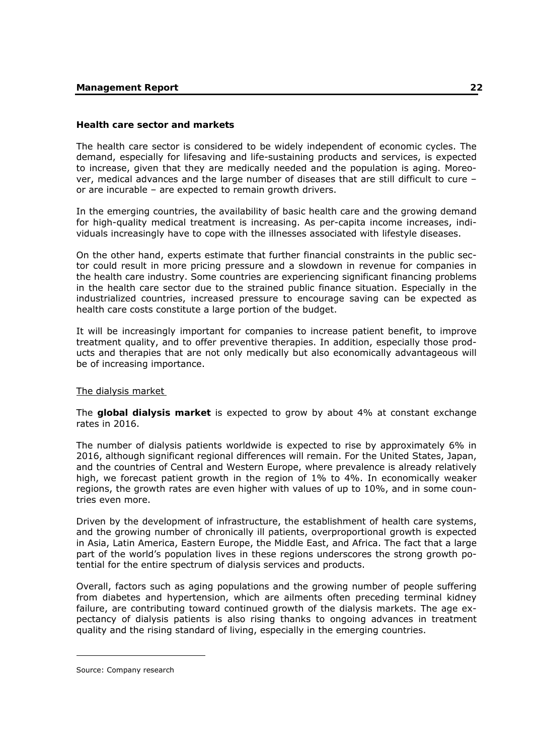# **Health care sector and markets**

The health care sector is considered to be widely independent of economic cycles. The demand, especially for lifesaving and life-sustaining products and services, is expected to increase, given that they are medically needed and the population is aging. Moreover, medical advances and the large number of diseases that are still difficult to cure – or are incurable – are expected to remain growth drivers.

In the emerging countries, the availability of basic health care and the growing demand for high-quality medical treatment is increasing. As per-capita income increases, individuals increasingly have to cope with the illnesses associated with lifestyle diseases.

On the other hand, experts estimate that further financial constraints in the public sector could result in more pricing pressure and a slowdown in revenue for companies in the health care industry. Some countries are experiencing significant financing problems in the health care sector due to the strained public finance situation. Especially in the industrialized countries, increased pressure to encourage saving can be expected as health care costs constitute a large portion of the budget.

It will be increasingly important for companies to increase patient benefit, to improve treatment quality, and to offer preventive therapies. In addition, especially those products and therapies that are not only medically but also economically advantageous will be of increasing importance.

### The dialysis market

The **global dialysis market** is expected to grow by about 4% at constant exchange rates in 2016.

The number of dialysis patients worldwide is expected to rise by approximately 6% in 2016, although significant regional differences will remain. For the United States, Japan, and the countries of Central and Western Europe, where prevalence is already relatively high, we forecast patient growth in the region of 1% to 4%. In economically weaker regions, the growth rates are even higher with values of up to 10%, and in some countries even more.

Driven by the development of infrastructure, the establishment of health care systems, and the growing number of chronically ill patients, overproportional growth is expected in Asia, Latin America, Eastern Europe, the Middle East, and Africa. The fact that a large part of the world's population lives in these regions underscores the strong growth potential for the entire spectrum of dialysis services and products.

Overall, factors such as aging populations and the growing number of people suffering from diabetes and hypertension, which are ailments often preceding terminal kidney failure, are contributing toward continued growth of the dialysis markets. The age expectancy of dialysis patients is also rising thanks to ongoing advances in treatment quality and the rising standard of living, especially in the emerging countries.

-

Source: Company research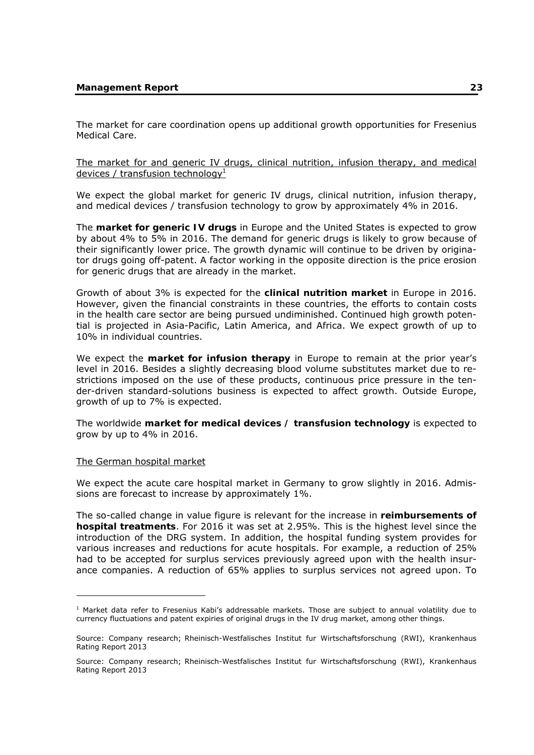The market for care coordination opens up additional growth opportunities for Fresenius Medical Care.

The market for and generic IV drugs, clinical nutrition, infusion therapy, and medical devices / transfusion technology<sup>1</sup>

We expect the global market for generic IV drugs, clinical nutrition, infusion therapy, and medical devices / transfusion technology to grow by approximately 4% in 2016.

The **market for generic IV drugs** in Europe and the United States is expected to grow by about 4% to 5% in 2016. The demand for generic drugs is likely to grow because of their significantly lower price. The growth dynamic will continue to be driven by originator drugs going off-patent. A factor working in the opposite direction is the price erosion for generic drugs that are already in the market.

Growth of about 3% is expected for the **clinical nutrition market** in Europe in 2016. However, given the financial constraints in these countries, the efforts to contain costs in the health care sector are being pursued undiminished. Continued high growth potential is projected in Asia-Pacific, Latin America, and Africa. We expect growth of up to 10% in individual countries.

We expect the **market for infusion therapy** in Europe to remain at the prior year's level in 2016. Besides a slightly decreasing blood volume substitutes market due to restrictions imposed on the use of these products, continuous price pressure in the tender-driven standard-solutions business is expected to affect growth. Outside Europe, growth of up to 7% is expected.

The worldwide **market for medical devices / transfusion technology** is expected to grow by up to 4% in 2016.

### The German hospital market

-

We expect the acute care hospital market in Germany to grow slightly in 2016. Admissions are forecast to increase by approximately 1%.

The so-called change in value figure is relevant for the increase in **reimbursements of hospital treatments**. For 2016 it was set at 2.95%. This is the highest level since the introduction of the DRG system. In addition, the hospital funding system provides for various increases and reductions for acute hospitals. For example, a reduction of 25% had to be accepted for surplus services previously agreed upon with the health insurance companies. A reduction of 65% applies to surplus services not agreed upon. To

<sup>&</sup>lt;sup>1</sup> Market data refer to Fresenius Kabi's addressable markets. Those are subject to annual volatility due to currency fluctuations and patent expiries of original drugs in the IV drug market, among other things.

Source: Company research; Rheinisch-Westfalisches Institut fur Wirtschaftsforschung (RWI), Krankenhaus Rating Report 2013

Source: Company research; Rheinisch-Westfalisches Institut fur Wirtschaftsforschung (RWI), Krankenhaus Rating Report 2013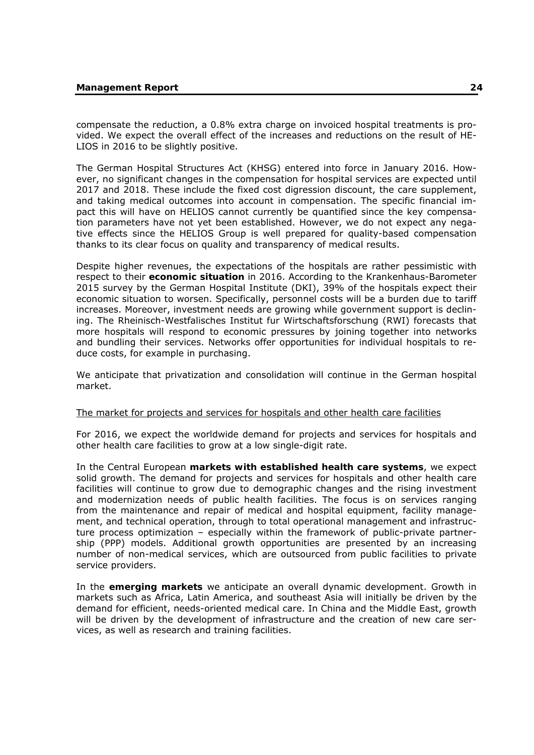compensate the reduction, a 0.8% extra charge on invoiced hospital treatments is provided. We expect the overall effect of the increases and reductions on the result of HE-LIOS in 2016 to be slightly positive.

The German Hospital Structures Act (KHSG) entered into force in January 2016. However, no significant changes in the compensation for hospital services are expected until 2017 and 2018. These include the fixed cost digression discount, the care supplement, and taking medical outcomes into account in compensation. The specific financial impact this will have on HELIOS cannot currently be quantified since the key compensation parameters have not yet been established. However, we do not expect any negative effects since the HELIOS Group is well prepared for quality-based compensation thanks to its clear focus on quality and transparency of medical results.

Despite higher revenues, the expectations of the hospitals are rather pessimistic with respect to their **economic situation** in 2016. According to the Krankenhaus-Barometer 2015 survey by the German Hospital Institute (DKI), 39% of the hospitals expect their economic situation to worsen. Specifically, personnel costs will be a burden due to tariff increases. Moreover, investment needs are growing while government support is declining. The Rheinisch-Westfalisches Institut fur Wirtschaftsforschung (RWI) forecasts that more hospitals will respond to economic pressures by joining together into networks and bundling their services. Networks offer opportunities for individual hospitals to reduce costs, for example in purchasing.

We anticipate that privatization and consolidation will continue in the German hospital market.

#### The market for projects and services for hospitals and other health care facilities

For 2016, we expect the worldwide demand for projects and services for hospitals and other health care facilities to grow at a low single-digit rate.

In the Central European **markets with established health care systems**, we expect solid growth. The demand for projects and services for hospitals and other health care facilities will continue to grow due to demographic changes and the rising investment and modernization needs of public health facilities. The focus is on services ranging from the maintenance and repair of medical and hospital equipment, facility management, and technical operation, through to total operational management and infrastructure process optimization – especially within the framework of public-private partnership (PPP) models. Additional growth opportunities are presented by an increasing number of non-medical services, which are outsourced from public facilities to private service providers.

In the **emerging markets** we anticipate an overall dynamic development. Growth in markets such as Africa, Latin America, and southeast Asia will initially be driven by the demand for efficient, needs-oriented medical care. In China and the Middle East, growth will be driven by the development of infrastructure and the creation of new care services, as well as research and training facilities.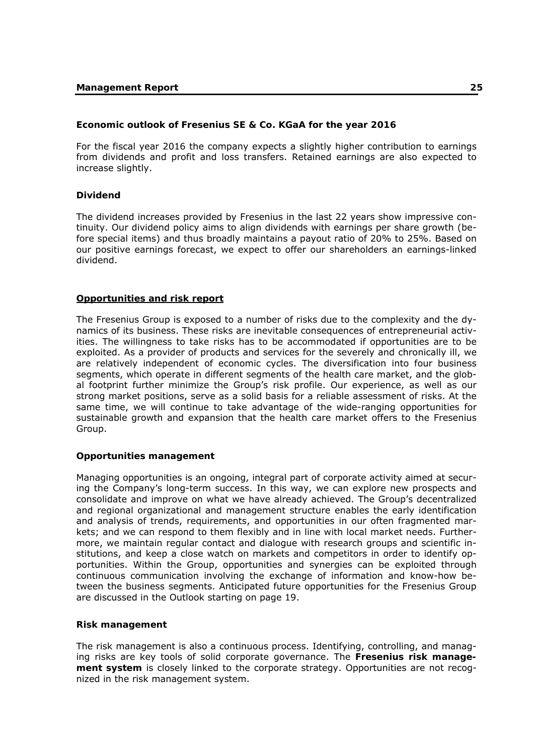### **Economic outlook of Fresenius SE & Co. KGaA for the year 2016**

For the fiscal year 2016 the company expects a slightly higher contribution to earnings from dividends and profit and loss transfers. Retained earnings are also expected to increase slightly.

# **Dividend**

The dividend increases provided by Fresenius in the last 22 years show impressive continuity. Our dividend policy aims to align dividends with earnings per share growth (before special items) and thus broadly maintains a payout ratio of 20% to 25%. Based on our positive earnings forecast, we expect to offer our shareholders an earnings-linked dividend.

### **Opportunities and risk report**

The Fresenius Group is exposed to a number of risks due to the complexity and the dynamics of its business. These risks are inevitable consequences of entrepreneurial activities. The willingness to take risks has to be accommodated if opportunities are to be exploited. As a provider of products and services for the severely and chronically ill, we are relatively independent of economic cycles. The diversification into four business segments, which operate in different segments of the health care market, and the global footprint further minimize the Group's risk profile. Our experience, as well as our strong market positions, serve as a solid basis for a reliable assessment of risks. At the same time, we will continue to take advantage of the wide-ranging opportunities for sustainable growth and expansion that the health care market offers to the Fresenius Group.

### **Opportunities management**

Managing opportunities is an ongoing, integral part of corporate activity aimed at securing the Company's long-term success. In this way, we can explore new prospects and consolidate and improve on what we have already achieved. The Group's decentralized and regional organizational and management structure enables the early identification and analysis of trends, requirements, and opportunities in our often fragmented markets; and we can respond to them flexibly and in line with local market needs. Furthermore, we maintain regular contact and dialogue with research groups and scientific institutions, and keep a close watch on markets and competitors in order to identify opportunities. Within the Group, opportunities and synergies can be exploited through continuous communication involving the exchange of information and know-how between the business segments. Anticipated future opportunities for the Fresenius Group are discussed in the Outlook starting on page 19.

### **Risk management**

The risk management is also a continuous process. Identifying, controlling, and managing risks are key tools of solid corporate governance. The **Fresenius risk management system** is closely linked to the corporate strategy. Opportunities are not recognized in the risk management system.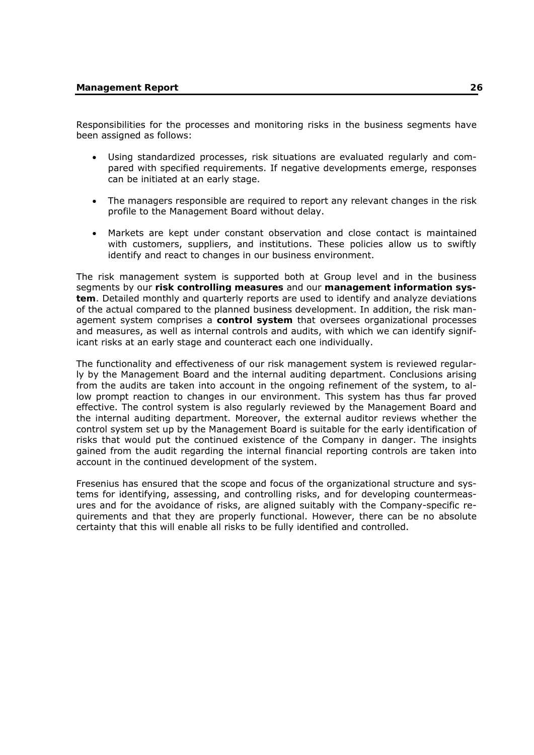Responsibilities for the processes and monitoring risks in the business segments have been assigned as follows:

- Using standardized processes, risk situations are evaluated regularly and compared with specified requirements. If negative developments emerge, responses can be initiated at an early stage.
- The managers responsible are required to report any relevant changes in the risk profile to the Management Board without delay.
- Markets are kept under constant observation and close contact is maintained with customers, suppliers, and institutions. These policies allow us to swiftly identify and react to changes in our business environment.

The risk management system is supported both at Group level and in the business segments by our **risk controlling measures** and our **management information system**. Detailed monthly and quarterly reports are used to identify and analyze deviations of the actual compared to the planned business development. In addition, the risk management system comprises a **control system** that oversees organizational processes and measures, as well as internal controls and audits, with which we can identify significant risks at an early stage and counteract each one individually.

The functionality and effectiveness of our risk management system is reviewed regularly by the Management Board and the internal auditing department. Conclusions arising from the audits are taken into account in the ongoing refinement of the system, to allow prompt reaction to changes in our environment. This system has thus far proved effective. The control system is also regularly reviewed by the Management Board and the internal auditing department. Moreover, the external auditor reviews whether the control system set up by the Management Board is suitable for the early identification of risks that would put the continued existence of the Company in danger. The insights gained from the audit regarding the internal financial reporting controls are taken into account in the continued development of the system.

Fresenius has ensured that the scope and focus of the organizational structure and systems for identifying, assessing, and controlling risks, and for developing countermeasures and for the avoidance of risks, are aligned suitably with the Company-specific requirements and that they are properly functional. However, there can be no absolute certainty that this will enable all risks to be fully identified and controlled.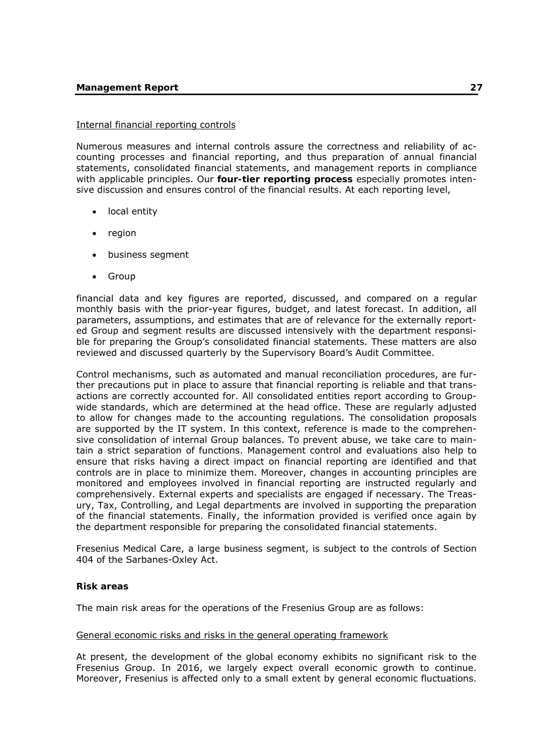### Internal financial reporting controls

Numerous measures and internal controls assure the correctness and reliability of accounting processes and financial reporting, and thus preparation of annual financial statements, consolidated financial statements, and management reports in compliance with applicable principles. Our **four-tier reporting process** especially promotes intensive discussion and ensures control of the financial results. At each reporting level,

- local entity
- region
- business segment
- Group

financial data and key figures are reported, discussed, and compared on a regular monthly basis with the prior-year figures, budget, and latest forecast. In addition, all parameters, assumptions, and estimates that are of relevance for the externally reported Group and segment results are discussed intensively with the department responsible for preparing the Group's consolidated financial statements. These matters are also reviewed and discussed quarterly by the Supervisory Board's Audit Committee.

Control mechanisms, such as automated and manual reconciliation procedures, are further precautions put in place to assure that financial reporting is reliable and that transactions are correctly accounted for. All consolidated entities report according to Groupwide standards, which are determined at the head office. These are regularly adjusted to allow for changes made to the accounting regulations. The consolidation proposals are supported by the IT system. In this context, reference is made to the comprehensive consolidation of internal Group balances. To prevent abuse, we take care to maintain a strict separation of functions. Management control and evaluations also help to ensure that risks having a direct impact on financial reporting are identified and that controls are in place to minimize them. Moreover, changes in accounting principles are monitored and employees involved in financial reporting are instructed regularly and comprehensively. External experts and specialists are engaged if necessary. The Treasury, Tax, Controlling, and Legal departments are involved in supporting the preparation of the financial statements. Finally, the information provided is verified once again by the department responsible for preparing the consolidated financial statements.

Fresenius Medical Care, a large business segment, is subject to the controls of Section 404 of the Sarbanes-Oxley Act.

### **Risk areas**

The main risk areas for the operations of the Fresenius Group are as follows:

#### General economic risks and risks in the general operating framework

At present, the development of the global economy exhibits no significant risk to the Fresenius Group. In 2016, we largely expect overall economic growth to continue. Moreover, Fresenius is affected only to a small extent by general economic fluctuations.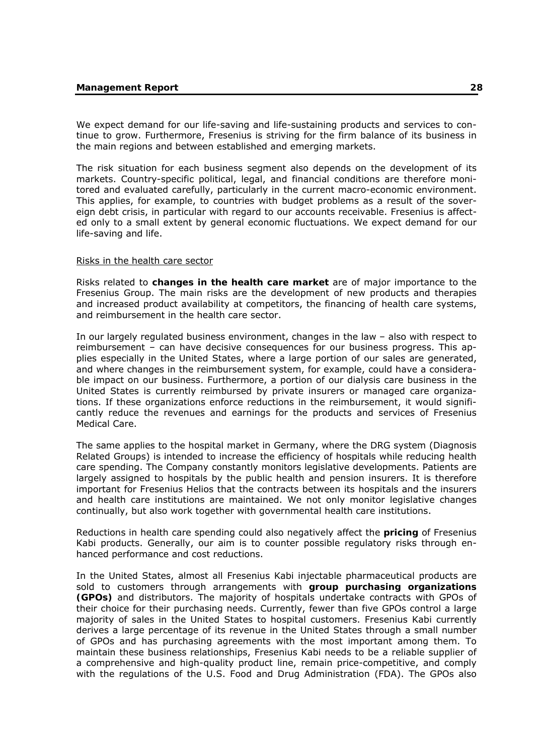We expect demand for our life-saving and life-sustaining products and services to continue to grow. Furthermore, Fresenius is striving for the firm balance of its business in the main regions and between established and emerging markets.

The risk situation for each business segment also depends on the development of its markets. Country-specific political, legal, and financial conditions are therefore monitored and evaluated carefully, particularly in the current macro-economic environment. This applies, for example, to countries with budget problems as a result of the sovereign debt crisis, in particular with regard to our accounts receivable. Fresenius is affected only to a small extent by general economic fluctuations. We expect demand for our life-saving and life.

#### Risks in the health care sector

Risks related to **changes in the health care market** are of major importance to the Fresenius Group. The main risks are the development of new products and therapies and increased product availability at competitors, the financing of health care systems, and reimbursement in the health care sector.

In our largely regulated business environment, changes in the law – also with respect to reimbursement – can have decisive consequences for our business progress. This applies especially in the United States, where a large portion of our sales are generated, and where changes in the reimbursement system, for example, could have a considerable impact on our business. Furthermore, a portion of our dialysis care business in the United States is currently reimbursed by private insurers or managed care organizations. If these organizations enforce reductions in the reimbursement, it would significantly reduce the revenues and earnings for the products and services of Fresenius Medical Care.

The same applies to the hospital market in Germany, where the DRG system (Diagnosis Related Groups) is intended to increase the efficiency of hospitals while reducing health care spending. The Company constantly monitors legislative developments. Patients are largely assigned to hospitals by the public health and pension insurers. It is therefore important for Fresenius Helios that the contracts between its hospitals and the insurers and health care institutions are maintained. We not only monitor legislative changes continually, but also work together with governmental health care institutions.

Reductions in health care spending could also negatively affect the **pricing** of Fresenius Kabi products. Generally, our aim is to counter possible regulatory risks through enhanced performance and cost reductions.

In the United States, almost all Fresenius Kabi injectable pharmaceutical products are sold to customers through arrangements with **group purchasing organizations (GPOs)** and distributors. The majority of hospitals undertake contracts with GPOs of their choice for their purchasing needs. Currently, fewer than five GPOs control a large majority of sales in the United States to hospital customers. Fresenius Kabi currently derives a large percentage of its revenue in the United States through a small number of GPOs and has purchasing agreements with the most important among them. To maintain these business relationships, Fresenius Kabi needs to be a reliable supplier of a comprehensive and high-quality product line, remain price-competitive, and comply with the regulations of the U.S. Food and Drug Administration (FDA). The GPOs also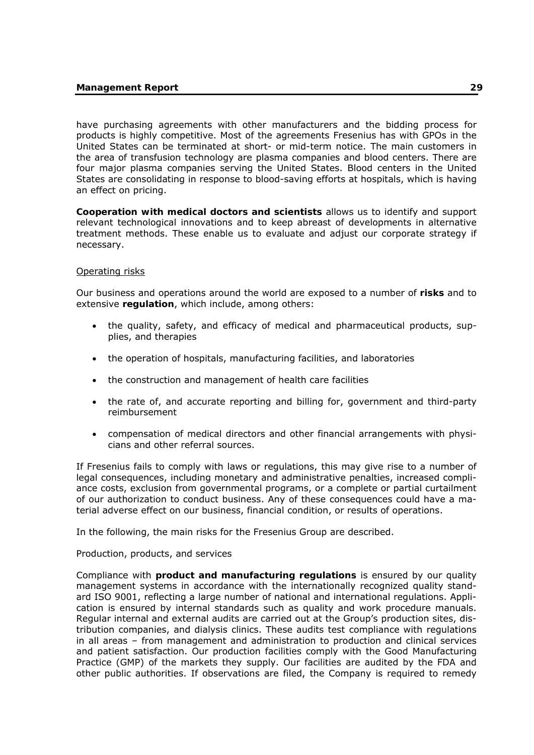have purchasing agreements with other manufacturers and the bidding process for products is highly competitive. Most of the agreements Fresenius has with GPOs in the United States can be terminated at short- or mid-term notice. The main customers in the area of transfusion technology are plasma companies and blood centers. There are four major plasma companies serving the United States. Blood centers in the United States are consolidating in response to blood-saving efforts at hospitals, which is having an effect on pricing.

**Cooperation with medical doctors and scientists** allows us to identify and support relevant technological innovations and to keep abreast of developments in alternative treatment methods. These enable us to evaluate and adjust our corporate strategy if necessary.

### Operating risks

Our business and operations around the world are exposed to a number of **risks** and to extensive **regulation**, which include, among others:

- the quality, safety, and efficacy of medical and pharmaceutical products, supplies, and therapies
- the operation of hospitals, manufacturing facilities, and laboratories
- the construction and management of health care facilities
- the rate of, and accurate reporting and billing for, government and third-party reimbursement
- compensation of medical directors and other financial arrangements with physicians and other referral sources.

If Fresenius fails to comply with laws or regulations, this may give rise to a number of legal consequences, including monetary and administrative penalties, increased compliance costs, exclusion from governmental programs, or a complete or partial curtailment of our authorization to conduct business. Any of these consequences could have a material adverse effect on our business, financial condition, or results of operations.

In the following, the main risks for the Fresenius Group are described.

Production, products, and services

Compliance with **product and manufacturing regulations** is ensured by our quality management systems in accordance with the internationally recognized quality standard ISO 9001, reflecting a large number of national and international regulations. Application is ensured by internal standards such as quality and work procedure manuals. Regular internal and external audits are carried out at the Group's production sites, distribution companies, and dialysis clinics. These audits test compliance with regulations in all areas – from management and administration to production and clinical services and patient satisfaction. Our production facilities comply with the Good Manufacturing Practice (GMP) of the markets they supply. Our facilities are audited by the FDA and other public authorities. If observations are filed, the Company is required to remedy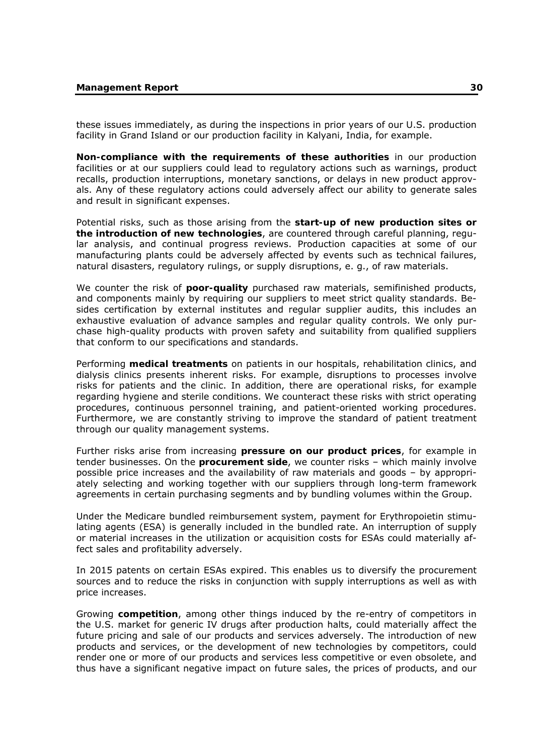these issues immediately, as during the inspections in prior years of our U.S. production facility in Grand Island or our production facility in Kalyani, India, for example.

**Non-compliance with the requirements of these authorities** in our production facilities or at our suppliers could lead to regulatory actions such as warnings, product recalls, production interruptions, monetary sanctions, or delays in new product approvals. Any of these regulatory actions could adversely affect our ability to generate sales and result in significant expenses.

Potential risks, such as those arising from the **start-up of new production sites or the introduction of new technologies**, are countered through careful planning, regular analysis, and continual progress reviews. Production capacities at some of our manufacturing plants could be adversely affected by events such as technical failures, natural disasters, regulatory rulings, or supply disruptions, e. g., of raw materials.

We counter the risk of **poor-quality** purchased raw materials, semifinished products, and components mainly by requiring our suppliers to meet strict quality standards. Besides certification by external institutes and regular supplier audits, this includes an exhaustive evaluation of advance samples and regular quality controls. We only purchase high-quality products with proven safety and suitability from qualified suppliers that conform to our specifications and standards.

Performing **medical treatments** on patients in our hospitals, rehabilitation clinics, and dialysis clinics presents inherent risks. For example, disruptions to processes involve risks for patients and the clinic. In addition, there are operational risks, for example regarding hygiene and sterile conditions. We counteract these risks with strict operating procedures, continuous personnel training, and patient-oriented working procedures. Furthermore, we are constantly striving to improve the standard of patient treatment through our quality management systems.

Further risks arise from increasing **pressure on our product prices**, for example in tender businesses. On the **procurement side**, we counter risks – which mainly involve possible price increases and the availability of raw materials and goods – by appropriately selecting and working together with our suppliers through long-term framework agreements in certain purchasing segments and by bundling volumes within the Group.

Under the Medicare bundled reimbursement system, payment for Erythropoietin stimulating agents (ESA) is generally included in the bundled rate. An interruption of supply or material increases in the utilization or acquisition costs for ESAs could materially affect sales and profitability adversely.

In 2015 patents on certain ESAs expired. This enables us to diversify the procurement sources and to reduce the risks in conjunction with supply interruptions as well as with price increases.

Growing **competition**, among other things induced by the re-entry of competitors in the U.S. market for generic IV drugs after production halts, could materially affect the future pricing and sale of our products and services adversely. The introduction of new products and services, or the development of new technologies by competitors, could render one or more of our products and services less competitive or even obsolete, and thus have a significant negative impact on future sales, the prices of products, and our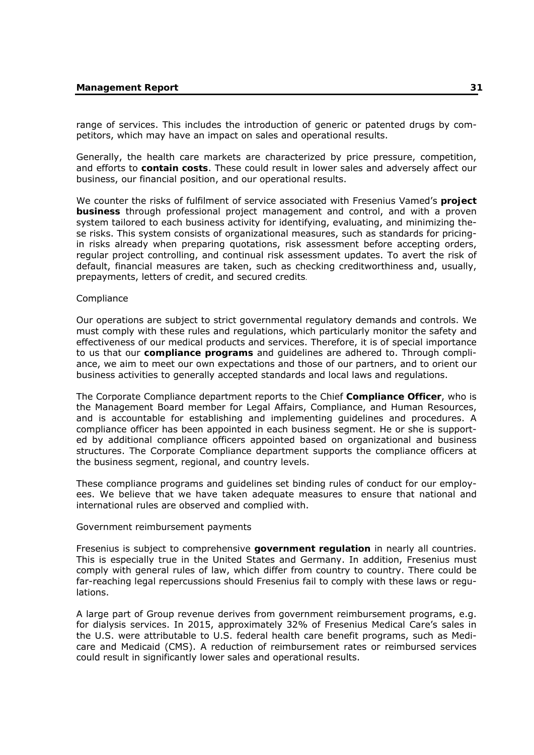range of services. This includes the introduction of generic or patented drugs by competitors, which may have an impact on sales and operational results.

Generally, the health care markets are characterized by price pressure, competition, and efforts to **contain costs**. These could result in lower sales and adversely affect our business, our financial position, and our operational results.

We counter the risks of fulfilment of service associated with Fresenius Vamed's **project business** through professional project management and control, and with a proven system tailored to each business activity for identifying, evaluating, and minimizing these risks. This system consists of organizational measures, such as standards for pricingin risks already when preparing quotations, risk assessment before accepting orders, regular project controlling, and continual risk assessment updates. To avert the risk of default, financial measures are taken, such as checking creditworthiness and, usually, prepayments, letters of credit, and secured credits.

# Compliance

Our operations are subject to strict governmental regulatory demands and controls. We must comply with these rules and regulations, which particularly monitor the safety and effectiveness of our medical products and services. Therefore, it is of special importance to us that our **compliance programs** and guidelines are adhered to. Through compliance, we aim to meet our own expectations and those of our partners, and to orient our business activities to generally accepted standards and local laws and regulations.

The Corporate Compliance department reports to the Chief **Compliance Officer**, who is the Management Board member for Legal Affairs, Compliance, and Human Resources, and is accountable for establishing and implementing guidelines and procedures. A compliance officer has been appointed in each business segment. He or she is supported by additional compliance officers appointed based on organizational and business structures. The Corporate Compliance department supports the compliance officers at the business segment, regional, and country levels.

These compliance programs and guidelines set binding rules of conduct for our employees. We believe that we have taken adequate measures to ensure that national and international rules are observed and complied with.

# Government reimbursement payments

Fresenius is subject to comprehensive **government regulation** in nearly all countries. This is especially true in the United States and Germany. In addition, Fresenius must comply with general rules of law, which differ from country to country. There could be far-reaching legal repercussions should Fresenius fail to comply with these laws or regulations.

A large part of Group revenue derives from government reimbursement programs, e.g. for dialysis services. In 2015, approximately 32% of Fresenius Medical Care's sales in the U.S. were attributable to U.S. federal health care benefit programs, such as Medicare and Medicaid (CMS). A reduction of reimbursement rates or reimbursed services could result in significantly lower sales and operational results.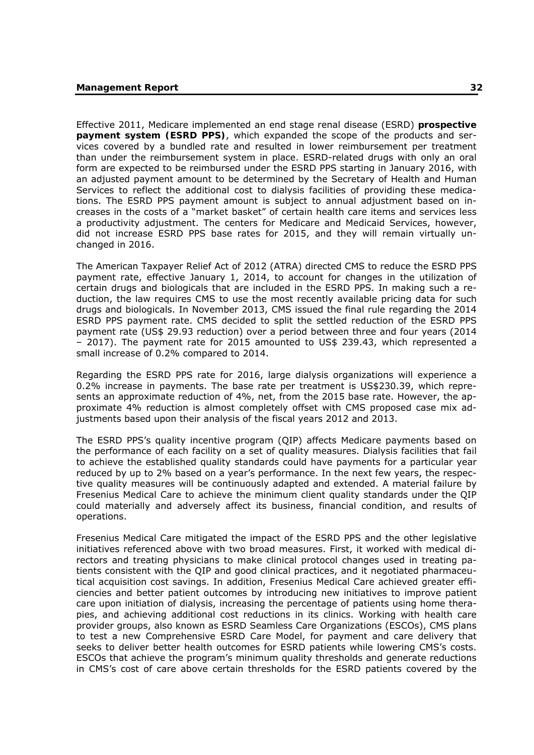Effective 2011, Medicare implemented an end stage renal disease (ESRD) **prospective payment system (ESRD PPS)**, which expanded the scope of the products and services covered by a bundled rate and resulted in lower reimbursement per treatment than under the reimbursement system in place. ESRD-related drugs with only an oral form are expected to be reimbursed under the ESRD PPS starting in January 2016, with an adjusted payment amount to be determined by the Secretary of Health and Human Services to reflect the additional cost to dialysis facilities of providing these medications. The ESRD PPS payment amount is subject to annual adjustment based on increases in the costs of a "market basket" of certain health care items and services less a productivity adjustment. The centers for Medicare and Medicaid Services, however, did not increase ESRD PPS base rates for 2015, and they will remain virtually unchanged in 2016.

The American Taxpayer Relief Act of 2012 (ATRA) directed CMS to reduce the ESRD PPS payment rate, effective January 1, 2014, to account for changes in the utilization of certain drugs and biologicals that are included in the ESRD PPS. In making such a reduction, the law requires CMS to use the most recently available pricing data for such drugs and biologicals. In November 2013, CMS issued the final rule regarding the 2014 ESRD PPS payment rate. CMS decided to split the settled reduction of the ESRD PPS payment rate (US\$ 29.93 reduction) over a period between three and four years (2014 – 2017). The payment rate for 2015 amounted to US\$ 239.43, which represented a small increase of 0.2% compared to 2014.

Regarding the ESRD PPS rate for 2016, large dialysis organizations will experience a 0.2% increase in payments. The base rate per treatment is US\$230.39, which represents an approximate reduction of 4%, net, from the 2015 base rate. However, the approximate 4% reduction is almost completely offset with CMS proposed case mix adjustments based upon their analysis of the fiscal years 2012 and 2013.

The ESRD PPS's quality incentive program (QIP) affects Medicare payments based on the performance of each facility on a set of quality measures. Dialysis facilities that fail to achieve the established quality standards could have payments for a particular year reduced by up to 2% based on a year's performance. In the next few years, the respective quality measures will be continuously adapted and extended. A material failure by Fresenius Medical Care to achieve the minimum client quality standards under the QIP could materially and adversely affect its business, financial condition, and results of operations.

Fresenius Medical Care mitigated the impact of the ESRD PPS and the other legislative initiatives referenced above with two broad measures. First, it worked with medical directors and treating physicians to make clinical protocol changes used in treating patients consistent with the QIP and good clinical practices, and it negotiated pharmaceutical acquisition cost savings. In addition, Fresenius Medical Care achieved greater efficiencies and better patient outcomes by introducing new initiatives to improve patient care upon initiation of dialysis, increasing the percentage of patients using home therapies, and achieving additional cost reductions in its clinics. Working with health care provider groups, also known as ESRD Seamless Care Organizations (ESCOs), CMS plans to test a new Comprehensive ESRD Care Model, for payment and care delivery that seeks to deliver better health outcomes for ESRD patients while lowering CMS's costs. ESCOs that achieve the program's minimum quality thresholds and generate reductions in CMS's cost of care above certain thresholds for the ESRD patients covered by the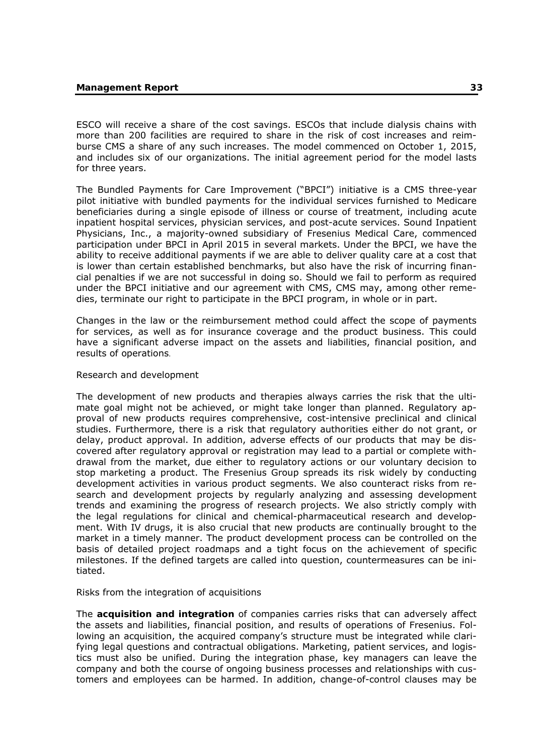ESCO will receive a share of the cost savings. ESCOs that include dialysis chains with more than 200 facilities are required to share in the risk of cost increases and reimburse CMS a share of any such increases. The model commenced on October 1, 2015, and includes six of our organizations. The initial agreement period for the model lasts for three years.

The Bundled Payments for Care Improvement ("BPCI") initiative is a CMS three-year pilot initiative with bundled payments for the individual services furnished to Medicare beneficiaries during a single episode of illness or course of treatment, including acute inpatient hospital services, physician services, and post-acute services. Sound Inpatient Physicians, Inc., a majority-owned subsidiary of Fresenius Medical Care, commenced participation under BPCI in April 2015 in several markets. Under the BPCI, we have the ability to receive additional payments if we are able to deliver quality care at a cost that is lower than certain established benchmarks, but also have the risk of incurring financial penalties if we are not successful in doing so. Should we fail to perform as required under the BPCI initiative and our agreement with CMS, CMS may, among other remedies, terminate our right to participate in the BPCI program, in whole or in part.

Changes in the law or the reimbursement method could affect the scope of payments for services, as well as for insurance coverage and the product business. This could have a significant adverse impact on the assets and liabilities, financial position, and results of operations.

# Research and development

The development of new products and therapies always carries the risk that the ultimate goal might not be achieved, or might take longer than planned. Regulatory approval of new products requires comprehensive, cost-intensive preclinical and clinical studies. Furthermore, there is a risk that regulatory authorities either do not grant, or delay, product approval. In addition, adverse effects of our products that may be discovered after regulatory approval or registration may lead to a partial or complete withdrawal from the market, due either to regulatory actions or our voluntary decision to stop marketing a product. The Fresenius Group spreads its risk widely by conducting development activities in various product segments. We also counteract risks from research and development projects by regularly analyzing and assessing development trends and examining the progress of research projects. We also strictly comply with the legal regulations for clinical and chemical-pharmaceutical research and development. With IV drugs, it is also crucial that new products are continually brought to the market in a timely manner. The product development process can be controlled on the basis of detailed project roadmaps and a tight focus on the achievement of specific milestones. If the defined targets are called into question, countermeasures can be initiated.

# Risks from the integration of acquisitions

The **acquisition and integration** of companies carries risks that can adversely affect the assets and liabilities, financial position, and results of operations of Fresenius. Following an acquisition, the acquired company's structure must be integrated while clarifying legal questions and contractual obligations. Marketing, patient services, and logistics must also be unified. During the integration phase, key managers can leave the company and both the course of ongoing business processes and relationships with customers and employees can be harmed. In addition, change-of-control clauses may be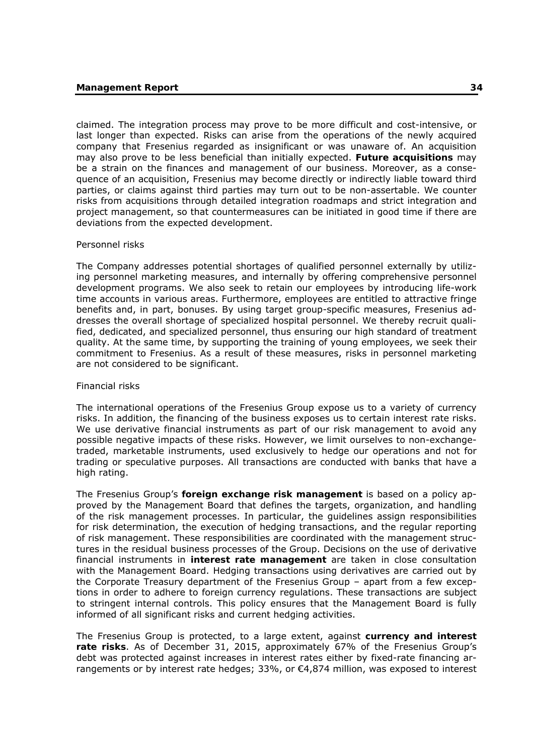claimed. The integration process may prove to be more difficult and cost-intensive, or last longer than expected. Risks can arise from the operations of the newly acquired company that Fresenius regarded as insignificant or was unaware of. An acquisition may also prove to be less beneficial than initially expected. **Future acquisitions** may be a strain on the finances and management of our business. Moreover, as a consequence of an acquisition, Fresenius may become directly or indirectly liable toward third parties, or claims against third parties may turn out to be non-assertable. We counter risks from acquisitions through detailed integration roadmaps and strict integration and project management, so that countermeasures can be initiated in good time if there are deviations from the expected development.

# Personnel risks

The Company addresses potential shortages of qualified personnel externally by utilizing personnel marketing measures, and internally by offering comprehensive personnel development programs. We also seek to retain our employees by introducing life-work time accounts in various areas. Furthermore, employees are entitled to attractive fringe benefits and, in part, bonuses. By using target group-specific measures, Fresenius addresses the overall shortage of specialized hospital personnel. We thereby recruit qualified, dedicated, and specialized personnel, thus ensuring our high standard of treatment quality. At the same time, by supporting the training of young employees, we seek their commitment to Fresenius. As a result of these measures, risks in personnel marketing are not considered to be significant.

# Financial risks

The international operations of the Fresenius Group expose us to a variety of currency risks. In addition, the financing of the business exposes us to certain interest rate risks. We use derivative financial instruments as part of our risk management to avoid any possible negative impacts of these risks. However, we limit ourselves to non-exchangetraded, marketable instruments, used exclusively to hedge our operations and not for trading or speculative purposes. All transactions are conducted with banks that have a high rating.

The Fresenius Group's **foreign exchange risk management** is based on a policy approved by the Management Board that defines the targets, organization, and handling of the risk management processes. In particular, the guidelines assign responsibilities for risk determination, the execution of hedging transactions, and the regular reporting of risk management. These responsibilities are coordinated with the management structures in the residual business processes of the Group. Decisions on the use of derivative financial instruments in **interest rate management** are taken in close consultation with the Management Board. Hedging transactions using derivatives are carried out by the Corporate Treasury department of the Fresenius Group – apart from a few exceptions in order to adhere to foreign currency regulations. These transactions are subject to stringent internal controls. This policy ensures that the Management Board is fully informed of all significant risks and current hedging activities.

The Fresenius Group is protected, to a large extent, against **currency and interest rate risks**. As of December 31, 2015, approximately 67% of the Fresenius Group's debt was protected against increases in interest rates either by fixed-rate financing arrangements or by interest rate hedges; 33%, or  $\epsilon$ 4,874 million, was exposed to interest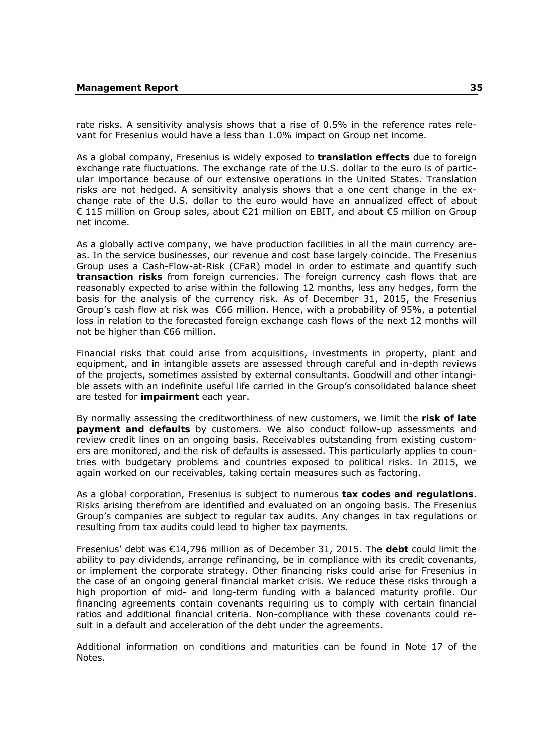rate risks. A sensitivity analysis shows that a rise of 0.5% in the reference rates relevant for Fresenius would have a less than 1.0% impact on Group net income.

As a global company, Fresenius is widely exposed to **translation effects** due to foreign exchange rate fluctuations. The exchange rate of the U.S. dollar to the euro is of particular importance because of our extensive operations in the United States. Translation risks are not hedged. A sensitivity analysis shows that a one cent change in the exchange rate of the U.S. dollar to the euro would have an annualized effect of about € 115 million on Group sales, about €21 million on EBIT, and about €5 million on Group net income.

As a globally active company, we have production facilities in all the main currency areas. In the service businesses, our revenue and cost base largely coincide. The Fresenius Group uses a Cash-Flow-at-Risk (CFaR) model in order to estimate and quantify such **transaction risks** from foreign currencies. The foreign currency cash flows that are reasonably expected to arise within the following 12 months, less any hedges, form the basis for the analysis of the currency risk. As of December 31, 2015, the Fresenius Group's cash flow at risk was €66 million. Hence, with a probability of 95%, a potential loss in relation to the forecasted foreign exchange cash flows of the next 12 months will not be higher than €66 million.

Financial risks that could arise from acquisitions, investments in property, plant and equipment, and in intangible assets are assessed through careful and in-depth reviews of the projects, sometimes assisted by external consultants. Goodwill and other intangible assets with an indefinite useful life carried in the Group's consolidated balance sheet are tested for **impairment** each year.

By normally assessing the creditworthiness of new customers, we limit the **risk of late payment and defaults** by customers. We also conduct follow-up assessments and review credit lines on an ongoing basis. Receivables outstanding from existing customers are monitored, and the risk of defaults is assessed. This particularly applies to countries with budgetary problems and countries exposed to political risks. In 2015, we again worked on our receivables, taking certain measures such as factoring.

As a global corporation, Fresenius is subject to numerous **tax codes and regulations**. Risks arising therefrom are identified and evaluated on an ongoing basis. The Fresenius Group's companies are subject to regular tax audits. Any changes in tax regulations or resulting from tax audits could lead to higher tax payments.

Fresenius' debt was €14,796 million as of December 31, 2015. The **debt** could limit the ability to pay dividends, arrange refinancing, be in compliance with its credit covenants, or implement the corporate strategy. Other financing risks could arise for Fresenius in the case of an ongoing general financial market crisis. We reduce these risks through a high proportion of mid- and long-term funding with a balanced maturity profile. Our financing agreements contain covenants requiring us to comply with certain financial ratios and additional financial criteria. Non-compliance with these covenants could result in a default and acceleration of the debt under the agreements.

Additional information on conditions and maturities can be found in Note 17 of the Notes.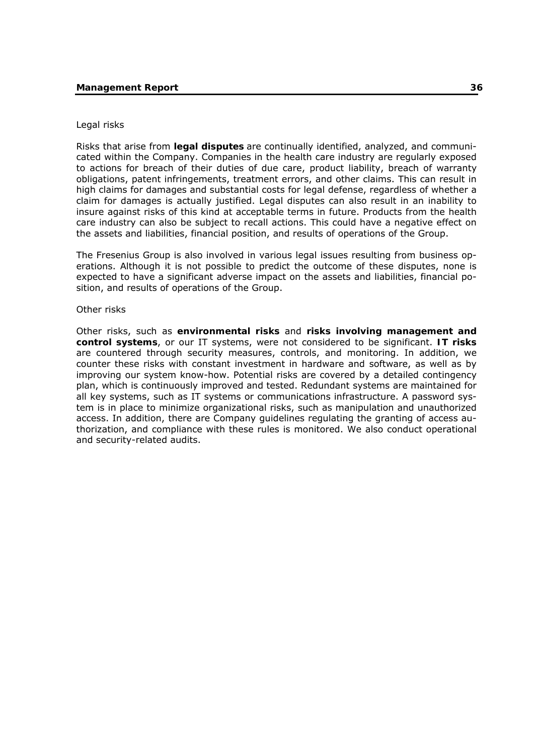# Legal risks

Risks that arise from **legal disputes** are continually identified, analyzed, and communicated within the Company. Companies in the health care industry are regularly exposed to actions for breach of their duties of due care, product liability, breach of warranty obligations, patent infringements, treatment errors, and other claims. This can result in high claims for damages and substantial costs for legal defense, regardless of whether a claim for damages is actually justified. Legal disputes can also result in an inability to insure against risks of this kind at acceptable terms in future. Products from the health care industry can also be subject to recall actions. This could have a negative effect on the assets and liabilities, financial position, and results of operations of the Group.

The Fresenius Group is also involved in various legal issues resulting from business operations. Although it is not possible to predict the outcome of these disputes, none is expected to have a significant adverse impact on the assets and liabilities, financial position, and results of operations of the Group.

# Other risks

Other risks, such as **environmental risks** and **risks involving management and control systems**, or our IT systems, were not considered to be significant. **IT risks** are countered through security measures, controls, and monitoring. In addition, we counter these risks with constant investment in hardware and software, as well as by improving our system know-how. Potential risks are covered by a detailed contingency plan, which is continuously improved and tested. Redundant systems are maintained for all key systems, such as IT systems or communications infrastructure. A password system is in place to minimize organizational risks, such as manipulation and unauthorized access. In addition, there are Company guidelines regulating the granting of access authorization, and compliance with these rules is monitored. We also conduct operational and security-related audits.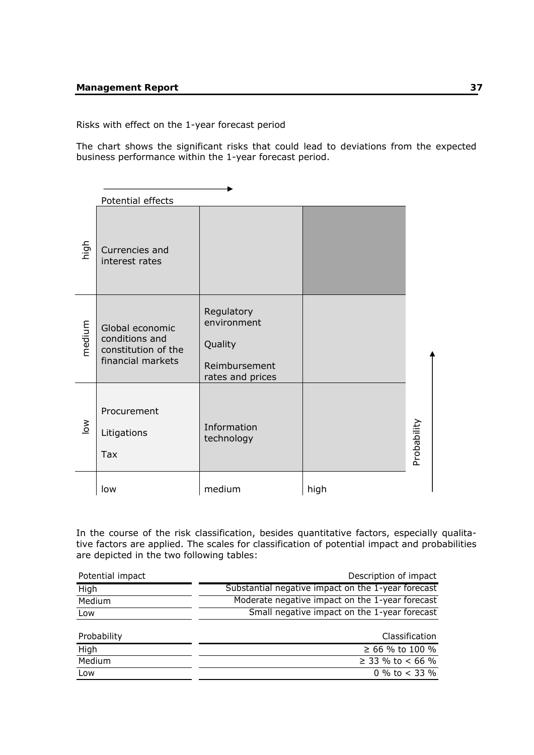# **Management Report 37**

# Risks with effect on the 1-year forecast period

The chart shows the significant risks that could lead to deviations from the expected business performance within the 1-year forecast period.

|                       | Potential effects                                                             |                                                                           |      |             |
|-----------------------|-------------------------------------------------------------------------------|---------------------------------------------------------------------------|------|-------------|
| high                  | Currencies and<br>interest rates                                              |                                                                           |      |             |
| medium                | Global economic<br>conditions and<br>constitution of the<br>financial markets | Regulatory<br>environment<br>Quality<br>Reimbursement<br>rates and prices |      |             |
| $\sum_{i=1}^{\infty}$ | Procurement<br>Litigations<br>Tax                                             | Information<br>technology                                                 |      | Probability |
|                       | low                                                                           | medium                                                                    | high |             |

In the course of the risk classification, besides quantitative factors, especially qualitative factors are applied. The scales for classification of potential impact and probabilities are depicted in the two following tables:

| Description of impact                              |
|----------------------------------------------------|
| Substantial negative impact on the 1-year forecast |
| Moderate negative impact on the 1-year forecast    |
| Small negative impact on the 1-year forecast       |
|                                                    |
| Classification                                     |
| ≥ 66 % to 100 %                                    |
| ≥ 33 % to < 66 %                                   |
| 0 % to $<$ 33 %                                    |
|                                                    |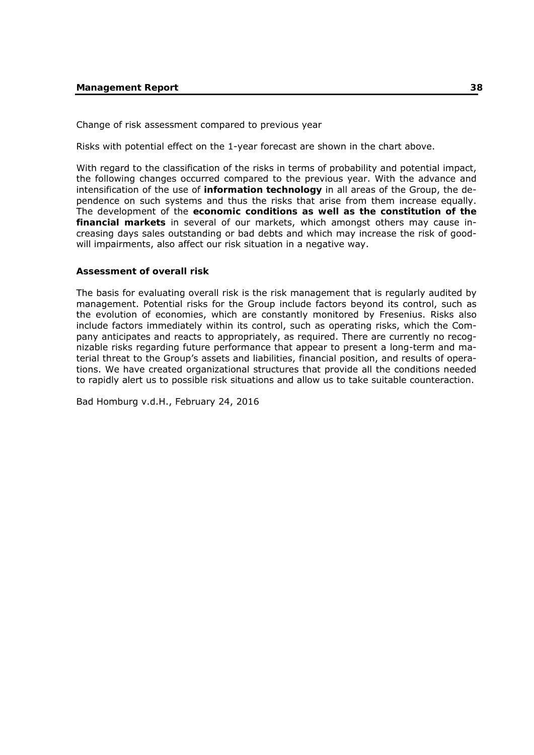# Change of risk assessment compared to previous year

Risks with potential effect on the 1-year forecast are shown in the chart above.

With regard to the classification of the risks in terms of probability and potential impact, the following changes occurred compared to the previous year. With the advance and intensification of the use of **information technology** in all areas of the Group, the dependence on such systems and thus the risks that arise from them increase equally. The development of the **economic conditions as well as the constitution of the financial markets** in several of our markets, which amongst others may cause increasing days sales outstanding or bad debts and which may increase the risk of goodwill impairments, also affect our risk situation in a negative way.

# **Assessment of overall risk**

The basis for evaluating overall risk is the risk management that is regularly audited by management. Potential risks for the Group include factors beyond its control, such as the evolution of economies, which are constantly monitored by Fresenius. Risks also include factors immediately within its control, such as operating risks, which the Company anticipates and reacts to appropriately, as required. There are currently no recognizable risks regarding future performance that appear to present a long-term and material threat to the Group's assets and liabilities, financial position, and results of operations. We have created organizational structures that provide all the conditions needed to rapidly alert us to possible risk situations and allow us to take suitable counteraction.

Bad Homburg v.d.H., February 24, 2016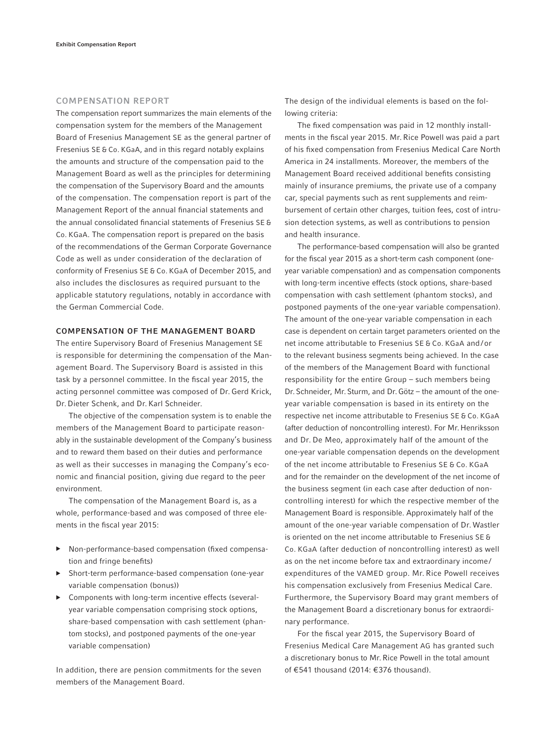## COMPENSATION REPORT

The compensation report summarizes the main elements of the compensation system for the members of the Management Board of Fresenius Management SE as the general partner of Fresenius SE & Co. KGaA, and in this regard notably explains the amounts and structure of the compensation paid to the Management Board as well as the principles for determining the compensation of the Supervisory Board and the amounts of the compensation. The compensation report is part of the Management Report of the annual financial statements and the annual consolidated financial statements of Fresenius SE & Co. KGaA. The compensation report is prepared on the basis of the recommendations of the German Corporate Governance Code as well as under consideration of the declaration of conformity of Fresenius SE & Co. KGaA of December 2015, and also includes the disclosures as required pursuant to the applicable statutory regulations, notably in accordance with the German Commercial Code.

# COMPENSATION OF THE MANAGEMENT BOARD

The entire Supervisory Board of Fresenius Management SE is responsible for determining the compensation of the Management Board. The Supervisory Board is assisted in this task by a personnel committee. In the fiscal year 2015, the acting personnel committee was composed of Dr. Gerd Krick, Dr. Dieter Schenk, and Dr. Karl Schneider.

The objective of the compensation system is to enable the members of the Management Board to participate reasonably in the sustainable development of the Company's business and to reward them based on their duties and performance as well as their successes in managing the Company's economic and financial position, giving due regard to the peer environment.

The compensation of the Management Board is, as a whole, performance-based and was composed of three elements in the fiscal year 2015:

- ▶ Non-performance-based compensation (fixed compensation and fringe benefits)
- Short-term performance-based compensation (one-year variable compensation (bonus))
- ▶ Components with long-term incentive effects (severalyear variable compensation comprising stock options, share-based compensation with cash settlement (phantom stocks), and postponed payments of the one-year variable compensation)

In addition, there are pension commitments for the seven members of the Management Board.

The design of the individual elements is based on the following criteria:

The fixed compensation was paid in 12 monthly installments in the fiscal year 2015. Mr. Rice Powell was paid a part of his fixed compensation from Fresenius Medical Care North America in 24 installments. Moreover, the members of the Management Board received additional benefits consisting mainly of insurance premiums, the private use of a company car, special payments such as rent supplements and reimbursement of certain other charges, tuition fees, cost of intrusion detection systems, as well as contributions to pension and health insurance.

The performance-based compensation will also be granted for the fiscal year 2015 as a short-term cash component (oneyear variable compensation) and as compensation components with long-term incentive effects (stock options, share-based compensation with cash settlement (phantom stocks), and postponed payments of the one-year variable compensation). The amount of the one-year variable compensation in each case is dependent on certain target parameters oriented on the net income attributable to Fresenius SE & Co. KGaA and / or to the relevant business segments being achieved. In the case of the members of the Management Board with functional responsibility for the entire Group – such members being Dr. Schneider, Mr. Sturm, and Dr. Götz – the amount of the oneyear variable compensation is based in its entirety on the respective net income attributable to Fresenius SE & Co. KGaA (after deduction of noncontrolling interest). For Mr. Henriksson and Dr. De Meo, approximately half of the amount of the one-year variable compensation depends on the development of the net income attributable to Fresenius SE & Co. KGaA and for the remainder on the development of the net income of the business segment (in each case after deduction of noncontrolling interest) for which the respective member of the Management Board is responsible. Approximately half of the amount of the one-year variable compensation of Dr. Wastler is oriented on the net income attributable to Fresenius SE & Co. KGaA (after deduction of noncontrolling interest) as well as on the net income before tax and extraordinary income / expenditures of the VAMED group. Mr. Rice Powell receives his compensation exclusively from Fresenius Medical Care. Furthermore, the Supervisory Board may grant members of the Management Board a discretionary bonus for extraordinary performance.

For the fiscal year 2015, the Supervisory Board of Fresenius Medical Care Management AG has granted such a discretionary bonus to Mr. Rice Powell in the total amount of € 541 thousand (2014: € 376 thousand).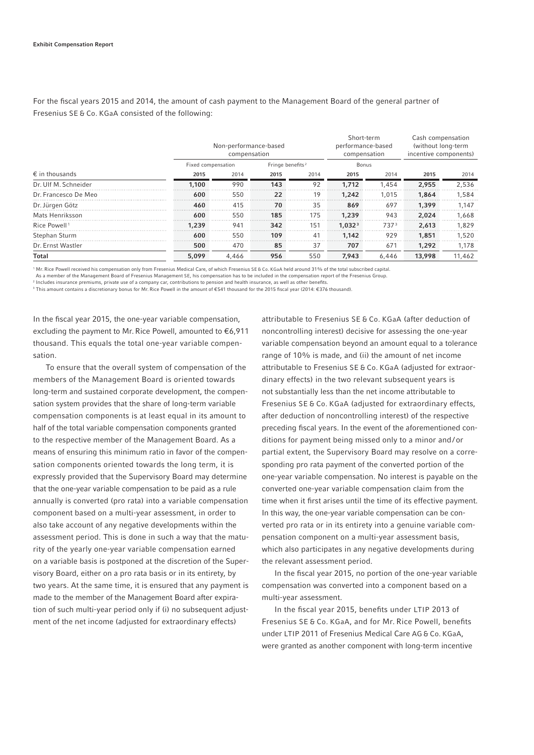For the fiscal years 2015 and 2014, the amount of cash payment to the Management Board of the general partner of Fresenius SE & Co. KGaA consisted of the following:

|                          |                    | Non-performance-based<br>compensation |                              | Short-term<br>performance-based<br>compensation |                    |       |        |                                                                                                                                                                                              |  |
|--------------------------|--------------------|---------------------------------------|------------------------------|-------------------------------------------------|--------------------|-------|--------|----------------------------------------------------------------------------------------------------------------------------------------------------------------------------------------------|--|
|                          | Fixed compensation |                                       | Fringe benefits <sup>2</sup> |                                                 | Bonus              |       |        | Cash compensation<br>(without long-term<br>incentive components)<br>2014<br>2015<br>2,536<br>2.955<br>1,864<br>1.584<br>1,399<br>1.147<br>2.024<br>1,668<br>2,613<br>1.829<br>1,851<br>1.520 |  |
| $\epsilon$ in thousands  | 2015               | 2014                                  | 2015                         | 2014                                            | 2015               | 2014  |        |                                                                                                                                                                                              |  |
| Dr. Ulf M. Schneider     | 1.100              | 990                                   | 143                          | 92                                              | 1,712              | 1.454 |        |                                                                                                                                                                                              |  |
| Dr. Francesco De Meo     | 600                | 550                                   | 22                           | 19                                              | 1,242              | 1.015 |        |                                                                                                                                                                                              |  |
| Dr. Jürgen Götz          | 460                | 415                                   | 70                           | 35                                              | 869                | 697   |        |                                                                                                                                                                                              |  |
| Mats Henriksson          | 600                | 550                                   | 185                          | 175                                             | 1,239              | 943   |        |                                                                                                                                                                                              |  |
| Rice Powell <sup>1</sup> | 1,239              | 941                                   | 342                          | 151                                             | 1.032 <sup>3</sup> | 7373  |        |                                                                                                                                                                                              |  |
| Stephan Sturm            | 600                | 550                                   | 109                          | 41                                              | 1.142              | 929   |        |                                                                                                                                                                                              |  |
| Dr. Ernst Wastler        | 500                | 470                                   | 85                           | 37                                              | 707                | 671   | 1,292  | 1,178                                                                                                                                                                                        |  |
| Total                    | 5,099              | 4,466                                 | 956                          | 550                                             | 7,943              | 6,446 | 13,998 | 11,462                                                                                                                                                                                       |  |

1 Mr. Rice Powell received his compensation only from Fresenius Medical Care, of which Fresenius SE & Co. KGaA held around 31% of the total subscribed capital.

As a member of the Management Board of Fresenius Management SE, his compensation has to be included in the compensation report of the Fresenius Group.

<sup>2</sup> Includes insurance premiums, private use of a company car, contributions to pension and health insurance, as well as other benefits. 3 This amount contains a discretionary bonus for Mr. Rice Powell in the amount of € 541 thousand for the 2015 fi scal year (2014: € 376 thousand).

In the fiscal year 2015, the one-year variable compensation, excluding the payment to Mr. Rice Powell, amounted to  $\epsilon$ 6,911 thousand. This equals the total one-year variable compensation.

To ensure that the overall system of compensation of the members of the Management Board is oriented towards long-term and sustained corporate development, the compensation system provides that the share of long-term variable compensation components is at least equal in its amount to half of the total variable compensation components granted to the respective member of the Management Board. As a means of ensuring this minimum ratio in favor of the compensation components oriented towards the long term, it is expressly provided that the Supervisory Board may determine that the one-year variable compensation to be paid as a rule annually is converted (pro rata) into a variable compensation component based on a multi-year assessment, in order to also take account of any negative developments within the assessment period. This is done in such a way that the maturity of the yearly one-year variable compensation earned on a variable basis is postponed at the discretion of the Supervisory Board, either on a pro rata basis or in its entirety, by two years. At the same time, it is ensured that any payment is made to the member of the Management Board after expiration of such multi-year period only if (i) no subsequent adjustment of the net income (adjusted for extraordinary effects)

attributable to Fresenius SE & Co. KGaA (after deduction of noncontrolling interest) decisive for assessing the one-year variable compensation beyond an amount equal to a tolerance range of 10% is made, and (ii) the amount of net income attributable to Fresenius SE & Co. KGaA (adjusted for extraordinary effects) in the two relevant subsequent years is not substantially less than the net income attributable to Fresenius SE & Co. KGaA (adjusted for extraordinary effects, after deduction of noncontrolling interest) of the respective preceding fiscal years. In the event of the aforementioned conditions for payment being missed only to a minor and / or partial extent, the Supervisory Board may resolve on a corresponding pro rata payment of the converted portion of the one-year variable compensation. No interest is payable on the converted one-year variable compensation claim from the time when it first arises until the time of its effective payment. In this way, the one-year variable compensation can be converted pro rata or in its entirety into a genuine variable compensation component on a multi-year assessment basis, which also participates in any negative developments during the relevant assessment period.

In the fiscal year 2015, no portion of the one-year variable compensation was converted into a component based on a multi-year assessment.

In the fiscal year 2015, benefits under LTIP 2013 of Fresenius SE & Co. KGaA, and for Mr. Rice Powell, benefits under LTIP 2011 of Fresenius Medical Care AG & Co. KGaA, were granted as another component with long-term incentive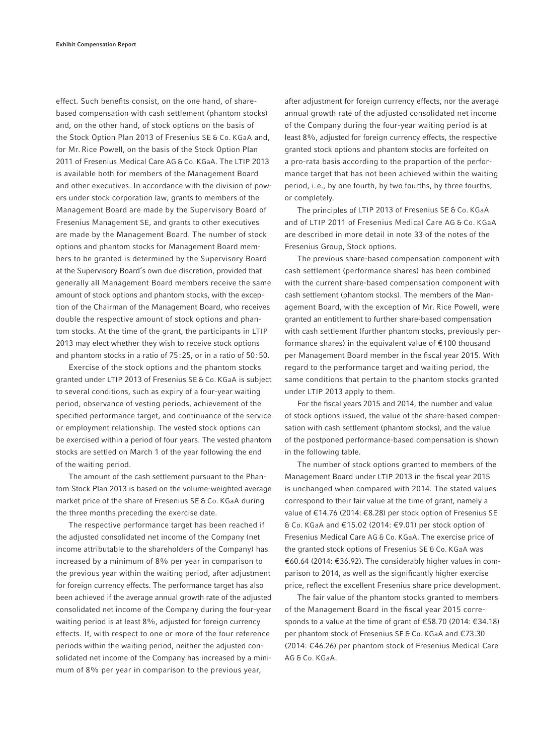effect. Such benefits consist, on the one hand, of sharebased compensation with cash settlement (phantom stocks) and, on the other hand, of stock options on the basis of the Stock Option Plan 2013 of Fresenius SE & Co. KGaA and, for Mr. Rice Powell, on the basis of the Stock Option Plan 2011 of Fresenius Medical Care AG & Co. KGaA. The LTIP 2013 is available both for members of the Management Board and other executives. In accordance with the division of powers under stock corporation law, grants to members of the Management Board are made by the Supervisory Board of Fresenius Management SE, and grants to other executives are made by the Management Board. The number of stock options and phantom stocks for Management Board members to be granted is determined by the Supervisory Board at the Supervisory Board's own due discretion, provided that generally all Management Board members receive the same amount of stock options and phantom stocks, with the exception of the Chairman of the Management Board, who receives double the respective amount of stock options and phantom stocks. At the time of the grant, the participants in LTIP 2013 may elect whether they wish to receive stock options and phantom stocks in a ratio of 75 : 25, or in a ratio of 50 : 50.

Exercise of the stock options and the phantom stocks granted under LTIP 2013 of Fresenius SE & Co. KGaA is subject to several conditions, such as expiry of a four-year waiting period, observance of vesting periods, achievement of the specified performance target, and continuance of the service or employment relationship. The vested stock options can be exercised within a period of four years. The vested phantom stocks are settled on March 1 of the year following the end of the waiting period.

The amount of the cash settlement pursuant to the Phantom Stock Plan 2013 is based on the volume-weighted average market price of the share of Fresenius SE & Co. KGaA during the three months preceding the exercise date.

The respective performance target has been reached if the adjusted consolidated net income of the Company (net income attributable to the shareholders of the Company) has increased by a minimum of  $8\%$  per year in comparison to the previous year within the waiting period, after adjustment for foreign currency effects. The performance target has also been achieved if the average annual growth rate of the adjusted consolidated net income of the Company during the four-year waiting period is at least 8%, adjusted for foreign currency effects. If, with respect to one or more of the four reference periods within the waiting period, neither the adjusted consolidated net income of the Company has increased by a minimum of 8% per year in comparison to the previous year,

after adjustment for foreign currency effects, nor the average annual growth rate of the adjusted consolidated net income of the Company during the four-year waiting period is at least 8%, adjusted for foreign currency effects, the respective granted stock options and phantom stocks are forfeited on a pro-rata basis according to the proportion of the performance target that has not been achieved within the waiting period, i. e., by one fourth, by two fourths, by three fourths, or completely.

The principles of LTIP 2013 of Fresenius SE & Co. KGaA and of LTIP 2011 of Fresenius Medical Care AG & Co. KGaA are described in more detail in note 33 of the notes of the Fresenius Group, Stock options.

The previous share-based compensation component with cash settlement (performance shares) has been combined with the current share-based compensation component with cash settlement (phantom stocks). The members of the Management Board, with the exception of Mr. Rice Powell, were granted an entitlement to further share-based compensation with cash settlement (further phantom stocks, previously performance shares) in the equivalent value of € 100 thousand per Management Board member in the fiscal year 2015. With regard to the performance target and waiting period, the same conditions that pertain to the phantom stocks granted under LTIP 2013 apply to them.

For the fiscal years 2015 and 2014, the number and value of stock options issued, the value of the share-based compensation with cash settlement (phantom stocks), and the value of the postponed performance-based compensation is shown in the following table.

The number of stock options granted to members of the Management Board under LTIP 2013 in the fiscal year 2015 is unchanged when compared with 2014. The stated values correspond to their fair value at the time of grant, namely a value of € 14.76 (2014: € 8.28) per stock option of Fresenius SE & Co. KGaA and € 15.02 (2014: € 9.01) per stock option of Fresenius Medical Care AG & Co. KGaA. The exercise price of the granted stock options of Fresenius SE & Co. KGaA was € 60.64 (2014: € 36.92). The considerably higher values in comparison to 2014, as well as the significantly higher exercise price, reflect the excellent Fresenius share price development.

The fair value of the phantom stocks granted to members of the Management Board in the fiscal year 2015 corresponds to a value at the time of grant of  $\text{\textsterling}58.70$  (2014:  $\text{\textsterling}34.18$ ) per phantom stock of Fresenius SE & Co. KGaA and €73.30 (2014: € 46.26) per phantom stock of Fresenius Medical Care AG & Co. KGaA.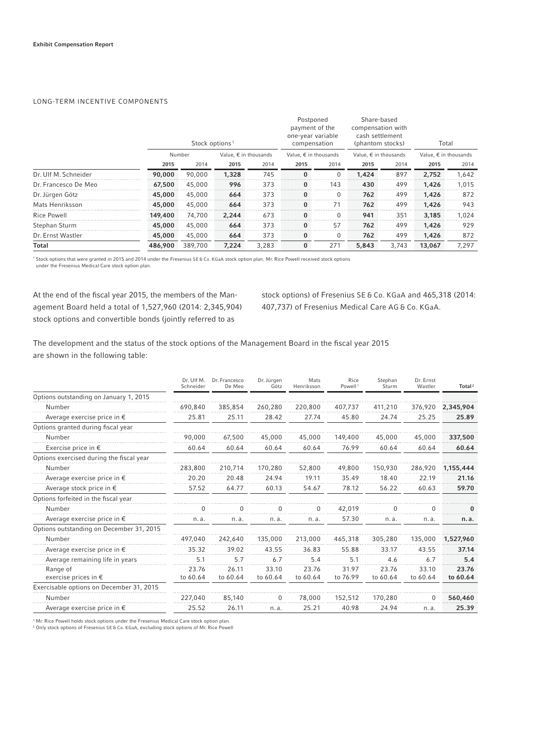## LONG-TERM INCENTIVE COMPONENTS

|                      |         | Stock options <sup>1</sup> |                                |       | Postponed<br>payment of the<br>one-year variable<br>compensation |          | Share-based<br>compensation with<br>cash settlement<br>(phantom stocks) |       | Total                          |       |
|----------------------|---------|----------------------------|--------------------------------|-------|------------------------------------------------------------------|----------|-------------------------------------------------------------------------|-------|--------------------------------|-------|
|                      |         | Number                     | Value, $\epsilon$ in thousands |       | Value, $\epsilon$ in thousands                                   |          | Value, $\epsilon$ in thousands                                          |       | Value, $\epsilon$ in thousands |       |
|                      | 2015    | 2014                       | 2015                           | 2014  | 2015                                                             | 2014     | 2015                                                                    | 2014  | 2015                           | 2014  |
| Dr. Ulf M. Schneider | 90,000  | 90.000                     | 1,328                          | 745   | $\Omega$                                                         |          | 1.424                                                                   | 897   | 2,752                          | 1,642 |
| Dr. Francesco De Meo | 67,500  | 45,000                     | 996                            | 373   | $\Omega$                                                         | 143      | 430                                                                     | 499   | 1,426                          | 1,015 |
| Dr. Jürgen Götz      | 45,000  | 45,000                     | 664                            | 373   | $\Omega$                                                         | $\Omega$ | 762                                                                     | 499   | 1.426                          | 872   |
| Mats Henriksson      | 45,000  | 45,000                     | 664                            | 373   | $\bf{0}$                                                         | 71       | 762                                                                     | 499   | 1,426                          | 943   |
| Rice Powell          | 149,400 | 74,700                     | 2,244                          | 673   | $\Omega$                                                         | 0        | 941                                                                     | 351   | 3,185                          | 1,024 |
| Stephan Sturm        | 45,000  | 45,000                     | 664                            | 373   |                                                                  | 57       | 762                                                                     | 499   | 1,426                          | 929   |
| Dr. Ernst Wastler    | 45,000  | 45,000                     | 664                            | 373   | $\mathbf{0}$                                                     | $\Omega$ | 762                                                                     | 499   | 1,426                          | 872   |
| Total                | 486,900 | 389,700                    | 7.224                          | 3.283 | $\bf{0}$                                                         | 271      | 5,843                                                                   | 3.743 | 13,067                         | 7.297 |

1 Stock options that were granted in 2015 and 2014 under the Fresenius SE & Co. KGaA stock option plan. Mr. Rice Powell received stock options

under the Fresenius Medical Care stock option plan.

At the end of the fiscal year 2015, the members of the Management Board held a total of 1,527,960 (2014: 2,345,904) stock options and convertible bonds (jointly referred to as

stock options) of Fresenius SE & Co. KGaA and 465,318 (2014: 407,737) of Fresenius Medical Care AG & Co. KGaA.

The development and the status of the stock options of the Management Board in the fiscal year 2015 are shown in the following table:

|                                           | Dr. Ulf M.<br>Schneider | Dr. Francesco<br>De Meo | Dr. Jürgen<br>Götz | Mats<br>Henriksson | Rice<br>Powell <sup>1</sup> | Stephan<br>Sturm  | Dr. Ernst<br>Wastler | Total <sup>2</sup> |
|-------------------------------------------|-------------------------|-------------------------|--------------------|--------------------|-----------------------------|-------------------|----------------------|--------------------|
| Options outstanding on January 1, 2015    |                         |                         |                    |                    |                             |                   |                      |                    |
| Number                                    | 690,840                 | 385,854                 | 260,280            | 220,800            | 407,737                     | 411,210           | 376,920              | 2,345,904          |
| Average exercise price in $\epsilon$      | 25.81                   | 25.11                   | 28.42              | 27.74              | 45.80                       | 24.74             | 25.25                | 25.89              |
| Options granted during fiscal year        |                         |                         |                    |                    |                             |                   |                      |                    |
| Number                                    | 90,000                  | 67,500                  | 45,000             | 45,000             | 149,400                     | 45,000            | 45,000               | 337,500            |
| Exercise price in $\epsilon$              | 60.64                   | 60.64                   | 60.64              | 60.64              | 76.99                       | 60.64             | 60.64                | 60.64              |
| Options exercised during the fiscal year  |                         |                         |                    |                    |                             |                   |                      |                    |
| Number                                    | 283,800                 | 210,714                 | 170,280            | 52,800             | 49,800                      | 150,930           | 286,920              | 1,155,444          |
| Average exercise price in $\epsilon$      | 20.20                   | 20.48                   | 24.94              | 19.11              | 35.49                       | 18.40             | 22.19                | 21.16              |
| Average stock price in $\epsilon$         | 57.52                   | 64.77                   | 60.13              | 54.67              | 78.12                       | 56.22             | 60.63                | 59.70              |
| Options forfeited in the fiscal year      |                         |                         |                    |                    |                             |                   |                      |                    |
| Number                                    |                         |                         |                    |                    | 42,019                      |                   |                      | O                  |
| Average exercise price in $\epsilon$      | n. a.                   | n. a.                   | n. a.              | n.a.               | 57.30                       | n. a.             | n. a.                | n. a.              |
| Options outstanding on December 31, 2015  |                         |                         |                    |                    |                             |                   |                      |                    |
| Number                                    | 497,040                 | 242,640                 | 135,000            | 213,000            | 465,318                     | 305,280           | 135,000              | 1,527,960          |
| Average exercise price in $\epsilon$      | 35.32                   | 39.02                   | 43.55              | 36.83              | 55.88                       | 33.17             | 43.55                | 37.14              |
| Average remaining life in years           | 5.1                     | 5.7                     | 6.7                | 5.4                | 5.1                         | 4.6               | 6.7                  | 5.4                |
| Range of<br>exercise prices in $\epsilon$ | 23.76<br>to 60.64       | 26.11<br>to 60.64       | 33.10<br>to 60.64  | 23.76<br>to 60.64  | 31.97<br>to 76.99           | 23.76<br>to 60.64 | 33.10<br>to 60.64    | 23.76<br>to 60.64  |
| Exercisable options on December 31, 2015  |                         |                         |                    |                    |                             |                   |                      |                    |
| Number                                    | 227,040                 | 85,140                  | 0                  | 78,000             | 152,512                     | 170,280           |                      | 560,460            |
| Average exercise price in $\epsilon$      | 25.52                   | 26.11                   | n.a.               | 25.21              | 40.98                       | 24.94             | n.a.                 | 25.39              |

1 Mr. Rice Powell holds stock options under the Fresenius Medical Care stock option plan.

2 Only stock options of Fresenius SE & Co. KGaA, excluding stock options of Mr. Rice Powell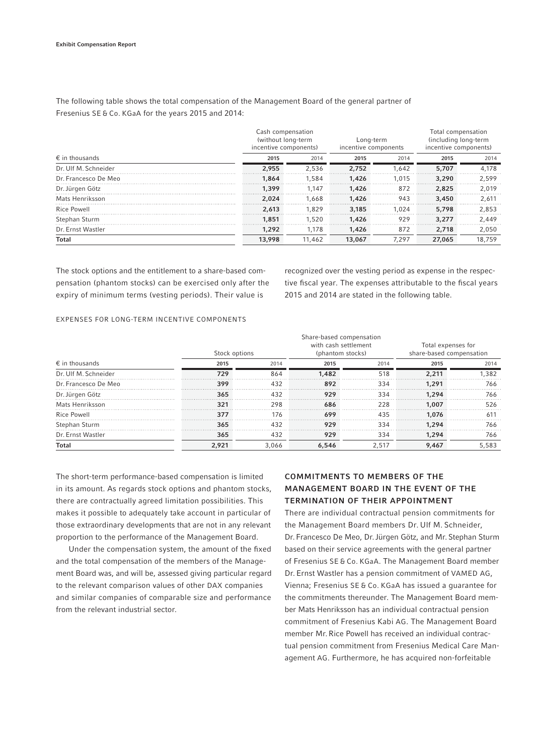The following table shows the total compensation of the Management Board of the general partner of Fresenius SE & Co. KGaA for the years 2015 and 2014:

|                         | Cash compensation<br>(without long-term<br>incentive components) |        | Long-term<br>incentive components |       | Total compensation<br>(including long-term<br>incentive components) |        |  |
|-------------------------|------------------------------------------------------------------|--------|-----------------------------------|-------|---------------------------------------------------------------------|--------|--|
| $\epsilon$ in thousands | 2015                                                             | 2014   | 2015                              | 2014  | 2015                                                                | 2014   |  |
| Dr. Ulf M. Schneider    | 2.955                                                            | 2.536  | 2.752                             | 1.642 | 5,707                                                               | 4.178  |  |
| Dr. Francesco De Meo    | 1.864                                                            | 1.584  | 1,426                             | 1.015 | 3,290                                                               | 2.599  |  |
| Dr. Jürgen Götz         | 1,399                                                            | 1.147  | 1.426                             | 872   | 2,825                                                               | 2.019  |  |
| Mats Henriksson         | 2.024                                                            | 1.668  | 1,426                             | 943   | 3,450                                                               | 2.611  |  |
| <b>Rice Powell</b>      | 2.613                                                            | 1.829  | 3,185                             | 1.024 | 5.798                                                               | 2.853  |  |
| Stephan Sturm           | 1,851                                                            | 1.520  | 1,426                             | 929   | 3.277                                                               | 2.449  |  |
| Dr. Ernst Wastler       | 1,292                                                            | 1.178  | 1,426                             | 872   | 2.718                                                               | 2,050  |  |
| <b>Total</b>            | 13,998                                                           | 11.462 | 13,067                            | 7.297 | 27,065                                                              | 18,759 |  |

The stock options and the entitlement to a share-based compensation (phantom stocks) can be exercised only after the expiry of minimum terms (vesting periods). Their value is

recognized over the vesting period as expense in the respective fiscal year. The expenses attributable to the fiscal years 2015 and 2014 are stated in the following table.

## EXPENSES FOR LONG-TERM INCENTIVE COMPONENTS

|                         | Stock options |       |       | Share-based compensation<br>with cash settlement<br>(phantom stocks) | Total expenses for<br>share-based compensation |       |  |
|-------------------------|---------------|-------|-------|----------------------------------------------------------------------|------------------------------------------------|-------|--|
| $\epsilon$ in thousands | 2015          | 2014  | 2015  | 2014                                                                 | 2015                                           | 2014  |  |
| Dr. Ulf M. Schneider    | 729           | 864   | 1,482 | 518                                                                  | 2.211                                          | .382  |  |
| Dr. Francesco De Meo    | 399           | 432   | 892   | 334                                                                  | 1.291                                          | 766   |  |
| Dr. Jürgen Götz         | 365           | 432   | 929   | 334                                                                  | 1,294                                          | 766   |  |
| Mats Henriksson         | 321           | 298   | 686   | 228                                                                  | 1.007                                          | 526   |  |
| Rice Powell             | 377           | 176   | 699   | 435                                                                  | 1.076                                          | 61'   |  |
| Stephan Sturm           | 365           | 432   | 929   | 334                                                                  | 1.294                                          | 766   |  |
| Dr. Ernst Wastler       | 365           | 432   | 929   | 334                                                                  | 1,294                                          | 766   |  |
| <b>Total</b>            | 2.921         | 3.066 | 6,546 | 2,517                                                                | 9.467                                          | 5.583 |  |

The short-term performance-based compensation is limited in its amount. As regards stock options and phantom stocks, there are contractually agreed limitation possibilities. This makes it possible to adequately take account in particular of those extraordinary developments that are not in any relevant proportion to the performance of the Management Board.

Under the compensation system, the amount of the fixed and the total compensation of the members of the Management Board was, and will be, assessed giving particular regard to the relevant comparison values of other DAX companies and similar companies of comparable size and performance from the relevant industrial sector.

# COMMITMENTS TO MEMBERS OF THE MANAGEMENT BOARD IN THE EVENT OF THE TERMINATION OF THEIR APPOINTMENT

There are individual contractual pension commitments for the Management Board members Dr. Ulf M. Schneider, Dr. Francesco De Meo, Dr. Jürgen Götz, and Mr. Stephan Sturm based on their service agreements with the general partner of Fresenius SE & Co. KGaA. The Management Board member Dr. Ernst Wastler has a pension commitment of VAMED AG, Vienna; Fresenius SE & Co. KGaA has issued a guarantee for the commitments thereunder. The Management Board member Mats Henriksson has an individual contractual pension commitment of Fresenius Kabi AG. The Management Board member Mr. Rice Powell has received an individual contractual pension commitment from Fresenius Medical Care Management AG. Furthermore, he has acquired non-forfeitable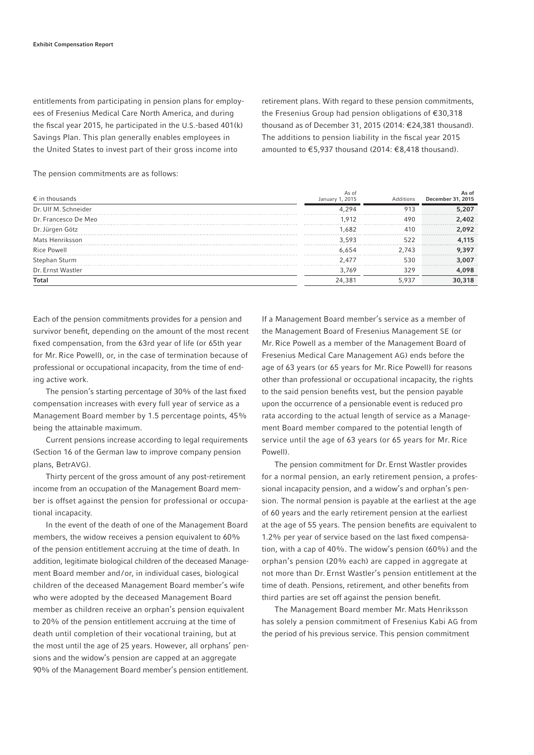entitlements from participating in pension plans for employees of Fresenius Medical Care North America, and during the fiscal year 2015, he participated in the U.S.-based 401(k) Savings Plan. This plan generally enables employees in the United States to invest part of their gross income into

retirement plans. With regard to these pension commitments, the Fresenius Group had pension obligations of € 30,318 thousand as of December 31, 2015 (2014: € 24,381 thousand). The additions to pension liability in the fiscal year 2015 amounted to €5,937 thousand (2014: €8,418 thousand).

The pension commitments are as follows:

| $\epsilon$ in thousands | As of<br>January 1, 2015 | Additions | As of<br>December 31, 2015 |
|-------------------------|--------------------------|-----------|----------------------------|
| Dr. Ulf M. Schneider    | 4 294                    | 913       | 5,207                      |
| Dr. Francesco De Meo    | -912                     | 490       | 2,402                      |
| Dr. Jürgen Götz         | .682                     | 410       | .092                       |
| Mats Henriksson         | 3.593                    |           | 4.115                      |
| Rice Powell             | 6.654                    | ' 743     | .397                       |
| Stephan Sturm           | 2.477                    | 530       | 3,007                      |
| Dr. Ernst Wastler       | 3.769                    | 329       | 4,098                      |
| <b>Total</b>            | 24.38'                   | 5.937     | 30,318                     |

Each of the pension commitments provides for a pension and survivor benefit, depending on the amount of the most recent fixed compensation, from the 63rd year of life (or 65th year for Mr. Rice Powell), or, in the case of termination because of professional or occupational incapacity, from the time of ending active work.

The pension's starting percentage of 30% of the last fixed compensation increases with every full year of service as a Management Board member by 1.5 percentage points, 45% being the attainable maximum.

Current pensions increase according to legal requirements (Section 16 of the German law to improve company pension plans, BetrAVG).

Thirty percent of the gross amount of any post-retirement income from an occupation of the Management Board member is offset against the pension for professional or occupational incapacity.

In the event of the death of one of the Management Board members, the widow receives a pension equivalent to 60% of the pension entitlement accruing at the time of death. In addition, legitimate biological children of the deceased Management Board member and/or, in individual cases, biological children of the deceased Management Board member's wife who were adopted by the deceased Management Board member as children receive an orphan's pension equivalent to 20% of the pension entitlement accruing at the time of death until completion of their vocational training, but at the most until the age of 25 years. However, all orphans' pensions and the widow's pension are capped at an aggregate 90% of the Management Board member's pension entitlement.

If a Management Board member's service as a member of the Management Board of Fresenius Management SE (or Mr. Rice Powell as a member of the Management Board of Fresenius Medical Care Management AG) ends before the age of 63 years (or 65 years for Mr. Rice Powell) for reasons other than professional or occupational incapacity, the rights to the said pension benefits vest, but the pension payable upon the occurrence of a pensionable event is reduced pro rata according to the actual length of service as a Management Board member compared to the potential length of service until the age of 63 years (or 65 years for Mr. Rice Powell).

The pension commitment for Dr. Ernst Wastler provides for a normal pension, an early retirement pension, a professional incapacity pension, and a widow's and orphan's pension. The normal pension is payable at the earliest at the age of 60 years and the early retirement pension at the earliest at the age of 55 years. The pension benefits are equivalent to 1.2% per year of service based on the last fixed compensation, with a cap of 40%. The widow's pension (60%) and the orphan's pension (20% each) are capped in aggregate at not more than Dr. Ernst Wastler's pension entitlement at the time of death. Pensions, retirement, and other benefits from third parties are set off against the pension benefit.

The Management Board member Mr. Mats Henriksson has solely a pension commitment of Fresenius Kabi AG from the period of his previous service. This pension commitment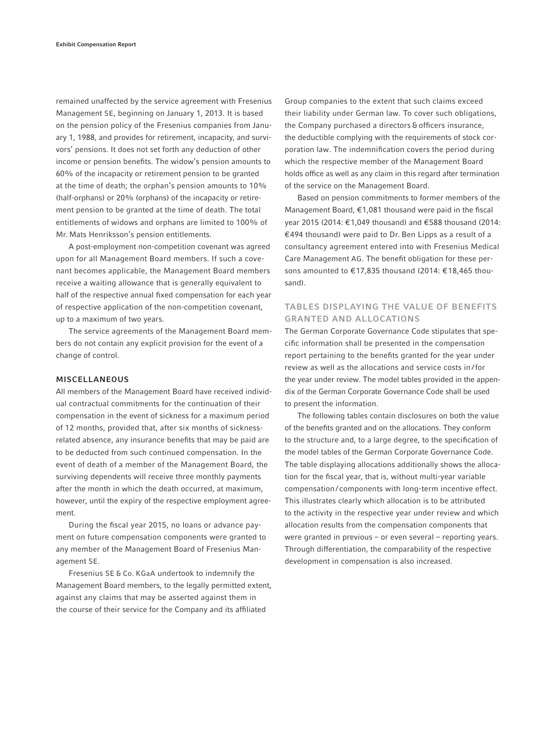remained unaffected by the service agreement with Fresenius Management SE, beginning on January 1, 2013. It is based on the pension policy of the Fresenius companies from January 1, 1988, and provides for retirement, incapacity, and survivors' pensions. It does not set forth any deduction of other income or pension benefits. The widow's pension amounts to 60% of the incapacity or retirement pension to be granted at the time of death; the orphan's pension amounts to 10% (half-orphans) or 20% (orphans) of the incapacity or retirement pension to be granted at the time of death. The total entitlements of widows and orphans are limited to 100% of Mr. Mats Henriksson's pension entitlements.

A post-employment non-competition covenant was agreed upon for all Management Board members. If such a covenant becomes applicable, the Management Board members receive a waiting allowance that is generally equivalent to half of the respective annual fixed compensation for each year of respective application of the non-competition covenant, up to a maximum of two years.

The service agreements of the Management Board members do not contain any explicit provision for the event of a change of control.

## MISCELLANEOUS

All members of the Management Board have received individual contractual commitments for the continuation of their compensation in the event of sickness for a maximum period of 12 months, provided that, after six months of sicknessrelated absence, any insurance benefits that may be paid are to be deducted from such continued compensation. In the event of death of a member of the Management Board, the surviving dependents will receive three monthly payments after the month in which the death occurred, at maximum, however, until the expiry of the respective employment agreement.

During the fiscal year 2015, no loans or advance payment on future compensation components were granted to any member of the Management Board of Fresenius Management SE.

Fresenius SE & Co. KGaA undertook to indemnify the Management Board members, to the legally permitted extent, against any claims that may be asserted against them in the course of their service for the Company and its affiliated

Group companies to the extent that such claims exceed their liability under German law. To cover such obligations, the Company purchased a directors & officers insurance, the deductible complying with the requirements of stock corporation law. The indemnification covers the period during which the respective member of the Management Board holds office as well as any claim in this regard after termination of the service on the Management Board.

Based on pension commitments to former members of the Management Board,  $€1,081$  thousand were paid in the fiscal year 2015 (2014: €1,049 thousand) and €588 thousand (2014: € 494 thousand) were paid to Dr. Ben Lipps as a result of a consultancy agreement entered into with Fresenius Medical Care Management AG. The benefit obligation for these persons amounted to €17,835 thousand (2014: €18,465 thousand).

# TABLES DISPLAYING THE VALUE OF BENEFITS GRANTED AND ALLOCATIONS

The German Corporate Governance Code stipulates that specific information shall be presented in the compensation report pertaining to the benefits granted for the year under review as well as the allocations and service costs in / for the year under review. The model tables provided in the appendix of the German Corporate Governance Code shall be used to present the information.

The following tables contain disclosures on both the value of the benefits granted and on the allocations. They conform to the structure and, to a large degree, to the specification of the model tables of the German Corporate Governance Code. The table displaying allocations additionally shows the allocation for the fiscal year, that is, without multi-year variable compensation / components with long-term incentive effect. This illustrates clearly which allocation is to be attributed to the activity in the respective year under review and which allocation results from the compensation components that were granted in previous – or even several – reporting years. Through differentiation, the comparability of the respective development in compensation is also increased.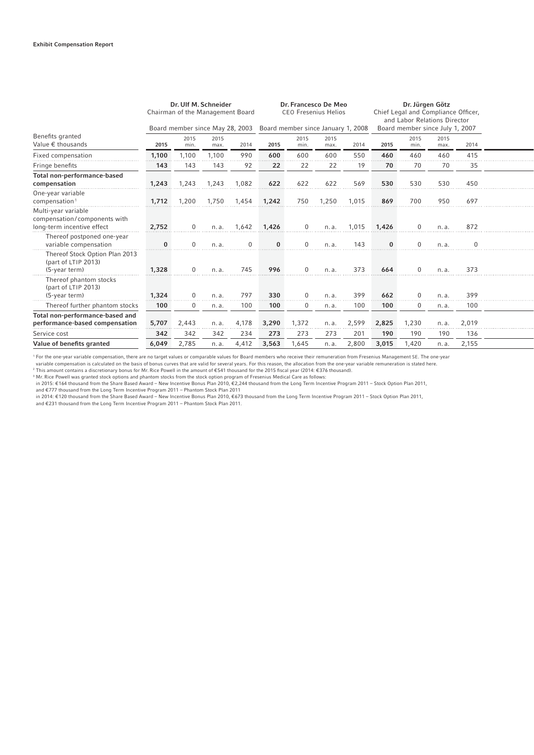|                                                                                   | Dr. Ulf M. Schneider<br>Chairman of the Management Board |             |       | Dr. Francesco De Meo<br><b>CEO Fresenius Helios</b><br>Board member since January 1, 2008 |          |          | Dr. Jürgen Götz<br>Chief Legal and Compliance Officer,<br>and Labor Relations Director<br>Board member since July 1, 2007 |       |          |              |       |          |  |
|-----------------------------------------------------------------------------------|----------------------------------------------------------|-------------|-------|-------------------------------------------------------------------------------------------|----------|----------|---------------------------------------------------------------------------------------------------------------------------|-------|----------|--------------|-------|----------|--|
| Benefits granted                                                                  |                                                          | 2015        | 2015  | Board member since May 28, 2003                                                           |          | 2015     |                                                                                                                           |       |          | 2015         | 2015  |          |  |
| Value € thousands                                                                 | 2015                                                     | min.        | max.  | 2014                                                                                      | 2015     | min.     | 2015<br>max.                                                                                                              | 2014  | 2015     | min.         | max.  | 2014     |  |
| Fixed compensation                                                                | 1,100                                                    | 1,100       | 1,100 | 990                                                                                       | 600      | 600      | 600                                                                                                                       | 550   | 460      | 460          | 460   | 415      |  |
| Fringe benefits                                                                   | 143                                                      | 143         | 143   | 92                                                                                        | 22       | 22       | 22                                                                                                                        | 19    | 70       | 70           | 70    | 35       |  |
| Total non-performance-based<br>compensation                                       | 1,243                                                    | 1,243       | 1,243 | 1,082                                                                                     | 622      | 622      | 622                                                                                                                       | 569   | 530      | 530          | 530   | 450      |  |
| One-year variable<br>compensation <sup>1</sup>                                    | 1,712                                                    | 1,200       | 1,750 | 1,454                                                                                     | 1,242    | 750      | 1,250                                                                                                                     | 1,015 | 869      | 700          | 950   | 697      |  |
| Multi-year variable<br>compensation/components with<br>long-term incentive effect | 2,752                                                    | $\mathbf 0$ | n.a.  | 1,642                                                                                     | 1,426    | 0        | n. a.                                                                                                                     | 1,015 | 1,426    | $\bf{0}$     | n.a.  | 872      |  |
| Thereof postponed one-year<br>variable compensation                               | $\bf{0}$                                                 | $\Omega$    | n.a.  | $\mathbf 0$                                                                               | $\bf{0}$ | 0        | n.a.                                                                                                                      | 143   | $\bf{0}$ | 0            | n.a.  | $\Omega$ |  |
| Thereof Stock Option Plan 2013<br>(part of LTIP 2013)<br>$(5$ -year term)         | 1,328                                                    | $\mathbf 0$ | n.a.  | 745                                                                                       | 996      | $\Omega$ | n. a.                                                                                                                     | 373   | 664      | <sup>n</sup> | n. a. | 373      |  |
| Thereof phantom stocks<br>(part of LTIP 2013)<br>$(5$ -year term)                 | 1,324                                                    | 0           | n.a.  | 797                                                                                       | 330      | 0        | n.a.                                                                                                                      | 399   | 662      | $\Omega$     | n.a.  | 399      |  |
| Thereof further phantom stocks                                                    | 100                                                      | 0           | n. a. | 100                                                                                       | 100      | 0        | n. a.                                                                                                                     | 100   | 100      | 0            | n. a. | 100      |  |
| Total non-performance-based and<br>performance-based compensation                 | 5,707                                                    | 2,443       | n. a. | 4,178                                                                                     | 3,290    | 1,372    | n. a.                                                                                                                     | 2,599 | 2,825    | 1,230        | n.a.  | 2,019    |  |
| Service cost                                                                      | 342                                                      | 342         | 342   | 234                                                                                       | 273      | 273      | 273                                                                                                                       | 201   | 190      | 190          | 190   | 136      |  |
| Value of benefits granted                                                         | 6,049                                                    | 2,785       | n.a.  | 4,412                                                                                     | 3,563    | 1,645    | n.a.                                                                                                                      | 2,800 | 3,015    | 1,420        | n.a.  | 2,155    |  |

<sup>1</sup> For the one-year variable compensation, there are no target values or comparable values for Board members who receive their remuneration from Fresenius Management SE. The one-year

variable compensation is calculated on the basis of bonus curves that are valid for several years. For this reason, the allocation from the one-year variable remuneration is stated here.<br><sup>2</sup> This amount contains a discret

<sup>3</sup> Mr. Rice Powell was granted stock options and phantom stocks from the stock option program of Fresenius Medical Care as follows:<br>in 2015: €164 thousand from the Share Based Award – New Incentive Bonus Plan 2010, €2,24

and € 777 thousand from the Long Term Incentive Program 2011 – Phantom Stock Plan 2011

in 2014: €120 thousand from the Share Based Award – New Incentive Bonus Plan 2010, €673 thousand from the Long Term Incentive Program 2011 – Stock Option Plan 2011,<br>and €231 thousand from the Long Term Incentive Program 2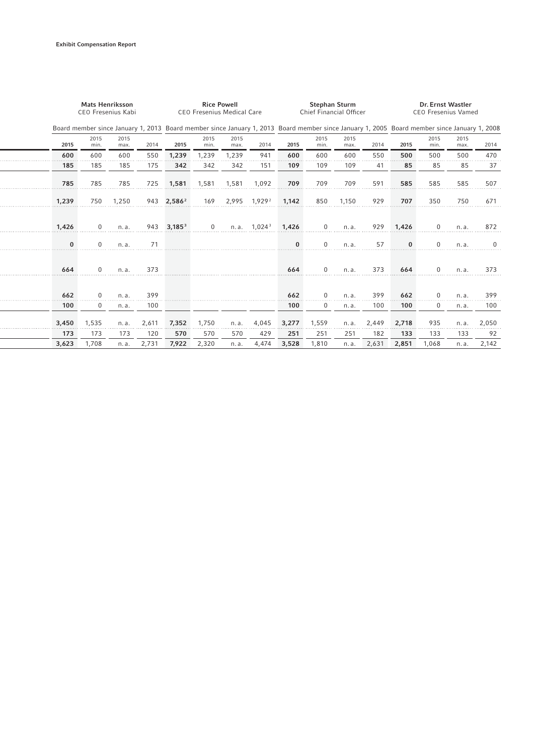|              | <b>Mats Henriksson</b><br>CEO Fresenius Kabi |              |       |                    |              | <b>Rice Powell</b><br><b>Stephan Sturm</b><br><b>CEO Fresenius Medical Care</b><br><b>Chief Financial Officer</b> |                    |              |              |              |       | Dr. Ernst Wastler<br><b>CEO Fresenius Vamed</b> |                                                                                                                                             |              |          |
|--------------|----------------------------------------------|--------------|-------|--------------------|--------------|-------------------------------------------------------------------------------------------------------------------|--------------------|--------------|--------------|--------------|-------|-------------------------------------------------|---------------------------------------------------------------------------------------------------------------------------------------------|--------------|----------|
|              |                                              |              |       |                    |              |                                                                                                                   |                    |              |              |              |       |                                                 | Board member since January 1, 2013 Board member since January 1, 2013 Board member since January 1, 2005 Board member since January 1, 2008 |              |          |
| 2015         | 2015<br>min.                                 | 2015<br>max. | 2014  | 2015               | 2015<br>min. | 2015<br>max.                                                                                                      | 2014               | 2015         | 2015<br>min. | 2015<br>max. | 2014  | 2015                                            | 2015<br>min.                                                                                                                                | 2015<br>max. | 2014     |
| 600          | 600                                          | 600          | 550   | 1,239              | 1,239        | 1,239                                                                                                             | 941                | 600          | 600          | 600          | 550   | 500                                             | 500                                                                                                                                         | 500          | 470      |
| 185          | 185                                          | 185          | 175   | 342                | 342          | 342                                                                                                               | 151                | 109          | 109          | 109          | 41    | 85                                              | 85                                                                                                                                          | 85           | 37       |
| 785          | 785                                          | 785          | 725   | 1,581              | 1,581        | 1,581                                                                                                             | 1,092              | 709          | 709          | 709          | 591   | 585                                             | 585                                                                                                                                         | 585          | 507      |
| 1,239        | 750                                          | 1,250        | 943   | 2,586 <sup>2</sup> | 169          | 2,995                                                                                                             | 1,929 <sup>2</sup> | 1,142        | 850          | 1,150        | 929   | 707                                             | 350                                                                                                                                         | 750          | 671      |
| 1,426        | 0                                            | n.a.         | 943   | 3,185 <sup>3</sup> | 0            |                                                                                                                   | n.a. $1,024^3$     | 1,426        | $\mathbf 0$  | n. a.        | 929   | 1,426                                           | 0                                                                                                                                           | n.a.         | 872      |
| $\mathbf{0}$ | $\Omega$                                     | n.a.         | 71    |                    |              |                                                                                                                   |                    | $\mathbf{0}$ | $\mathbf{0}$ | n. a.        | 57    | $\bf{0}$                                        | $\mathbf{0}$                                                                                                                                | n.a.         | $\Omega$ |
| 664          | $\Omega$                                     | n.a.         | 373   |                    |              |                                                                                                                   |                    | 664          | $\mathbf{0}$ | n.a.         | 373   | 664                                             | $\mathbf{0}$                                                                                                                                | n.a.         | 373      |
| 662          | $\mathbf 0$                                  | n.a.         | 399   |                    |              |                                                                                                                   |                    | 662          | 0            | n.a.         | 399   | 662                                             | 0                                                                                                                                           | n.a.         | 399      |
| 100          | 0                                            | n.a.         | 100   |                    |              |                                                                                                                   |                    | 100          | 0            | n. a.        | 100   | 100                                             | $\mathbf 0$                                                                                                                                 | n.a.         | 100      |
| 3,450        | 1,535                                        | n.a.         | 2,611 | 7,352              | 1,750        | n.a.                                                                                                              | 4,045              | 3,277        | 1,559        | n.a.         | 2,449 | 2,718                                           | 935                                                                                                                                         | n.a.         | 2,050    |
| 173          | 173                                          | 173          | 120   | 570                | 570          | 570                                                                                                               | 429                | 251          | 251          | 251          | 182   | 133                                             | 133                                                                                                                                         | 133          | 92       |
| 3,623        | 1,708                                        | n.a.         | 2,731 | 7,922              | 2,320        | n. a.                                                                                                             | 4,474              | 3,528        | 1.810        | n. a.        | 2,631 | 2,851                                           | 1,068                                                                                                                                       | n.a.         | 2,142    |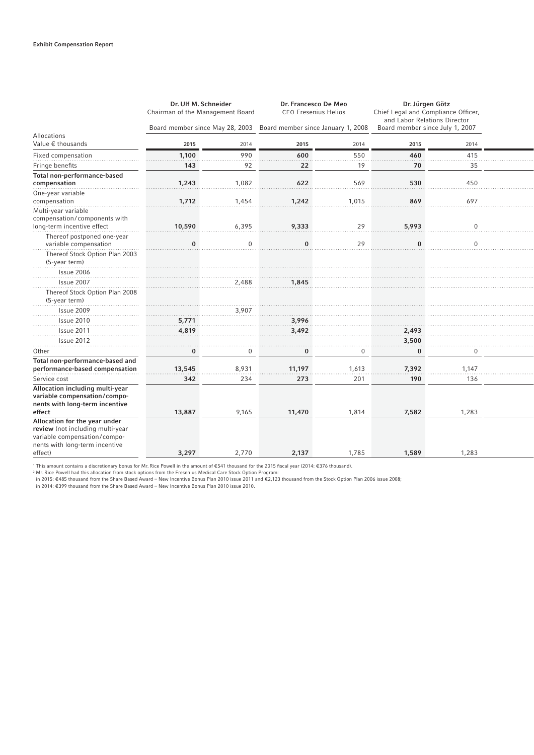| Board member since July 1, 2007<br>Board member since May 28, 2003<br>Board member since January 1, 2008<br>Allocations<br>Value € thousands<br>2015<br>2014<br>2015<br>2014<br>2015<br>2014<br>1,100<br>990<br>550<br>460<br>415<br>Fixed compensation<br>600<br>Fringe benefits<br>143<br>92<br>22<br>19<br>70<br>35<br>Total non-performance-based<br>compensation<br>569<br>530<br>1,243<br>1,082<br>622<br>450<br>One-year variable<br>1,712<br>869<br>697<br>compensation<br>1,454<br>1,242<br>1,015<br>Multi-year variable<br>compensation/components with<br>long-term incentive effect<br>10,590<br>6,395<br>9,333<br>29<br>5,993<br>$\mathbf{0}$<br>Thereof postponed one-year<br>29<br>variable compensation<br>$\mathbf 0$<br>0<br>0<br>0<br>Thereof Stock Option Plan 2003<br>(5-year term)<br>Issue 2006<br>Issue 2007<br>2,488<br>1,845<br>Thereof Stock Option Plan 2008<br>(5-year term)<br>Issue 2009<br>3,907<br>Issue 2010<br>3,996<br>5,771<br>Issue 2011<br>4,819<br>3,492<br>2,493<br>3,500<br>Issue 2012<br>Other<br>0<br>0<br>0<br>0<br>0<br>0<br>Total non-performance-based and<br>13,545<br>8,931<br>11,197<br>1,613<br>7,392<br>1,147<br>performance-based compensation<br>234<br>273<br>201<br>190<br>Service cost<br>342<br>136<br>Allocation including multi-year<br>variable compensation/compo-<br>nents with long-term incentive<br>7,582<br>1,283<br>effect<br>13,887<br>9,165<br>11,470<br>1,814<br>Allocation for the year under<br>review (not including multi-year |                              | Dr. Ulf M. Schneider<br>Chairman of the Management Board | Dr. Francesco De Meo<br><b>CEO Fresenius Helios</b> | Dr. Jürgen Götz<br>Chief Legal and Compliance Officer,<br>and Labor Relations Director |  |  |
|------------------------------------------------------------------------------------------------------------------------------------------------------------------------------------------------------------------------------------------------------------------------------------------------------------------------------------------------------------------------------------------------------------------------------------------------------------------------------------------------------------------------------------------------------------------------------------------------------------------------------------------------------------------------------------------------------------------------------------------------------------------------------------------------------------------------------------------------------------------------------------------------------------------------------------------------------------------------------------------------------------------------------------------------------------------------------------------------------------------------------------------------------------------------------------------------------------------------------------------------------------------------------------------------------------------------------------------------------------------------------------------------------------------------------------------------------------------------------------------------------------|------------------------------|----------------------------------------------------------|-----------------------------------------------------|----------------------------------------------------------------------------------------|--|--|
|                                                                                                                                                                                                                                                                                                                                                                                                                                                                                                                                                                                                                                                                                                                                                                                                                                                                                                                                                                                                                                                                                                                                                                                                                                                                                                                                                                                                                                                                                                            |                              |                                                          |                                                     |                                                                                        |  |  |
|                                                                                                                                                                                                                                                                                                                                                                                                                                                                                                                                                                                                                                                                                                                                                                                                                                                                                                                                                                                                                                                                                                                                                                                                                                                                                                                                                                                                                                                                                                            |                              |                                                          |                                                     |                                                                                        |  |  |
|                                                                                                                                                                                                                                                                                                                                                                                                                                                                                                                                                                                                                                                                                                                                                                                                                                                                                                                                                                                                                                                                                                                                                                                                                                                                                                                                                                                                                                                                                                            |                              |                                                          |                                                     |                                                                                        |  |  |
|                                                                                                                                                                                                                                                                                                                                                                                                                                                                                                                                                                                                                                                                                                                                                                                                                                                                                                                                                                                                                                                                                                                                                                                                                                                                                                                                                                                                                                                                                                            |                              |                                                          |                                                     |                                                                                        |  |  |
|                                                                                                                                                                                                                                                                                                                                                                                                                                                                                                                                                                                                                                                                                                                                                                                                                                                                                                                                                                                                                                                                                                                                                                                                                                                                                                                                                                                                                                                                                                            |                              |                                                          |                                                     |                                                                                        |  |  |
|                                                                                                                                                                                                                                                                                                                                                                                                                                                                                                                                                                                                                                                                                                                                                                                                                                                                                                                                                                                                                                                                                                                                                                                                                                                                                                                                                                                                                                                                                                            |                              |                                                          |                                                     |                                                                                        |  |  |
|                                                                                                                                                                                                                                                                                                                                                                                                                                                                                                                                                                                                                                                                                                                                                                                                                                                                                                                                                                                                                                                                                                                                                                                                                                                                                                                                                                                                                                                                                                            |                              |                                                          |                                                     |                                                                                        |  |  |
|                                                                                                                                                                                                                                                                                                                                                                                                                                                                                                                                                                                                                                                                                                                                                                                                                                                                                                                                                                                                                                                                                                                                                                                                                                                                                                                                                                                                                                                                                                            |                              |                                                          |                                                     |                                                                                        |  |  |
|                                                                                                                                                                                                                                                                                                                                                                                                                                                                                                                                                                                                                                                                                                                                                                                                                                                                                                                                                                                                                                                                                                                                                                                                                                                                                                                                                                                                                                                                                                            |                              |                                                          |                                                     |                                                                                        |  |  |
|                                                                                                                                                                                                                                                                                                                                                                                                                                                                                                                                                                                                                                                                                                                                                                                                                                                                                                                                                                                                                                                                                                                                                                                                                                                                                                                                                                                                                                                                                                            |                              |                                                          |                                                     |                                                                                        |  |  |
|                                                                                                                                                                                                                                                                                                                                                                                                                                                                                                                                                                                                                                                                                                                                                                                                                                                                                                                                                                                                                                                                                                                                                                                                                                                                                                                                                                                                                                                                                                            |                              |                                                          |                                                     |                                                                                        |  |  |
|                                                                                                                                                                                                                                                                                                                                                                                                                                                                                                                                                                                                                                                                                                                                                                                                                                                                                                                                                                                                                                                                                                                                                                                                                                                                                                                                                                                                                                                                                                            |                              |                                                          |                                                     |                                                                                        |  |  |
|                                                                                                                                                                                                                                                                                                                                                                                                                                                                                                                                                                                                                                                                                                                                                                                                                                                                                                                                                                                                                                                                                                                                                                                                                                                                                                                                                                                                                                                                                                            |                              |                                                          |                                                     |                                                                                        |  |  |
|                                                                                                                                                                                                                                                                                                                                                                                                                                                                                                                                                                                                                                                                                                                                                                                                                                                                                                                                                                                                                                                                                                                                                                                                                                                                                                                                                                                                                                                                                                            |                              |                                                          |                                                     |                                                                                        |  |  |
|                                                                                                                                                                                                                                                                                                                                                                                                                                                                                                                                                                                                                                                                                                                                                                                                                                                                                                                                                                                                                                                                                                                                                                                                                                                                                                                                                                                                                                                                                                            |                              |                                                          |                                                     |                                                                                        |  |  |
|                                                                                                                                                                                                                                                                                                                                                                                                                                                                                                                                                                                                                                                                                                                                                                                                                                                                                                                                                                                                                                                                                                                                                                                                                                                                                                                                                                                                                                                                                                            |                              |                                                          |                                                     |                                                                                        |  |  |
|                                                                                                                                                                                                                                                                                                                                                                                                                                                                                                                                                                                                                                                                                                                                                                                                                                                                                                                                                                                                                                                                                                                                                                                                                                                                                                                                                                                                                                                                                                            |                              |                                                          |                                                     |                                                                                        |  |  |
|                                                                                                                                                                                                                                                                                                                                                                                                                                                                                                                                                                                                                                                                                                                                                                                                                                                                                                                                                                                                                                                                                                                                                                                                                                                                                                                                                                                                                                                                                                            |                              |                                                          |                                                     |                                                                                        |  |  |
|                                                                                                                                                                                                                                                                                                                                                                                                                                                                                                                                                                                                                                                                                                                                                                                                                                                                                                                                                                                                                                                                                                                                                                                                                                                                                                                                                                                                                                                                                                            |                              |                                                          |                                                     |                                                                                        |  |  |
| nents with long-term incentive<br>3,297<br>2,770<br>2,137<br>1,785<br>1,589<br>1,283<br>effect)                                                                                                                                                                                                                                                                                                                                                                                                                                                                                                                                                                                                                                                                                                                                                                                                                                                                                                                                                                                                                                                                                                                                                                                                                                                                                                                                                                                                            | variable compensation/compo- |                                                          |                                                     |                                                                                        |  |  |

' This amount contains a discretionary bonus for Mr. Rice Powell in the amount of €541 thousand for the 2015 fiscal year (2014: €376 thousand).<br>` in Rice Powell had this allocation from stock options from the Fresenius Me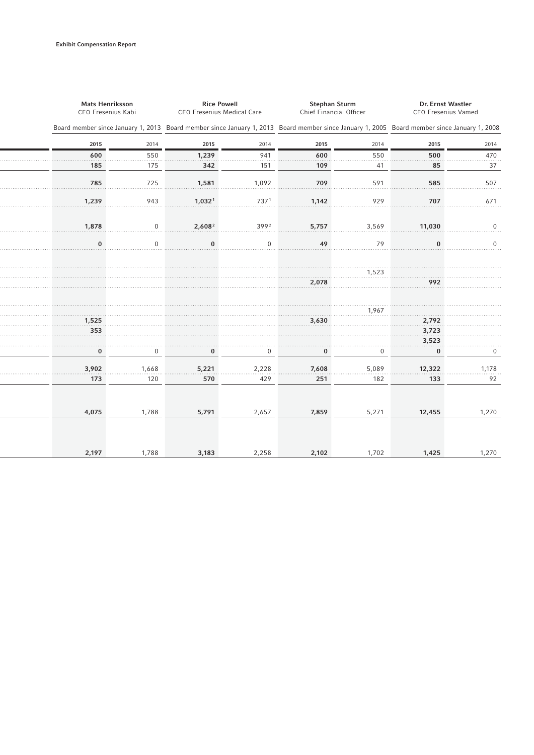|              | <b>Mats Henriksson</b><br>CEO Fresenius Kabi |                    | <b>Rice Powell</b><br>CEO Fresenius Medical Care |       | <b>Stephan Sturm</b><br>Chief Financial Officer | Dr. Ernst Wastler<br><b>CEO Fresenius Vamed</b>                                                                                             |             |
|--------------|----------------------------------------------|--------------------|--------------------------------------------------|-------|-------------------------------------------------|---------------------------------------------------------------------------------------------------------------------------------------------|-------------|
|              |                                              |                    |                                                  |       |                                                 | Board member since January 1, 2013 Board member since January 1, 2013 Board member since January 1, 2005 Board member since January 1, 2008 |             |
| 2015         | 2014                                         | 2015               | 2014                                             | 2015  | 2014                                            | 2015                                                                                                                                        | 2014        |
| 600          | 550                                          | 1,239              | 941                                              | 600   | 550                                             | 500                                                                                                                                         | 470         |
| 185          | 175                                          | 342                | 151                                              | 109   | 41                                              | 85                                                                                                                                          | 37          |
| 785          | 725                                          | 1,581              | 1,092                                            | 709   | 591                                             | 585                                                                                                                                         | 507         |
| 1,239        | 943                                          | 1,032 <sup>1</sup> | 7371                                             | 1,142 | 929                                             | 707                                                                                                                                         | 671         |
| 1,878        | $\mathbf 0$                                  | 2,608 <sup>2</sup> | 399 <sup>2</sup>                                 | 5,757 | 3,569                                           | 11,030                                                                                                                                      | 0           |
| $\bf{0}$     | $\mathbf 0$                                  | $\bf{0}$           | $\mathbf 0$                                      | 49    | 79                                              | $\pmb{0}$                                                                                                                                   | $\mathbf 0$ |
|              |                                              |                    |                                                  |       | 1,523                                           |                                                                                                                                             |             |
|              |                                              |                    |                                                  | 2,078 |                                                 | 992                                                                                                                                         |             |
|              |                                              |                    |                                                  |       | 1,967                                           |                                                                                                                                             |             |
| 1,525        |                                              |                    |                                                  | 3,630 |                                                 | 2,792                                                                                                                                       |             |
| 353          |                                              |                    |                                                  |       |                                                 | 3,723<br>3,523                                                                                                                              |             |
| $\mathbf{0}$ | $\Omega$                                     | $\bf{0}$           | $\Omega$                                         | 0     | $\Omega$                                        | $\bf{0}$                                                                                                                                    | 0           |
| 3,902        | 1,668                                        | 5,221              | 2,228                                            | 7,608 | 5,089                                           | 12,322                                                                                                                                      | 1,178       |
| 173          | 120                                          | 570                | 429                                              | 251   | 182                                             | 133                                                                                                                                         | 92          |
|              |                                              |                    |                                                  |       |                                                 |                                                                                                                                             |             |
| 4,075        | 1,788                                        | 5,791              | 2,657                                            | 7,859 | 5,271                                           | 12,455                                                                                                                                      | 1,270       |
|              |                                              |                    |                                                  |       |                                                 |                                                                                                                                             |             |
| 2,197        | 1,788                                        | 3,183              | 2,258                                            | 2,102 | 1,702                                           | 1,425                                                                                                                                       | 1,270       |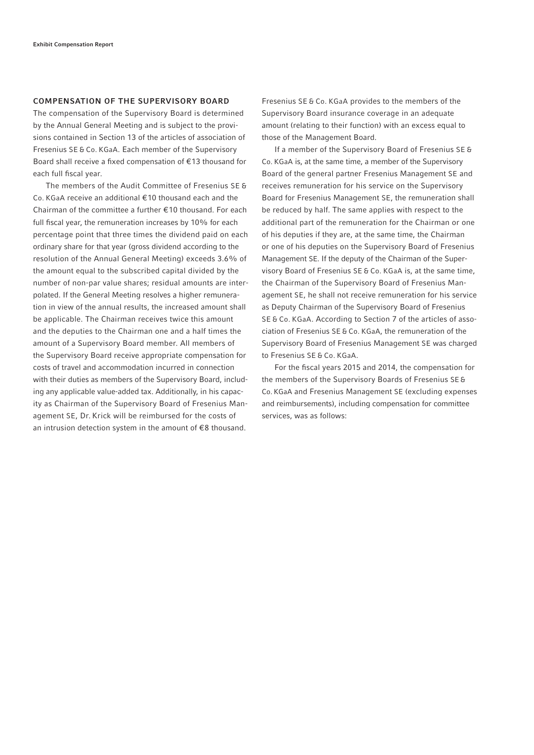## COMPENSATION OF THE SUPERVISORY BOARD

The compensation of the Supervisory Board is determined by the Annual General Meeting and is subject to the provisions contained in Section 13 of the articles of association of Fresenius SE & Co. KGaA. Each member of the Supervisory Board shall receive a fixed compensation of  $\epsilon$ 13 thousand for each full fiscal year.

The members of the Audit Committee of Fresenius SE & Co. KGaA receive an additional € 10 thousand each and the Chairman of the committee a further € 10 thousand. For each full fiscal year, the remuneration increases by 10% for each percentage point that three times the dividend paid on each ordinary share for that year (gross dividend according to the resolution of the Annual General Meeting) exceeds 3.6% of the amount equal to the subscribed capital divided by the number of non-par value shares; residual amounts are interpolated. If the General Meeting resolves a higher remuneration in view of the annual results, the increased amount shall be applicable. The Chairman receives twice this amount and the deputies to the Chairman one and a half times the amount of a Supervisory Board member. All members of the Supervisory Board receive appropriate compensation for costs of travel and accommodation incurred in connection with their duties as members of the Supervisory Board, including any applicable value-added tax. Additionally, in his capacity as Chairman of the Supervisory Board of Fresenius Management SE, Dr. Krick will be reimbursed for the costs of an intrusion detection system in the amount of  $\epsilon$ 8 thousand.

Fresenius SE & Co. KGaA provides to the members of the Supervisory Board insurance coverage in an adequate amount (relating to their function) with an excess equal to those of the Management Board.

If a member of the Supervisory Board of Fresenius SE & Co. KGaA is, at the same time, a member of the Supervisory Board of the general partner Fresenius Management SE and receives remuneration for his service on the Supervisory Board for Fresenius Management SE, the remuneration shall be reduced by half. The same applies with respect to the additional part of the remuneration for the Chairman or one of his deputies if they are, at the same time, the Chairman or one of his deputies on the Supervisory Board of Fresenius Management SE. If the deputy of the Chairman of the Supervisory Board of Fresenius SE & Co. KGaA is, at the same time, the Chairman of the Supervisory Board of Fresenius Management SE, he shall not receive remuneration for his service as Deputy Chairman of the Supervisory Board of Fresenius SE & Co. KGaA. According to Section 7 of the articles of association of Fresenius SE & Co. KGaA, the remuneration of the Supervisory Board of Fresenius Management SE was charged to Fresenius SE & Co. KGaA.

For the fiscal years 2015 and 2014, the compensation for the members of the Supervisory Boards of Fresenius SE & Co. KGaA and Fresenius Management SE (excluding expenses and reimbursements), including compensation for committee services, was as follows: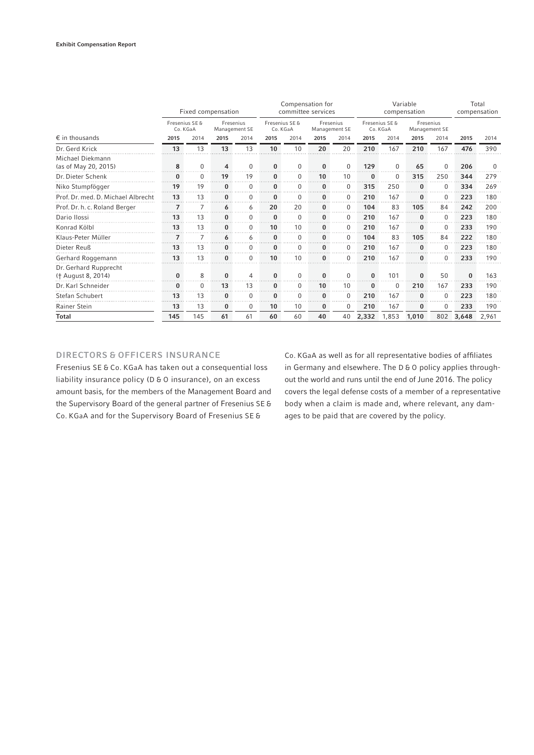|                                             | Fixed compensation         |              |                            |              | Compensation for<br>committee services |          |                            |          | Variable<br>compensation   |             |                            |             | Total<br>compensation |          |
|---------------------------------------------|----------------------------|--------------|----------------------------|--------------|----------------------------------------|----------|----------------------------|----------|----------------------------|-------------|----------------------------|-------------|-----------------------|----------|
|                                             | Fresenius SE &<br>Co. KGaA |              | Fresenius<br>Management SE |              | Fresenius SE &<br>Co. KGaA             |          | Fresenius<br>Management SE |          | Fresenius SE &<br>Co. KGaA |             | Fresenius<br>Management SE |             |                       |          |
| $\epsilon$ in thousands                     | 2015                       | 2014         | 2015                       | 2014         | 2015                                   | 2014     | 2015                       | 2014     | 2015                       | 2014        | 2015                       | 2014        | 2015                  | 2014     |
| Dr. Gerd Krick                              | 13                         | 13           | 13                         | 13           | 10                                     | 10       | 20                         | 20       | 210                        | 167         | 210                        | 167         | 476                   | 390      |
| Michael Diekmann<br>(as of May 20, 2015)    | 8                          | $\mathbf{0}$ | 4                          | $\mathbf 0$  | $\bf{0}$                               | $\Omega$ | 0                          | 0        | 129                        | $\Omega$    | 65                         | $\Omega$    | 206                   | $\Omega$ |
| Dr. Dieter Schenk                           | $\bf{0}$<br>.              | $\Omega$     | 19                         | 19           | $\bf{0}$                               | 0        | 10                         | 10       | $\bf{0}$                   | $\mathbf 0$ | 315                        | 250         | 344                   | 279      |
| Niko Stumpfögger                            | 19                         | 19           | $\bf{0}$                   | $\Omega$     |                                        | 0        | 0                          | 0        | 315                        | 250         | $\bf{0}$                   | $\mathbf 0$ | 334                   | 269      |
| Prof. Dr. med. D. Michael Albrecht          | 13                         | 13           | $\bf{0}$                   | $\Omega$     | $\Omega$                               | U        | 0                          | 0        | 210                        | 167         | $\bf{0}$                   | $\Omega$    | 223                   | 180      |
| Prof. Dr. h. c. Roland Berger               | $\overline{7}$             | 7            | 6                          | 6            | 20                                     | 20       | 0                          | $\Omega$ | 104                        | 83          | 105                        | 84          | 242                   | 200      |
| Dario Ilossi                                | 13<br>.                    | 13           | $\bf{0}$                   | $\Omega$     | $\Omega$                               | 0        | 0                          | 0        | 210                        | 167         | $\bf{0}$                   | $\Omega$    | 223                   | 180      |
| Konrad Kölbl                                | 13                         | 13           | $\bf{0}$                   |              | 10                                     | 10       | 0                          | $\Omega$ | 210                        | 167         | $\bf{0}$                   | $\Omega$    | 233                   | 190      |
| Klaus-Peter Müller                          | $\overline{7}$             |              | 6                          | 6            | $\bf{0}$                               | $\Omega$ | 0                          | $\Omega$ | 104                        | 83          | 105                        | 84          | 222                   | 180      |
| Dieter Reuß                                 | 13                         | 13           | $\bf{0}$                   | $\Omega$     | $\bf{0}$                               | 0        | 0                          | 0        | 210                        | 167         | $\bf{0}$                   | $\Omega$    | 223                   | 180      |
| Gerhard Roggemann                           | 13                         | 13           | $\bf{0}$                   | $\Omega$     | 10                                     | 10       | 0                          | 0        | 210                        | 167         | $\bf{0}$                   | 0           | 233                   | 190      |
| Dr. Gerhard Rupprecht<br>(† August 8, 2014) | $\bf{0}$                   | 8            | $\bf{0}$                   | 4            | 0                                      | $\Omega$ | 0                          | $\Omega$ | $\bf{0}$                   | 101         | $\bf{0}$                   | 50          | $\bf{0}$              | 163      |
| Dr. Karl Schneider                          | $\bf{0}$                   | $\Omega$     | 13                         | 13           | $\Omega$                               | $\Omega$ | 10                         | 10       | $\mathbf{0}$               | $\Omega$    | 210                        | 167         | 233                   | 190      |
| Stefan Schubert                             | 13                         | 13           | $\bf{0}$                   | $\mathbf{0}$ | $\bf{0}$                               | $\Omega$ | 0                          | 0        | 210                        | 167         | 0                          | $\Omega$    | 223                   | 180      |
| Rainer Stein                                | 13                         | 13           | $\bf{0}$                   | $\mathbf 0$  | 10                                     | 10       | 0                          | 0        | 210                        | 167         | 0                          | $\Omega$    | 233                   | 190      |
| Total                                       | 145                        | 145          | 61                         | 61           | 60                                     | 60       | 40                         | 40       | 2,332                      | 1,853       | 1,010                      | 802         | 3,648                 | 2,961    |

# DIRECTORS & OFFICERS INSURANCE

Fresenius SE & Co. KGaA has taken out a consequential loss liability insurance policy (D & O insurance), on an excess amount basis, for the members of the Management Board and the Supervisory Board of the general partner of Fresenius SE & Co. KGaA and for the Supervisory Board of Fresenius SE &

Co. KGaA as well as for all representative bodies of affiliates in Germany and elsewhere. The D & O policy applies throughout the world and runs until the end of June 2016. The policy covers the legal defense costs of a member of a representative body when a claim is made and, where relevant, any damages to be paid that are covered by the policy.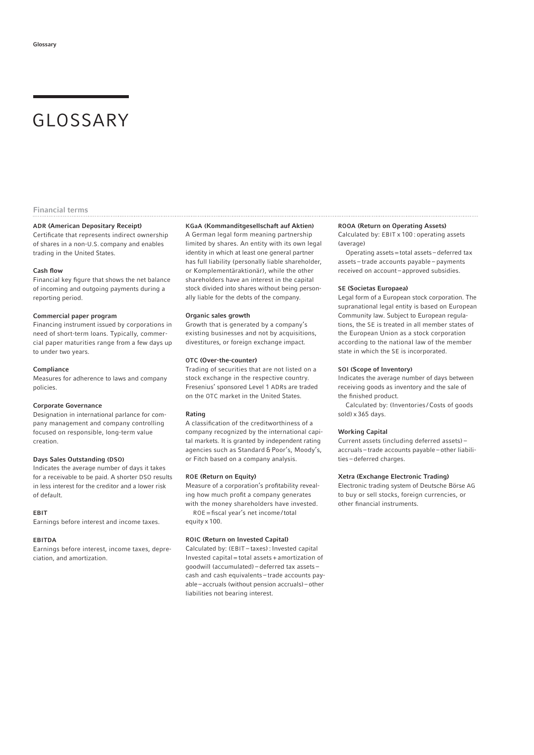# GLOSSARY

#### Financial terms

#### ADR (American Depositary Receipt)

Certificate that represents indirect ownership of shares in a non-U.S. company and enables trading in the United States.

#### **Cash flow**

Financial key figure that shows the net balance of incoming and outgoing payments during a reporting period.

## Commercial paper program

Financing instrument issued by corporations in need of short-term loans. Typically, commercial paper maturities range from a few days up to under two years.

#### Compliance

Measures for adherence to laws and company policies.

#### Corporate Governance

Designation in international parlance for company management and company controlling focused on responsible, long-term value creation.

#### Days Sales Outstanding (DSO)

Indicates the average number of days it takes for a receivable to be paid. A shorter DSO results in less interest for the creditor and a lower risk of default.

#### EBIT

Earnings before interest and income taxes.

#### EBITDA

Earnings before interest, income taxes, depreciation, and amortization.

#### KGaA (Kommanditgesellschaft auf Aktien)

A German legal form meaning partnership limited by shares. An entity with its own legal identity in which at least one general partner has full liability (personally liable shareholder, or Komplementär aktionär), while the other shareholders have an interest in the capital stock divided into shares without being personally liable for the debts of the company.

#### Organic sales growth

Growth that is generated by a company's existing businesses and not by acquisitions, divestitures, or foreign exchange impact.

#### OTC (Over-the-counter)

Trading of securities that are not listed on a stock exchange in the respective country. Fresenius' sponsored Level 1 ADRs are traded on the OTC market in the United States.

#### Rating

A classification of the creditworthiness of a company recognized by the international capital markets. It is granted by independent rating agencies such as Standard & Poor's, Moody's, or Fitch based on a company analysis.

#### ROE (Return on Equity)

Measure of a corporation's profitability revealing how much profit a company generates with the money shareholders have invested.

ROE = fiscal year's net income/total equity x 100.

#### ROIC (Return on Invested Capital)

Calculated by: (EBIT – taxes) : Invested capital Invested capital = total assets + amortization of goodwill (accumulated) – deferred tax assets – cash and cash equivalents – trade accounts payable – accruals (without pension accruals) – other liabilities not bearing interest.

#### ROOA (Return on Operating Assets)

Calculated by: EBIT x 100 : operating assets (average)

 Operating assets = total assets – deferred tax assets – trade accounts payable – payments received on account – approved subsidies.

#### SE (Societas Europaea)

Legal form of a European stock corporation. The supranational legal entity is based on European Community law. Subject to European regulations, the SE is treated in all member states of the European Union as a stock corporation according to the national law of the member state in which the SE is incorporated.

#### SOI (Scope of Inventory)

Indicates the average number of days between receiving goods as inventory and the sale of the finished product.

 Calculated by: (Inventories / Costs of goods sold) x 365 days.

#### Working Capital

Current assets (including deferred assets) – accruals – trade accounts payable – other liabilities – deferred charges.

#### Xetra (Exchange Electronic Trading)

Electronic trading system of Deutsche Börse AG to buy or sell stocks, foreign currencies, or other financial instruments.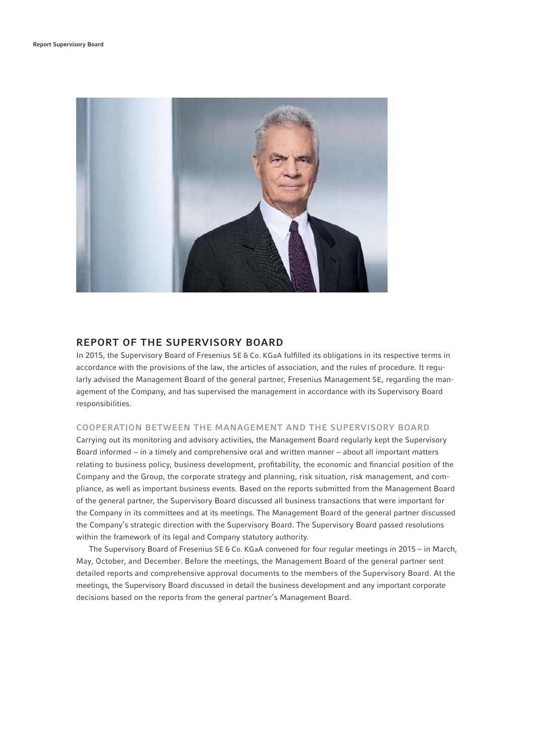

# REPORT OF THE SUPERVISORY BOARD

In 2015, the Supervisory Board of Fresenius SE & Co. KGaA fulfilled its obligations in its respective terms in accordance with the provisions of the law, the articles of association, and the rules of procedure. It regularly advised the Management Board of the general partner, Fresenius Management SE, regarding the management of the Company, and has supervised the management in accordance with its Supervisory Board responsibilities.

# COOPERATION BETWEEN THE MANAGEMENT AND THE SUPERVISORY BOARD

Carrying out its monitoring and advisory activities, the Management Board regularly kept the Supervisory Board informed − in a timely and comprehensive oral and written manner − about all important matters relating to business policy, business development, profitability, the economic and financial position of the Company and the Group, the corporate strategy and planning, risk situation, risk management, and compliance, as well as important business events. Based on the reports submitted from the Management Board of the general partner, the Supervisory Board discussed all business transactions that were important for the Company in its committees and at its meetings. The Management Board of the general partner discussed the Company's strategic direction with the Supervisory Board. The Supervisory Board passed resolutions within the framework of its legal and Company statutory authority.

The Supervisory Board of Fresenius SE & Co. KGaA convened for four regular meetings in 2015 – in March, May, October, and December. Before the meetings, the Management Board of the general partner sent detailed reports and comprehensive approval documents to the members of the Supervisory Board. At the meetings, the Supervisory Board discussed in detail the business development and any important corporate decisions based on the reports from the general partner's Management Board.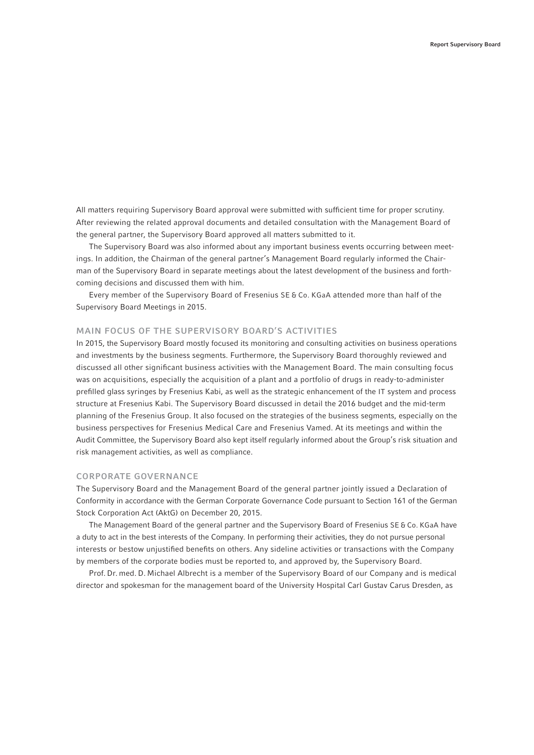All matters requiring Supervisory Board approval were submitted with sufficient time for proper scrutiny. After reviewing the related approval documents and detailed consultation with the Management Board of the general partner, the Supervisory Board approved all matters submitted to it.

The Supervisory Board was also informed about any important business events occurring between meetings. In addition, the Chairman of the general partner's Management Board regularly informed the Chairman of the Supervisory Board in separate meetings about the latest development of the business and forthcoming decisions and discussed them with him.

Every member of the Supervisory Board of Fresenius SE & Co. KGaA attended more than half of the Supervisory Board Meetings in 2015.

# MAIN FOCUS OF THE SUPERVISORY BOARD'S ACTIVITIES

In 2015, the Supervisory Board mostly focused its monitoring and consulting activities on business operations and investments by the business segments. Furthermore, the Supervisory Board thoroughly reviewed and discussed all other significant business activities with the Management Board. The main consulting focus was on acquisitions, especially the acquisition of a plant and a portfolio of drugs in ready-to-administer prefilled glass syringes by Fresenius Kabi, as well as the strategic enhancement of the IT system and process structure at Fresenius Kabi. The Supervisory Board discussed in detail the 2016 budget and the mid-term planning of the Fresenius Group. It also focused on the strategies of the business segments, especially on the business perspectives for Fresenius Medical Care and Fresenius Vamed. At its meetings and within the Audit Committee, the Supervisory Board also kept itself regularly informed about the Group's risk situation and risk management activities, as well as compliance.

## CORPORATE GOVERNANCE

The Supervisory Board and the Management Board of the general partner jointly issued a Declaration of Conformity in accordance with the German Corporate Governance Code pursuant to Section 161 of the German Stock Corporation Act (AktG) on December 20, 2015.

The Management Board of the general partner and the Supervisory Board of Fresenius SE & Co. KGaA have a duty to act in the best interests of the Company. In performing their activities, they do not pursue personal interests or bestow unjustified benefits on others. Any sideline activities or transactions with the Company by members of the corporate bodies must be reported to, and approved by, the Supervisory Board.

Prof. Dr. med. D. Michael Albrecht is a member of the Supervisory Board of our Company and is medical director and spokesman for the management board of the University Hospital Carl Gustav Carus Dresden, as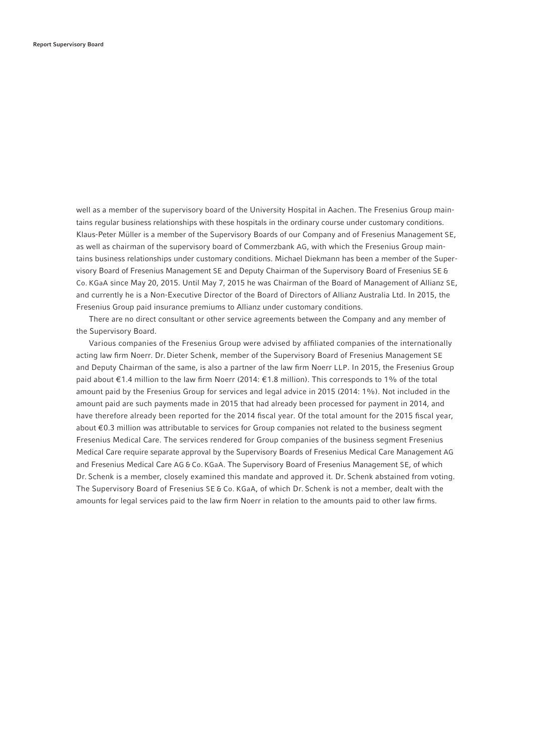well as a member of the supervisory board of the University Hospital in Aachen. The Fresenius Group maintains regular business relationships with these hospitals in the ordinary course under customary conditions. Klaus-Peter Müller is a member of the Supervisory Boards of our Company and of Fresenius Management SE, as well as chairman of the supervisory board of Commerzbank AG, with which the Fresenius Group maintains business relationships under customary conditions. Michael Diekmann has been a member of the Supervisory Board of Fresenius Management SE and Deputy Chairman of the Supervisory Board of Fresenius SE & Co. KGaA since May 20, 2015. Until May 7, 2015 he was Chairman of the Board of Management of Allianz SE, and currently he is a Non-Executive Director of the Board of Directors of Allianz Australia Ltd. In 2015, the Fresenius Group paid insurance premiums to Allianz under customary conditions.

There are no direct consultant or other service agreements between the Company and any member of the Supervisory Board.

Various companies of the Fresenius Group were advised by affiliated companies of the internationally acting law firm Noerr. Dr. Dieter Schenk, member of the Supervisory Board of Fresenius Management SE and Deputy Chairman of the same, is also a partner of the law firm Noerr LLP. In 2015, the Fresenius Group paid about €1.4 million to the law firm Noerr (2014: €1.8 million). This corresponds to 1% of the total amount paid by the Fresenius Group for services and legal advice in 2015 (2014: 1%). Not included in the amount paid are such payments made in 2015 that had already been processed for payment in 2014, and have therefore already been reported for the 2014 fiscal year. Of the total amount for the 2015 fiscal year, about € 0.3 million was attributable to services for Group companies not related to the business segment Fresenius Medical Care. The services rendered for Group companies of the business segment Fresenius Medical Care require separate approval by the Supervisory Boards of Fresenius Medical Care Management AG and Fresenius Medical Care AG & Co. KGaA. The Supervisory Board of Fresenius Management SE, of which Dr. Schenk is a member, closely examined this mandate and approved it. Dr. Schenk abstained from voting. The Supervisory Board of Fresenius SE & Co. KGaA, of which Dr. Schenk is not a member, dealt with the amounts for legal services paid to the law firm Noerr in relation to the amounts paid to other law firms.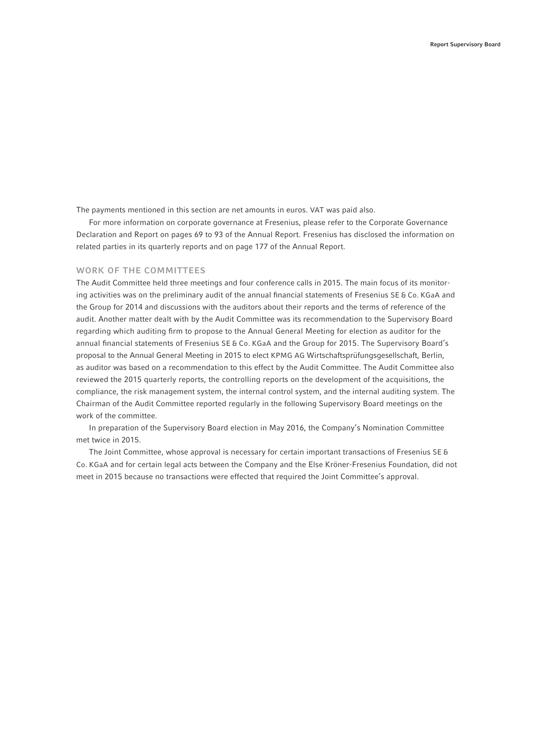The payments mentioned in this section are net amounts in euros. VAT was paid also.

For more information on corporate governance at Fresenius, please refer to the Corporate Governance Declaration and Report on pages 69 to 93 of the Annual Report. Fresenius has disclosed the information on related parties in its quarterly reports and on page 177 of the Annual Report.

## WORK OF THE COMMITTEES

The Audit Committee held three meetings and four conference calls in 2015. The main focus of its monitoring activities was on the preliminary audit of the annual financial statements of Fresenius SE & Co. KGaA and the Group for 2014 and discussions with the auditors about their reports and the terms of reference of the audit. Another matter dealt with by the Audit Committee was its recommendation to the Supervisory Board regarding which auditing firm to propose to the Annual General Meeting for election as auditor for the annual financial statements of Fresenius SE & Co. KGaA and the Group for 2015. The Supervisory Board's proposal to the Annual General Meeting in 2015 to elect KPMG AG Wirtschaftsprüfungsgesellschaft, Berlin, as auditor was based on a recommendation to this effect by the Audit Committee. The Audit Committee also reviewed the 2015 quarterly reports, the controlling reports on the development of the acquisitions, the compliance, the risk management system, the internal control system, and the internal auditing system. The Chairman of the Audit Committee reported regularly in the following Supervisory Board meetings on the work of the committee.

In preparation of the Supervisory Board election in May 2016, the Company's Nomination Committee met twice in 2015.

The Joint Committee, whose approval is necessary for certain important transactions of Fresenius SE & Co. KGaA and for certain legal acts between the Company and the Else Kröner-Fresenius Foundation, did not meet in 2015 because no transactions were effected that required the Joint Committee's approval.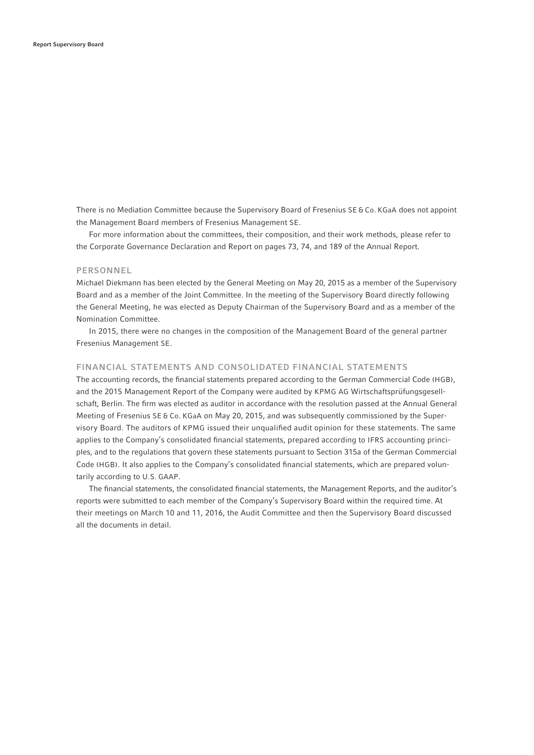There is no Mediation Committee because the Supervisory Board of Fresenius SE & Co. KGaA does not appoint the Management Board members of Fresenius Management SE.

For more information about the committees, their composition, and their work methods, please refer to the Corporate Governance Declaration and Report on pages 73, 74, and 189 of the Annual Report.

# PERSONNEL

Michael Diekmann has been elected by the General Meeting on May 20, 2015 as a member of the Supervisory Board and as a member of the Joint Committee. In the meeting of the Supervisory Board directly following the General Meeting, he was elected as Deputy Chairman of the Supervisory Board and as a member of the Nomination Committee.

In 2015, there were no changes in the composition of the Management Board of the general partner Fresenius Management SE.

## FINANCIAL STATEMENTS AND CONSOLIDATED FINANCIAL STATEMENTS

The accounting records, the financial statements prepared according to the German Commercial Code (HGB), and the 2015 Management Report of the Company were audited by KPMG AG Wirtschaftsprüfungsgesellschaft, Berlin. The firm was elected as auditor in accordance with the resolution passed at the Annual General Meeting of Fresenius SE & Co. KGaA on May 20, 2015, and was subsequently commissioned by the Supervisory Board. The auditors of KPMG issued their unqualified audit opinion for these statements. The same applies to the Company's consolidated financial statements, prepared according to IFRS accounting principles, and to the regulations that govern these statements pursuant to Section 315a of the German Commercial Code (HGB). It also applies to the Company's consolidated financial statements, which are prepared voluntarily according to U.S. GAAP.

The financial statements, the consolidated financial statements, the Management Reports, and the auditor's reports were submitted to each member of the Company's Supervisory Board within the required time. At their meetings on March 10 and 11, 2016, the Audit Committee and then the Supervisory Board discussed all the documents in detail.